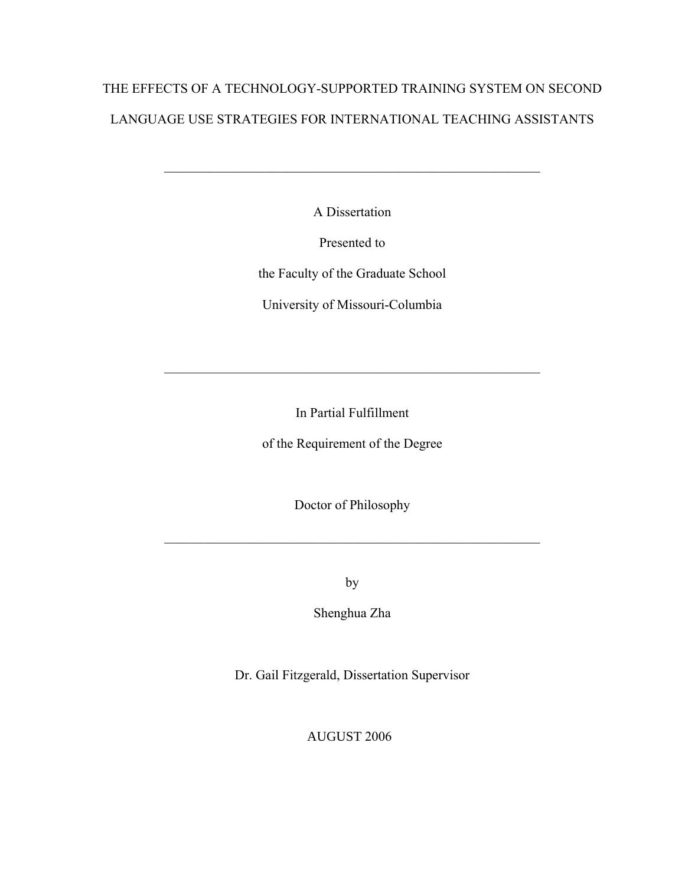# THE EFFECTS OF A TECHNOLOGY-SUPPORTED TRAINING SYSTEM ON SECOND LANGUAGE USE STRATEGIES FOR INTERNATIONAL TEACHING ASSISTANTS

A Dissertation

 $\mathcal{L}_\mathcal{L}$  , and the contribution of the contribution of the contribution of the contribution of the contribution of the contribution of the contribution of the contribution of the contribution of the contribution of

Presented to

the Faculty of the Graduate School

University of Missouri-Columbia

In Partial Fulfillment

 $\mathcal{L}_\mathcal{L}$  , and the contribution of the contribution of the contribution of the contribution of the contribution of the contribution of the contribution of the contribution of the contribution of the contribution of

of the Requirement of the Degree

Doctor of Philosophy

 $\mathcal{L}_\mathcal{L}$  , and the contribution of the contribution of the contribution of the contribution of the contribution of the contribution of the contribution of the contribution of the contribution of the contribution of

by

Shenghua Zha

Dr. Gail Fitzgerald, Dissertation Supervisor

AUGUST 2006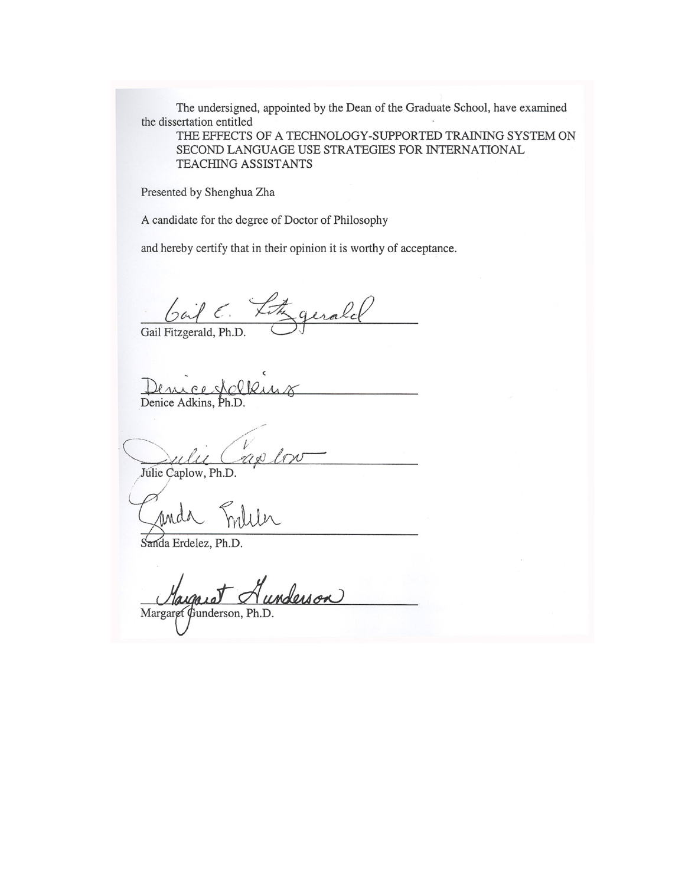The undersigned, appointed by the Dean of the Graduate School, have examined the dissertation entitled

THE EFFECTS OF A TECHNOLOGY-SUPPORTED TRAINING SYSTEM ON SECOND LANGUAGE USE STRATEGIES FOR INTERNATIONAL **TEACHING ASSISTANTS** 

Presented by Shenghua Zha

A candidate for the degree of Doctor of Philosophy

and hereby certify that in their opinion it is worthy of acceptance.

Gail Fitzgerald, Ph.D.

Denice Adkins, Ph.D.

 $\mathscr{U}(\mathscr{A})$ Julie Caplow, Ph.D.

Sanda Erdelez, Ph.D.

Alesson Margaret Gunderson, Ph.D.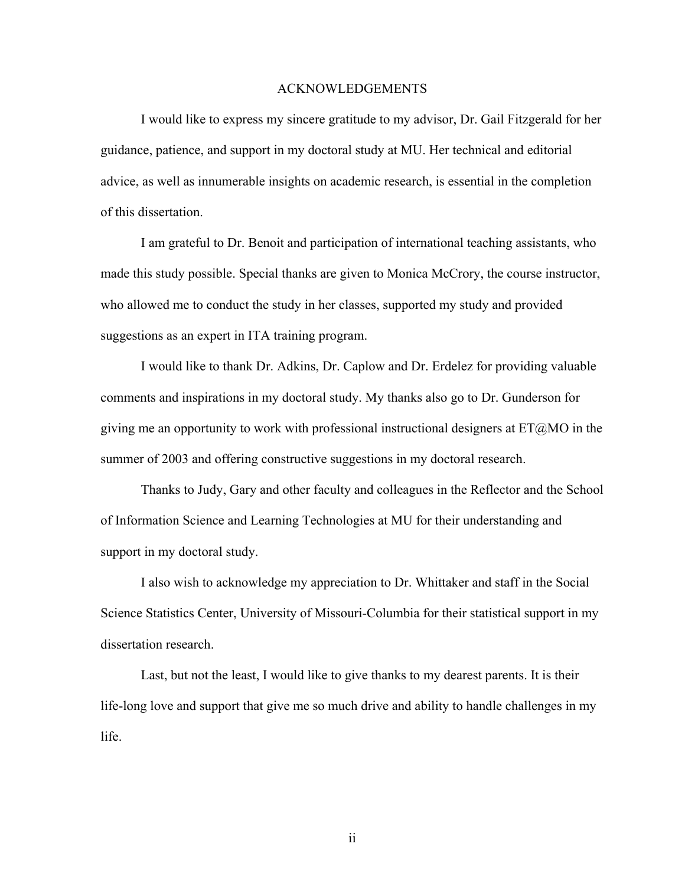#### ACKNOWLEDGEMENTS

I would like to express my sincere gratitude to my advisor, Dr. Gail Fitzgerald for her guidance, patience, and support in my doctoral study at MU. Her technical and editorial advice, as well as innumerable insights on academic research, is essential in the completion of this dissertation.

I am grateful to Dr. Benoit and participation of international teaching assistants, who made this study possible. Special thanks are given to Monica McCrory, the course instructor, who allowed me to conduct the study in her classes, supported my study and provided suggestions as an expert in ITA training program.

I would like to thank Dr. Adkins, Dr. Caplow and Dr. Erdelez for providing valuable comments and inspirations in my doctoral study. My thanks also go to Dr. Gunderson for giving me an opportunity to work with professional instructional designers at  $ET@MO$  in the summer of 2003 and offering constructive suggestions in my doctoral research.

Thanks to Judy, Gary and other faculty and colleagues in the Reflector and the School of Information Science and Learning Technologies at MU for their understanding and support in my doctoral study.

I also wish to acknowledge my appreciation to Dr. Whittaker and staff in the Social Science Statistics Center, University of Missouri-Columbia for their statistical support in my dissertation research.

Last, but not the least, I would like to give thanks to my dearest parents. It is their life-long love and support that give me so much drive and ability to handle challenges in my life.

ii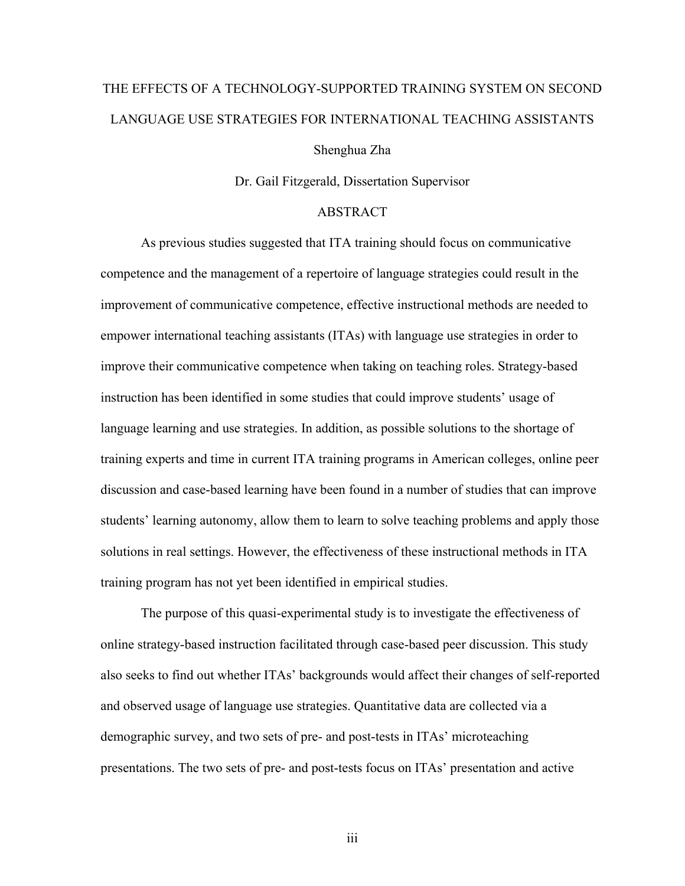# THE EFFECTS OF A TECHNOLOGY-SUPPORTED TRAINING SYSTEM ON SECOND LANGUAGE USE STRATEGIES FOR INTERNATIONAL TEACHING ASSISTANTS Shenghua Zha

Dr. Gail Fitzgerald, Dissertation Supervisor

#### ABSTRACT

As previous studies suggested that ITA training should focus on communicative competence and the management of a repertoire of language strategies could result in the improvement of communicative competence, effective instructional methods are needed to empower international teaching assistants (ITAs) with language use strategies in order to improve their communicative competence when taking on teaching roles. Strategy-based instruction has been identified in some studies that could improve students' usage of language learning and use strategies. In addition, as possible solutions to the shortage of training experts and time in current ITA training programs in American colleges, online peer discussion and case-based learning have been found in a number of studies that can improve students' learning autonomy, allow them to learn to solve teaching problems and apply those solutions in real settings. However, the effectiveness of these instructional methods in ITA training program has not yet been identified in empirical studies.

The purpose of this quasi-experimental study is to investigate the effectiveness of online strategy-based instruction facilitated through case-based peer discussion. This study also seeks to find out whether ITAs' backgrounds would affect their changes of self-reported and observed usage of language use strategies. Quantitative data are collected via a demographic survey, and two sets of pre- and post-tests in ITAs' microteaching presentations. The two sets of pre- and post-tests focus on ITAs' presentation and active

iii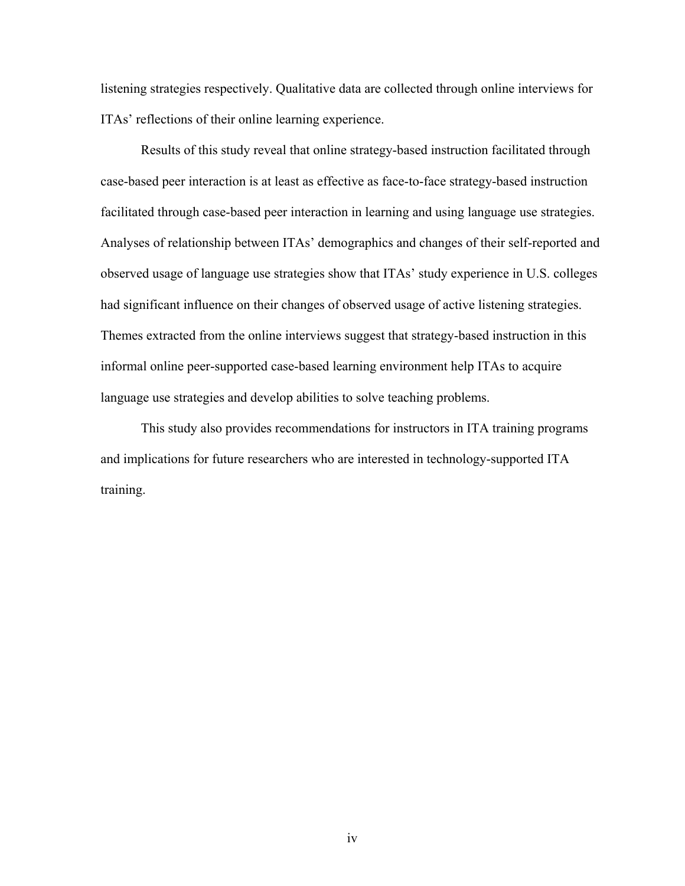listening strategies respectively. Qualitative data are collected through online interviews for ITAs' reflections of their online learning experience.

Results of this study reveal that online strategy-based instruction facilitated through case-based peer interaction is at least as effective as face-to-face strategy-based instruction facilitated through case-based peer interaction in learning and using language use strategies. Analyses of relationship between ITAs' demographics and changes of their self-reported and observed usage of language use strategies show that ITAs' study experience in U.S. colleges had significant influence on their changes of observed usage of active listening strategies. Themes extracted from the online interviews suggest that strategy-based instruction in this informal online peer-supported case-based learning environment help ITAs to acquire language use strategies and develop abilities to solve teaching problems.

This study also provides recommendations for instructors in ITA training programs and implications for future researchers who are interested in technology-supported ITA training.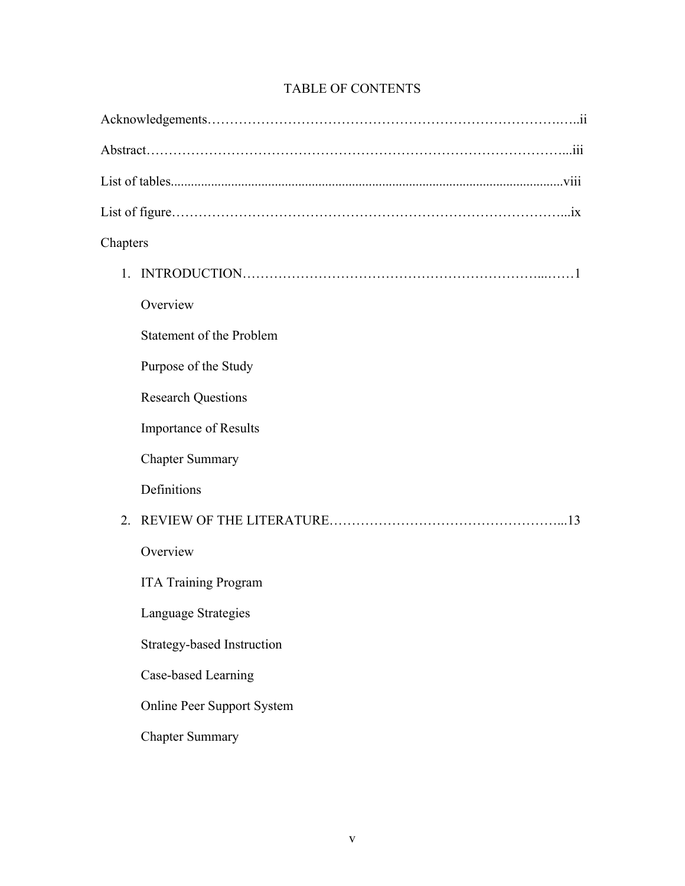| Chapters                          |
|-----------------------------------|
| $1_{-}$                           |
| Overview                          |
| Statement of the Problem          |
| Purpose of the Study              |
| <b>Research Questions</b>         |
| <b>Importance of Results</b>      |
| <b>Chapter Summary</b>            |
| Definitions                       |
| 2 <sub>1</sub>                    |
| Overview                          |
| <b>ITA Training Program</b>       |
| Language Strategies               |
| <b>Strategy-based Instruction</b> |
| Case-based Learning               |
| <b>Online Peer Support System</b> |
| <b>Chapter Summary</b>            |

### TABLE OF CONTENTS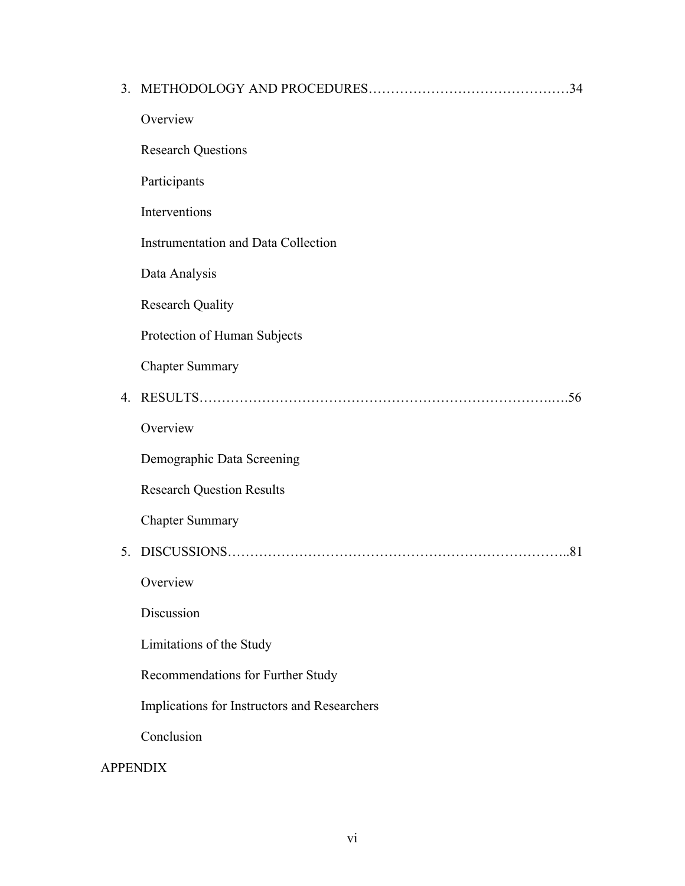|                 |                                              | .34 |
|-----------------|----------------------------------------------|-----|
|                 | Overview                                     |     |
|                 | <b>Research Questions</b>                    |     |
|                 | Participants                                 |     |
|                 | Interventions                                |     |
|                 | <b>Instrumentation and Data Collection</b>   |     |
|                 | Data Analysis                                |     |
|                 | <b>Research Quality</b>                      |     |
|                 | Protection of Human Subjects                 |     |
|                 | <b>Chapter Summary</b>                       |     |
| 4.              |                                              | .56 |
|                 | Overview                                     |     |
|                 | Demographic Data Screening                   |     |
|                 | <b>Research Question Results</b>             |     |
|                 | <b>Chapter Summary</b>                       |     |
| 5.              |                                              | .81 |
|                 | Overview                                     |     |
|                 | Discussion                                   |     |
|                 | Limitations of the Study                     |     |
|                 | Recommendations for Further Study            |     |
|                 | Implications for Instructors and Researchers |     |
|                 | Conclusion                                   |     |
| <b>APPENDIX</b> |                                              |     |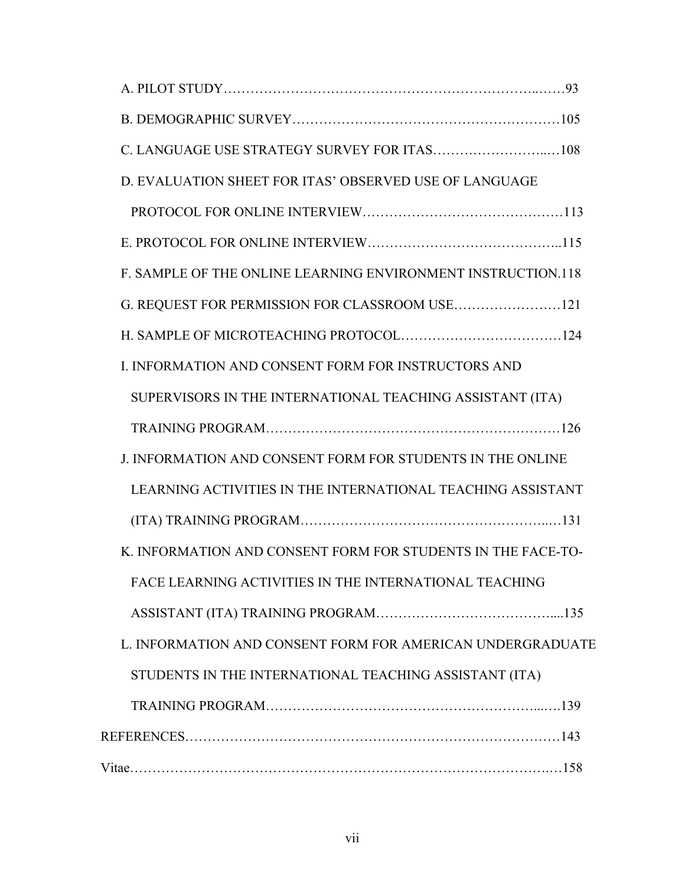| D. EVALUATION SHEET FOR ITAS' OBSERVED USE OF LANGUAGE       |  |
|--------------------------------------------------------------|--|
|                                                              |  |
|                                                              |  |
| F. SAMPLE OF THE ONLINE LEARNING ENVIRONMENT INSTRUCTION.118 |  |
|                                                              |  |
|                                                              |  |
| I. INFORMATION AND CONSENT FORM FOR INSTRUCTORS AND          |  |
| SUPERVISORS IN THE INTERNATIONAL TEACHING ASSISTANT (ITA)    |  |
|                                                              |  |
| J. INFORMATION AND CONSENT FORM FOR STUDENTS IN THE ONLINE   |  |
| LEARNING ACTIVITIES IN THE INTERNATIONAL TEACHING ASSISTANT  |  |
|                                                              |  |
| K. INFORMATION AND CONSENT FORM FOR STUDENTS IN THE FACE-TO- |  |
| FACE LEARNING ACTIVITIES IN THE INTERNATIONAL TEACHING       |  |
|                                                              |  |
| L. INFORMATION AND CONSENT FORM FOR AMERICAN UNDERGRADUATE   |  |
| STUDENTS IN THE INTERNATIONAL TEACHING ASSISTANT (ITA)       |  |
|                                                              |  |
|                                                              |  |
|                                                              |  |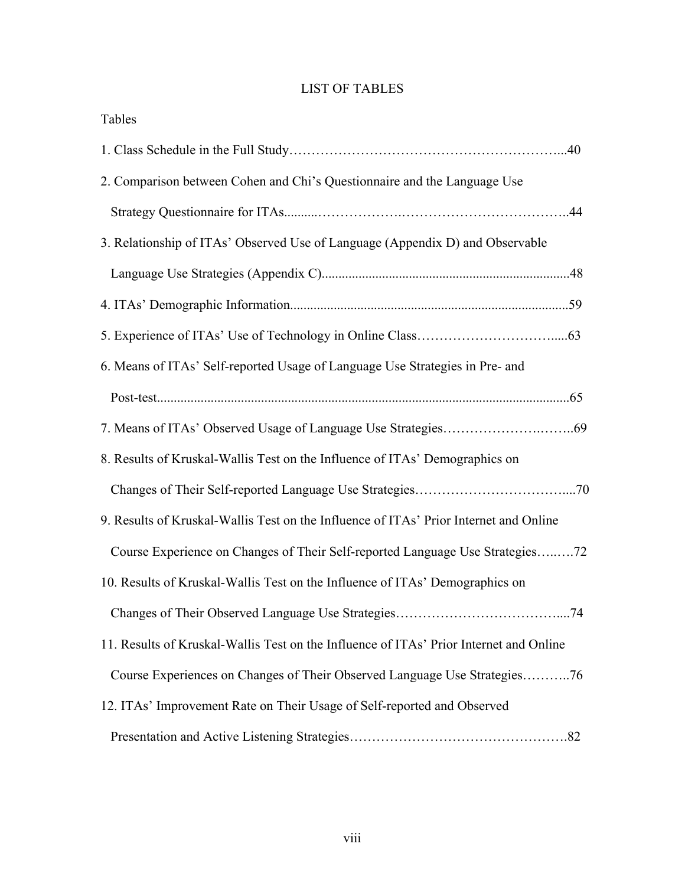### LIST OF TABLES

| Tables                                                                                 |
|----------------------------------------------------------------------------------------|
|                                                                                        |
| 2. Comparison between Cohen and Chi's Questionnaire and the Language Use               |
|                                                                                        |
| 3. Relationship of ITAs' Observed Use of Language (Appendix D) and Observable          |
|                                                                                        |
|                                                                                        |
|                                                                                        |
| 6. Means of ITAs' Self-reported Usage of Language Use Strategies in Pre- and           |
|                                                                                        |
|                                                                                        |
| 8. Results of Kruskal-Wallis Test on the Influence of ITAs' Demographics on            |
|                                                                                        |
| 9. Results of Kruskal-Wallis Test on the Influence of ITAs' Prior Internet and Online  |
| Course Experience on Changes of Their Self-reported Language Use Strategies72          |
| 10. Results of Kruskal-Wallis Test on the Influence of ITAs' Demographics on           |
|                                                                                        |
| 11. Results of Kruskal-Wallis Test on the Influence of ITAs' Prior Internet and Online |
| Course Experiences on Changes of Their Observed Language Use Strategies76              |
| 12. ITAs' Improvement Rate on Their Usage of Self-reported and Observed                |
|                                                                                        |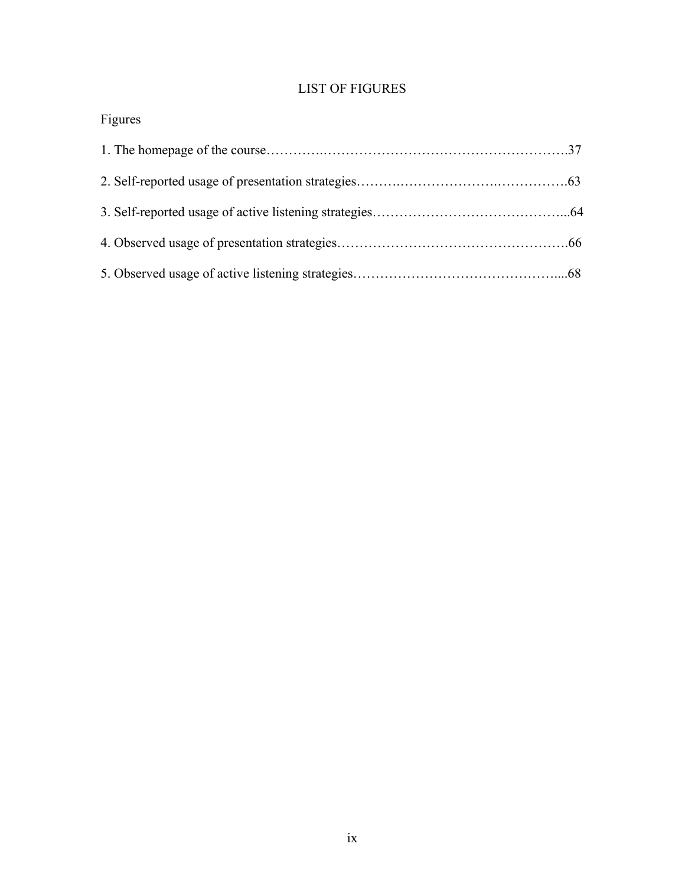## LIST OF FIGURES

## Figures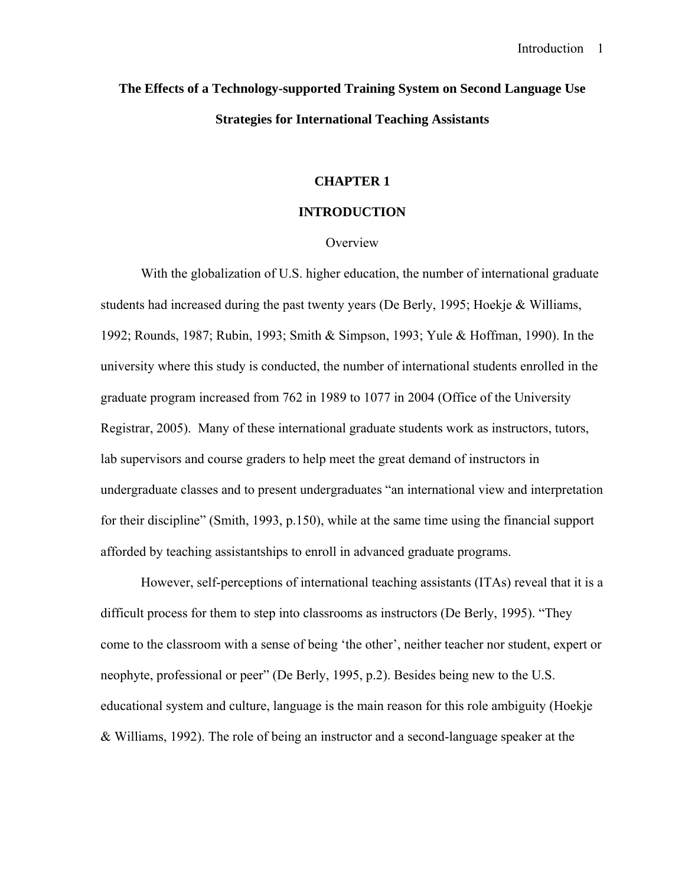# **The Effects of a Technology-supported Training System on Second Language Use Strategies for International Teaching Assistants**

#### **CHAPTER 1**

#### **INTRODUCTION**

#### **Overview**

With the globalization of U.S. higher education, the number of international graduate students had increased during the past twenty years (De Berly, 1995; Hoekje & Williams, 1992; Rounds, 1987; Rubin, 1993; Smith & Simpson, 1993; Yule & Hoffman, 1990). In the university where this study is conducted, the number of international students enrolled in the graduate program increased from 762 in 1989 to 1077 in 2004 (Office of the University Registrar, 2005). Many of these international graduate students work as instructors, tutors, lab supervisors and course graders to help meet the great demand of instructors in undergraduate classes and to present undergraduates "an international view and interpretation for their discipline" (Smith, 1993, p.150), while at the same time using the financial support afforded by teaching assistantships to enroll in advanced graduate programs.

However, self-perceptions of international teaching assistants (ITAs) reveal that it is a difficult process for them to step into classrooms as instructors (De Berly, 1995). "They come to the classroom with a sense of being 'the other', neither teacher nor student, expert or neophyte, professional or peer" (De Berly, 1995, p.2). Besides being new to the U.S. educational system and culture, language is the main reason for this role ambiguity (Hoekje & Williams, 1992). The role of being an instructor and a second-language speaker at the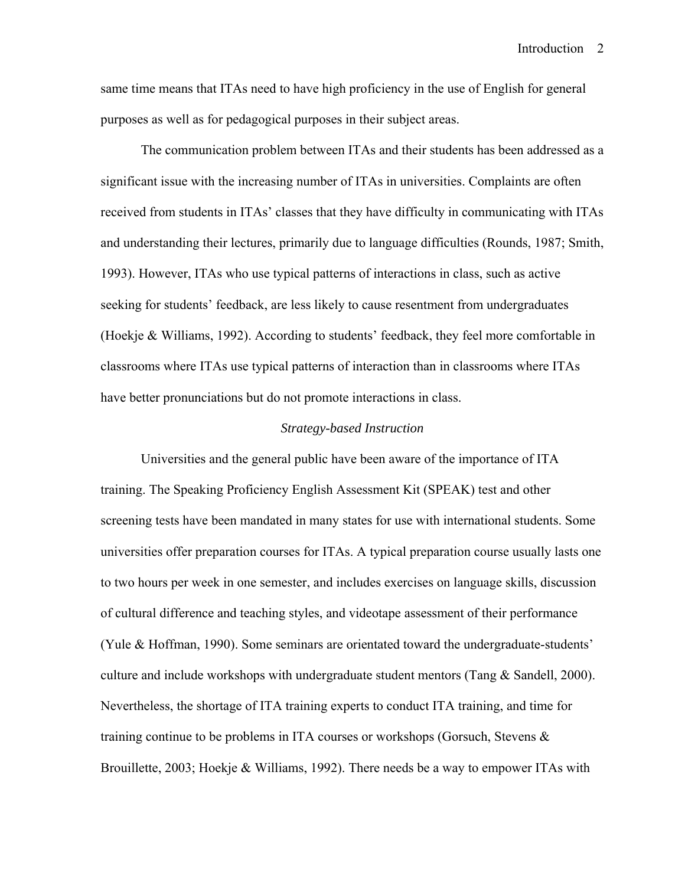same time means that ITAs need to have high proficiency in the use of English for general purposes as well as for pedagogical purposes in their subject areas.

The communication problem between ITAs and their students has been addressed as a significant issue with the increasing number of ITAs in universities. Complaints are often received from students in ITAs' classes that they have difficulty in communicating with ITAs and understanding their lectures, primarily due to language difficulties (Rounds, 1987; Smith, 1993). However, ITAs who use typical patterns of interactions in class, such as active seeking for students' feedback, are less likely to cause resentment from undergraduates (Hoekje & Williams, 1992). According to students' feedback, they feel more comfortable in classrooms where ITAs use typical patterns of interaction than in classrooms where ITAs have better pronunciations but do not promote interactions in class.

#### *Strategy-based Instruction*

Universities and the general public have been aware of the importance of ITA training. The Speaking Proficiency English Assessment Kit (SPEAK) test and other screening tests have been mandated in many states for use with international students. Some universities offer preparation courses for ITAs. A typical preparation course usually lasts one to two hours per week in one semester, and includes exercises on language skills, discussion of cultural difference and teaching styles, and videotape assessment of their performance (Yule & Hoffman, 1990). Some seminars are orientated toward the undergraduate-students' culture and include workshops with undergraduate student mentors (Tang & Sandell, 2000). Nevertheless, the shortage of ITA training experts to conduct ITA training, and time for training continue to be problems in ITA courses or workshops (Gorsuch, Stevens & Brouillette, 2003; Hoekje & Williams, 1992). There needs be a way to empower ITAs with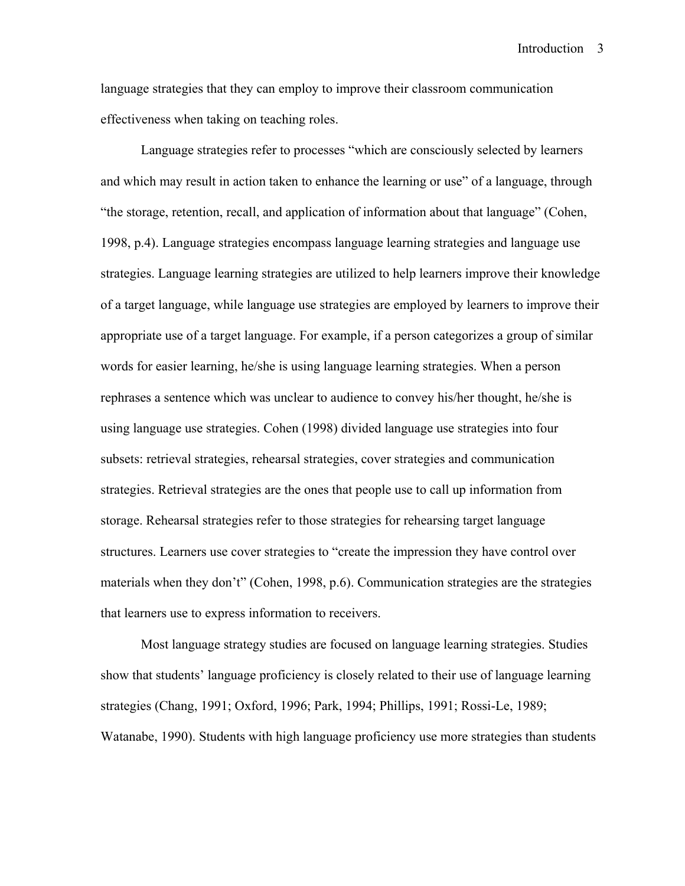language strategies that they can employ to improve their classroom communication effectiveness when taking on teaching roles.

Language strategies refer to processes "which are consciously selected by learners and which may result in action taken to enhance the learning or use" of a language, through "the storage, retention, recall, and application of information about that language" (Cohen, 1998, p.4). Language strategies encompass language learning strategies and language use strategies. Language learning strategies are utilized to help learners improve their knowledge of a target language, while language use strategies are employed by learners to improve their appropriate use of a target language. For example, if a person categorizes a group of similar words for easier learning, he/she is using language learning strategies. When a person rephrases a sentence which was unclear to audience to convey his/her thought, he/she is using language use strategies. Cohen (1998) divided language use strategies into four subsets: retrieval strategies, rehearsal strategies, cover strategies and communication strategies. Retrieval strategies are the ones that people use to call up information from storage. Rehearsal strategies refer to those strategies for rehearsing target language structures. Learners use cover strategies to "create the impression they have control over materials when they don't" (Cohen, 1998, p.6). Communication strategies are the strategies that learners use to express information to receivers.

Most language strategy studies are focused on language learning strategies. Studies show that students' language proficiency is closely related to their use of language learning strategies (Chang, 1991; Oxford, 1996; Park, 1994; Phillips, 1991; Rossi-Le, 1989; Watanabe, 1990). Students with high language proficiency use more strategies than students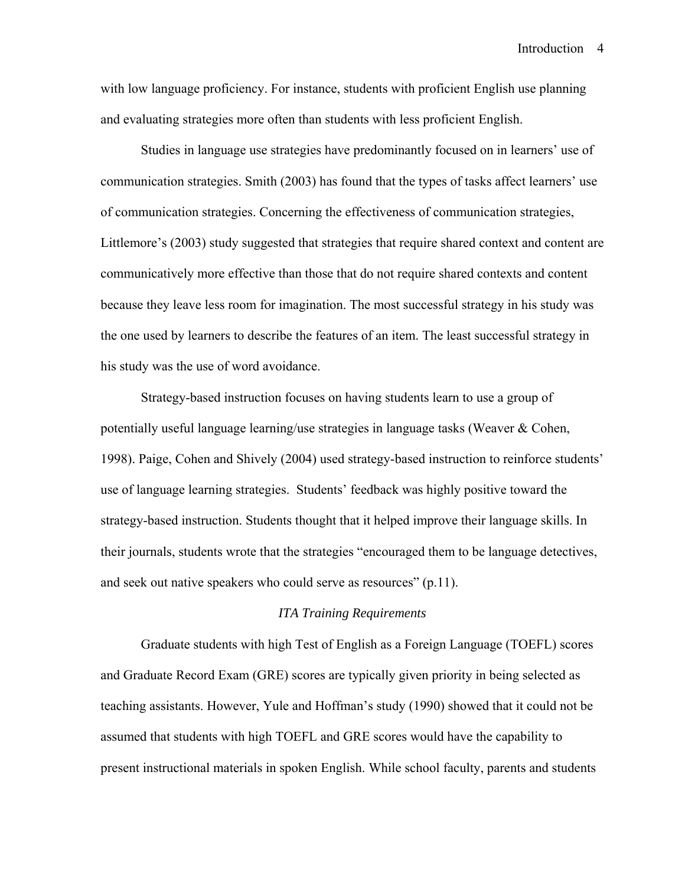with low language proficiency. For instance, students with proficient English use planning and evaluating strategies more often than students with less proficient English.

Studies in language use strategies have predominantly focused on in learners' use of communication strategies. Smith (2003) has found that the types of tasks affect learners' use of communication strategies. Concerning the effectiveness of communication strategies, Littlemore's (2003) study suggested that strategies that require shared context and content are communicatively more effective than those that do not require shared contexts and content because they leave less room for imagination. The most successful strategy in his study was the one used by learners to describe the features of an item. The least successful strategy in his study was the use of word avoidance.

Strategy-based instruction focuses on having students learn to use a group of potentially useful language learning/use strategies in language tasks (Weaver & Cohen, 1998). Paige, Cohen and Shively (2004) used strategy-based instruction to reinforce students' use of language learning strategies. Students' feedback was highly positive toward the strategy-based instruction. Students thought that it helped improve their language skills. In their journals, students wrote that the strategies "encouraged them to be language detectives, and seek out native speakers who could serve as resources" (p.11).

#### *ITA Training Requirements*

Graduate students with high Test of English as a Foreign Language (TOEFL) scores and Graduate Record Exam (GRE) scores are typically given priority in being selected as teaching assistants. However, Yule and Hoffman's study (1990) showed that it could not be assumed that students with high TOEFL and GRE scores would have the capability to present instructional materials in spoken English. While school faculty, parents and students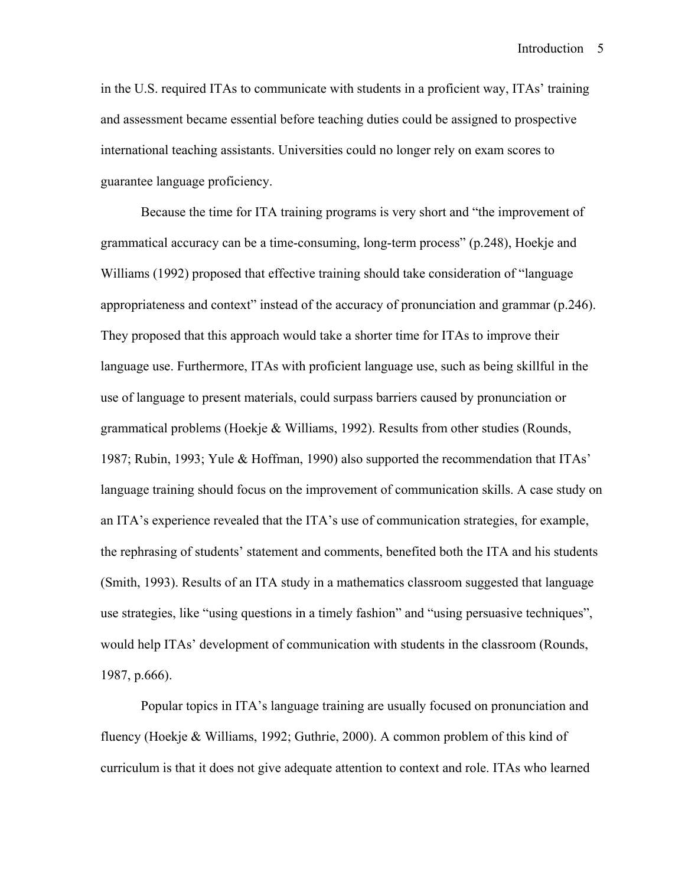in the U.S. required ITAs to communicate with students in a proficient way, ITAs' training and assessment became essential before teaching duties could be assigned to prospective international teaching assistants. Universities could no longer rely on exam scores to guarantee language proficiency.

Because the time for ITA training programs is very short and "the improvement of grammatical accuracy can be a time-consuming, long-term process" (p.248), Hoekje and Williams (1992) proposed that effective training should take consideration of "language appropriateness and context" instead of the accuracy of pronunciation and grammar (p.246). They proposed that this approach would take a shorter time for ITAs to improve their language use. Furthermore, ITAs with proficient language use, such as being skillful in the use of language to present materials, could surpass barriers caused by pronunciation or grammatical problems (Hoekje  $\&$  Williams, 1992). Results from other studies (Rounds, 1987; Rubin, 1993; Yule & Hoffman, 1990) also supported the recommendation that ITAs' language training should focus on the improvement of communication skills. A case study on an ITA's experience revealed that the ITA's use of communication strategies, for example, the rephrasing of students' statement and comments, benefited both the ITA and his students (Smith, 1993). Results of an ITA study in a mathematics classroom suggested that language use strategies, like "using questions in a timely fashion" and "using persuasive techniques", would help ITAs' development of communication with students in the classroom (Rounds, 1987, p.666).

Popular topics in ITA's language training are usually focused on pronunciation and fluency (Hoekje & Williams, 1992; Guthrie, 2000). A common problem of this kind of curriculum is that it does not give adequate attention to context and role. ITAs who learned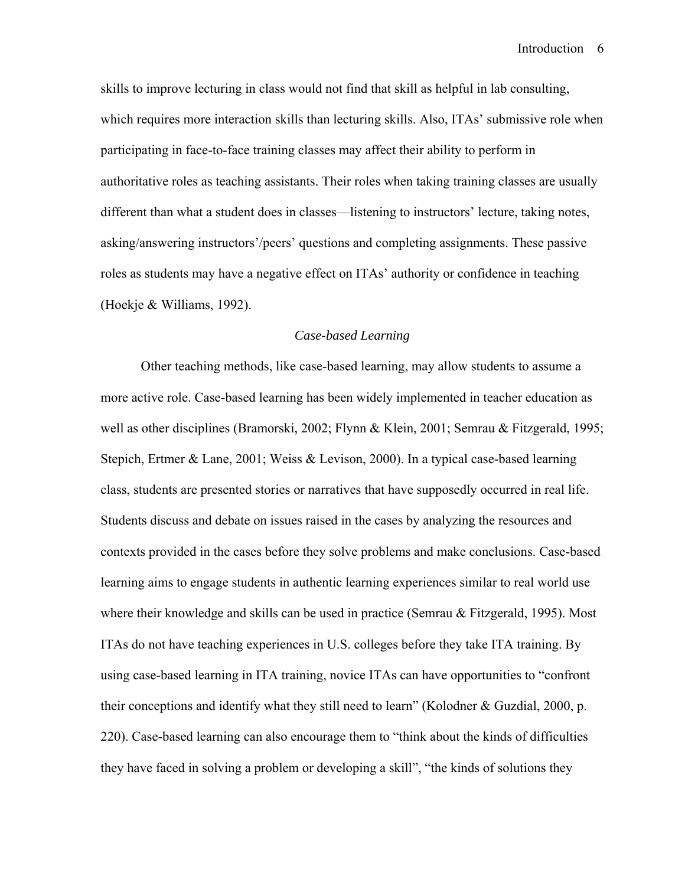skills to improve lecturing in class would not find that skill as helpful in lab consulting, which requires more interaction skills than lecturing skills. Also, ITAs' submissive role when participating in face-to-face training classes may affect their ability to perform in authoritative roles as teaching assistants. Their roles when taking training classes are usually different than what a student does in classes—listening to instructors' lecture, taking notes, asking/answering instructors'/peers' questions and completing assignments. These passive roles as students may have a negative effect on ITAs' authority or confidence in teaching (Hoekje & Williams, 1992).

#### *Case-based Learning*

Other teaching methods, like case-based learning, may allow students to assume a more active role. Case-based learning has been widely implemented in teacher education as well as other disciplines (Bramorski, 2002; Flynn & Klein, 2001; Semrau & Fitzgerald, 1995; Stepich, Ertmer & Lane, 2001; Weiss & Levison, 2000). In a typical case-based learning class, students are presented stories or narratives that have supposedly occurred in real life. Students discuss and debate on issues raised in the cases by analyzing the resources and contexts provided in the cases before they solve problems and make conclusions. Case-based learning aims to engage students in authentic learning experiences similar to real world use where their knowledge and skills can be used in practice (Semrau & Fitzgerald, 1995). Most ITAs do not have teaching experiences in U.S. colleges before they take ITA training. By using case-based learning in ITA training, novice ITAs can have opportunities to "confront their conceptions and identify what they still need to learn" (Kolodner & Guzdial, 2000, p. 220). Case-based learning can also encourage them to "think about the kinds of difficulties they have faced in solving a problem or developing a skill", "the kinds of solutions they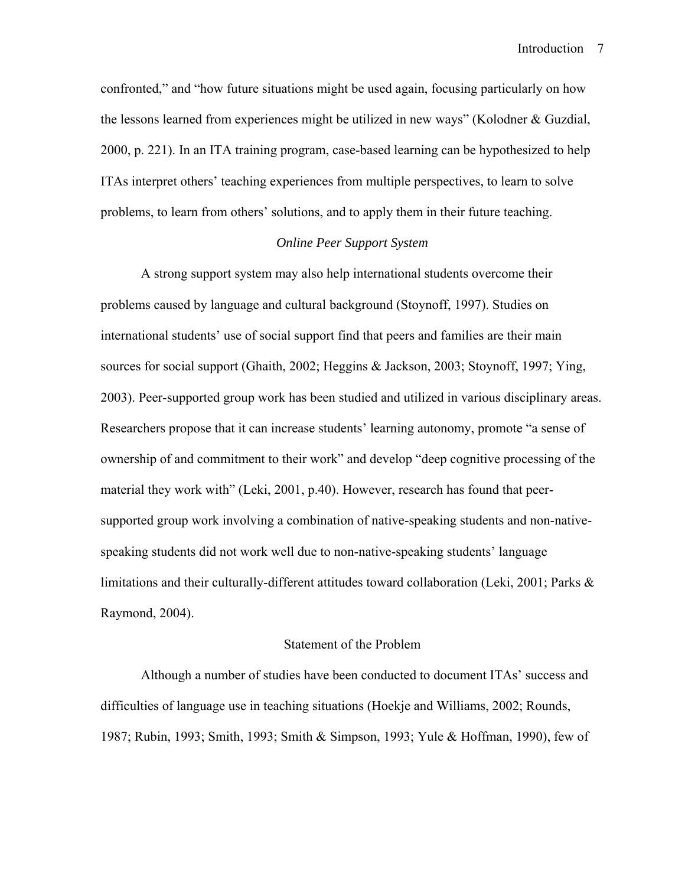confronted," and "how future situations might be used again, focusing particularly on how the lessons learned from experiences might be utilized in new ways" (Kolodner & Guzdial, 2000, p. 221). In an ITA training program, case-based learning can be hypothesized to help ITAs interpret others' teaching experiences from multiple perspectives, to learn to solve problems, to learn from others' solutions, and to apply them in their future teaching.

#### *Online Peer Support System*

A strong support system may also help international students overcome their problems caused by language and cultural background (Stoynoff, 1997). Studies on international students' use of social support find that peers and families are their main sources for social support (Ghaith, 2002; Heggins & Jackson, 2003; Stoynoff, 1997; Ying, 2003). Peer-supported group work has been studied and utilized in various disciplinary areas. Researchers propose that it can increase students' learning autonomy, promote "a sense of ownership of and commitment to their work" and develop "deep cognitive processing of the material they work with" (Leki, 2001, p.40). However, research has found that peersupported group work involving a combination of native-speaking students and non-nativespeaking students did not work well due to non-native-speaking students' language limitations and their culturally-different attitudes toward collaboration (Leki, 2001; Parks & Raymond, 2004).

#### Statement of the Problem

Although a number of studies have been conducted to document ITAs' success and difficulties of language use in teaching situations (Hoekje and Williams, 2002; Rounds, 1987; Rubin, 1993; Smith, 1993; Smith & Simpson, 1993; Yule & Hoffman, 1990), few of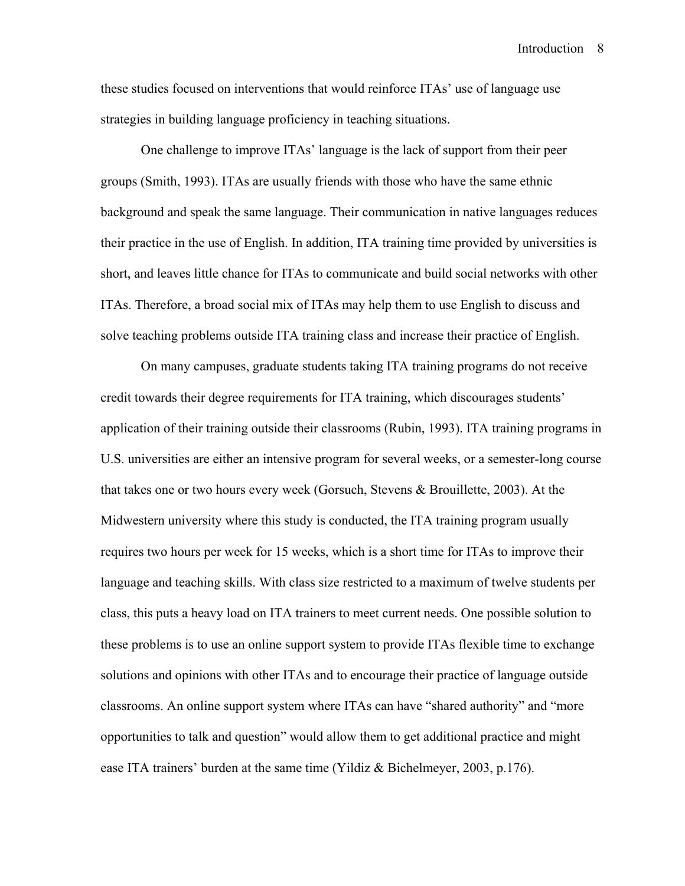these studies focused on interventions that would reinforce ITAs' use of language use strategies in building language proficiency in teaching situations.

One challenge to improve ITAs' language is the lack of support from their peer groups (Smith, 1993). ITAs are usually friends with those who have the same ethnic background and speak the same language. Their communication in native languages reduces their practice in the use of English. In addition, ITA training time provided by universities is short, and leaves little chance for ITAs to communicate and build social networks with other ITAs. Therefore, a broad social mix of ITAs may help them to use English to discuss and solve teaching problems outside ITA training class and increase their practice of English.

On many campuses, graduate students taking ITA training programs do not receive credit towards their degree requirements for ITA training, which discourages students' application of their training outside their classrooms (Rubin, 1993). ITA training programs in U.S. universities are either an intensive program for several weeks, or a semester-long course that takes one or two hours every week (Gorsuch, Stevens & Brouillette, 2003). At the Midwestern university where this study is conducted, the ITA training program usually requires two hours per week for 15 weeks, which is a short time for ITAs to improve their language and teaching skills. With class size restricted to a maximum of twelve students per class, this puts a heavy load on ITA trainers to meet current needs. One possible solution to these problems is to use an online support system to provide ITAs flexible time to exchange solutions and opinions with other ITAs and to encourage their practice of language outside classrooms. An online support system where ITAs can have "shared authority" and "more opportunities to talk and question" would allow them to get additional practice and might ease ITA trainers' burden at the same time (Yildiz & Bichelmeyer, 2003, p.176).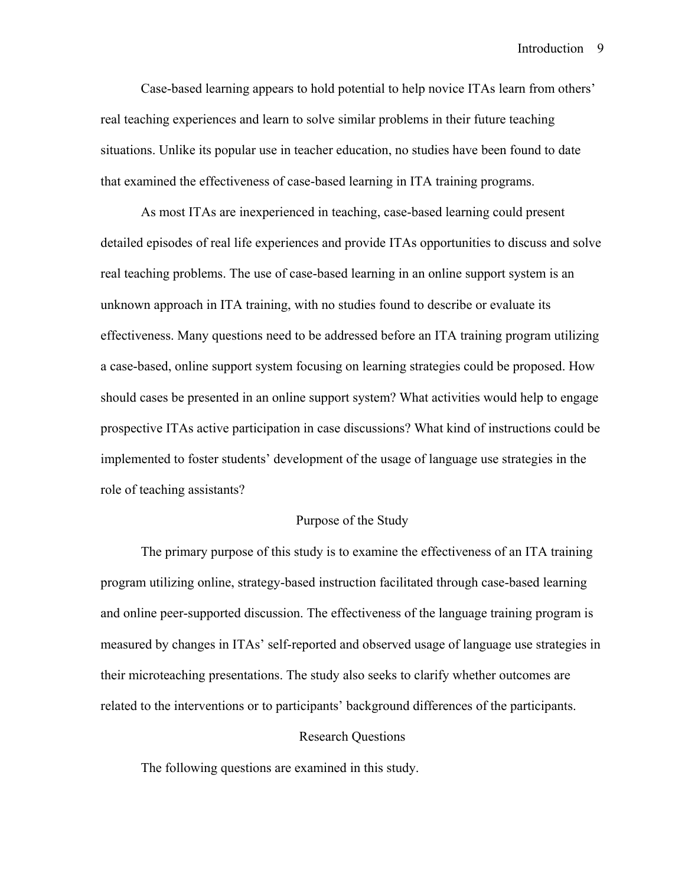Case-based learning appears to hold potential to help novice ITAs learn from others' real teaching experiences and learn to solve similar problems in their future teaching situations. Unlike its popular use in teacher education, no studies have been found to date that examined the effectiveness of case-based learning in ITA training programs.

As most ITAs are inexperienced in teaching, case-based learning could present detailed episodes of real life experiences and provide ITAs opportunities to discuss and solve real teaching problems. The use of case-based learning in an online support system is an unknown approach in ITA training, with no studies found to describe or evaluate its effectiveness. Many questions need to be addressed before an ITA training program utilizing a case-based, online support system focusing on learning strategies could be proposed. How should cases be presented in an online support system? What activities would help to engage prospective ITAs active participation in case discussions? What kind of instructions could be implemented to foster students' development of the usage of language use strategies in the role of teaching assistants?

#### Purpose of the Study

The primary purpose of this study is to examine the effectiveness of an ITA training program utilizing online, strategy-based instruction facilitated through case-based learning and online peer-supported discussion. The effectiveness of the language training program is measured by changes in ITAs' self-reported and observed usage of language use strategies in their microteaching presentations. The study also seeks to clarify whether outcomes are related to the interventions or to participants' background differences of the participants.

#### Research Questions

The following questions are examined in this study.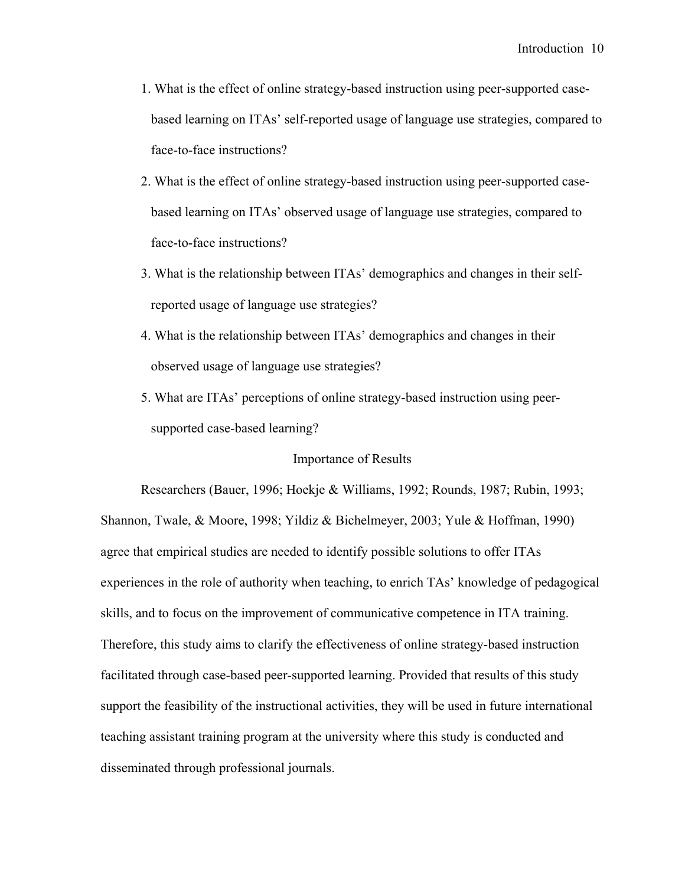- 1. What is the effect of online strategy-based instruction using peer-supported casebased learning on ITAs' self-reported usage of language use strategies, compared to face-to-face instructions?
- 2. What is the effect of online strategy-based instruction using peer-supported casebased learning on ITAs' observed usage of language use strategies, compared to face-to-face instructions?
- 3. What is the relationship between ITAs' demographics and changes in their selfreported usage of language use strategies?
- 4. What is the relationship between ITAs' demographics and changes in their observed usage of language use strategies?
- 5. What are ITAs' perceptions of online strategy-based instruction using peersupported case-based learning?

#### Importance of Results

Researchers (Bauer, 1996; Hoekje & Williams, 1992; Rounds, 1987; Rubin, 1993; Shannon, Twale, & Moore, 1998; Yildiz & Bichelmeyer, 2003; Yule & Hoffman, 1990) agree that empirical studies are needed to identify possible solutions to offer ITAs experiences in the role of authority when teaching, to enrich TAs' knowledge of pedagogical skills, and to focus on the improvement of communicative competence in ITA training. Therefore, this study aims to clarify the effectiveness of online strategy-based instruction facilitated through case-based peer-supported learning. Provided that results of this study support the feasibility of the instructional activities, they will be used in future international teaching assistant training program at the university where this study is conducted and disseminated through professional journals.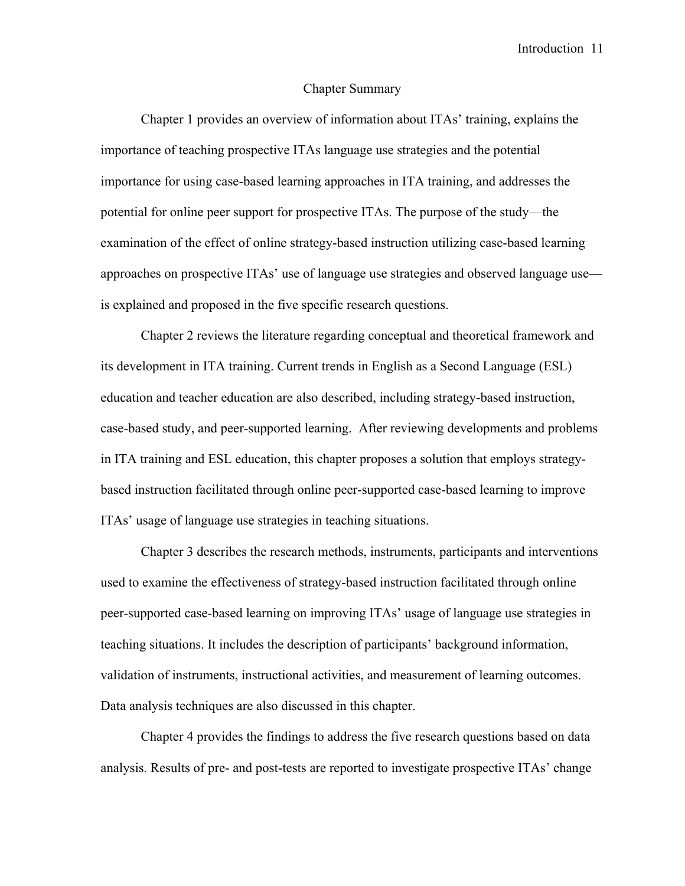#### Chapter Summary

Chapter 1 provides an overview of information about ITAs' training, explains the importance of teaching prospective ITAs language use strategies and the potential importance for using case-based learning approaches in ITA training, and addresses the potential for online peer support for prospective ITAs. The purpose of the study—the examination of the effect of online strategy-based instruction utilizing case-based learning approaches on prospective ITAs' use of language use strategies and observed language use is explained and proposed in the five specific research questions.

Chapter 2 reviews the literature regarding conceptual and theoretical framework and its development in ITA training. Current trends in English as a Second Language (ESL) education and teacher education are also described, including strategy-based instruction, case-based study, and peer-supported learning. After reviewing developments and problems in ITA training and ESL education, this chapter proposes a solution that employs strategybased instruction facilitated through online peer-supported case-based learning to improve ITAs' usage of language use strategies in teaching situations.

Chapter 3 describes the research methods, instruments, participants and interventions used to examine the effectiveness of strategy-based instruction facilitated through online peer-supported case-based learning on improving ITAs' usage of language use strategies in teaching situations. It includes the description of participants' background information, validation of instruments, instructional activities, and measurement of learning outcomes. Data analysis techniques are also discussed in this chapter.

Chapter 4 provides the findings to address the five research questions based on data analysis. Results of pre- and post-tests are reported to investigate prospective ITAs' change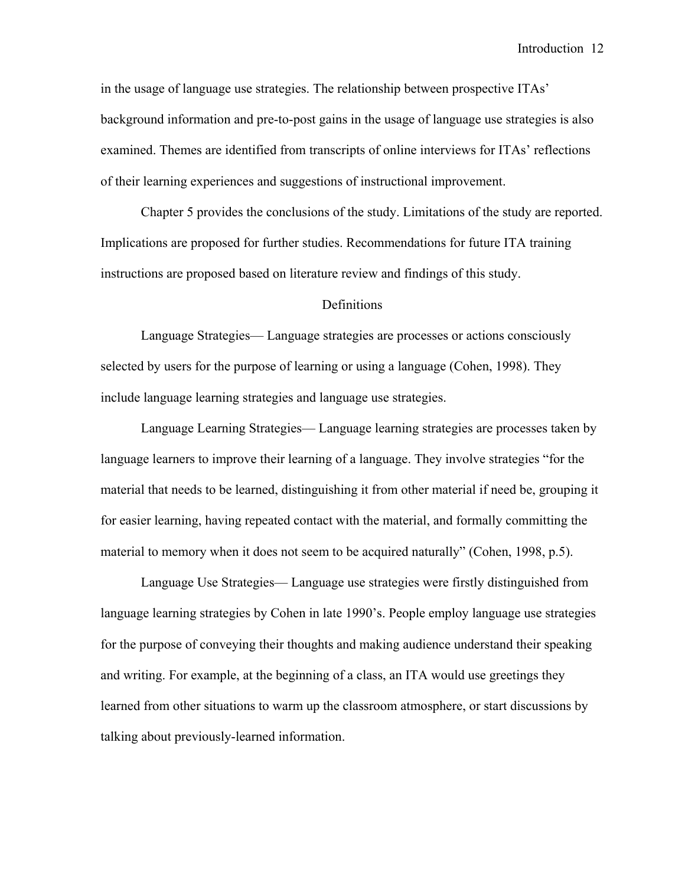in the usage of language use strategies. The relationship between prospective ITAs' background information and pre-to-post gains in the usage of language use strategies is also examined. Themes are identified from transcripts of online interviews for ITAs' reflections of their learning experiences and suggestions of instructional improvement.

Chapter 5 provides the conclusions of the study. Limitations of the study are reported. Implications are proposed for further studies. Recommendations for future ITA training instructions are proposed based on literature review and findings of this study.

#### Definitions

Language Strategies— Language strategies are processes or actions consciously selected by users for the purpose of learning or using a language (Cohen, 1998). They include language learning strategies and language use strategies.

Language Learning Strategies— Language learning strategies are processes taken by language learners to improve their learning of a language. They involve strategies "for the material that needs to be learned, distinguishing it from other material if need be, grouping it for easier learning, having repeated contact with the material, and formally committing the material to memory when it does not seem to be acquired naturally" (Cohen, 1998, p.5).

Language Use Strategies— Language use strategies were firstly distinguished from language learning strategies by Cohen in late 1990's. People employ language use strategies for the purpose of conveying their thoughts and making audience understand their speaking and writing. For example, at the beginning of a class, an ITA would use greetings they learned from other situations to warm up the classroom atmosphere, or start discussions by talking about previously-learned information.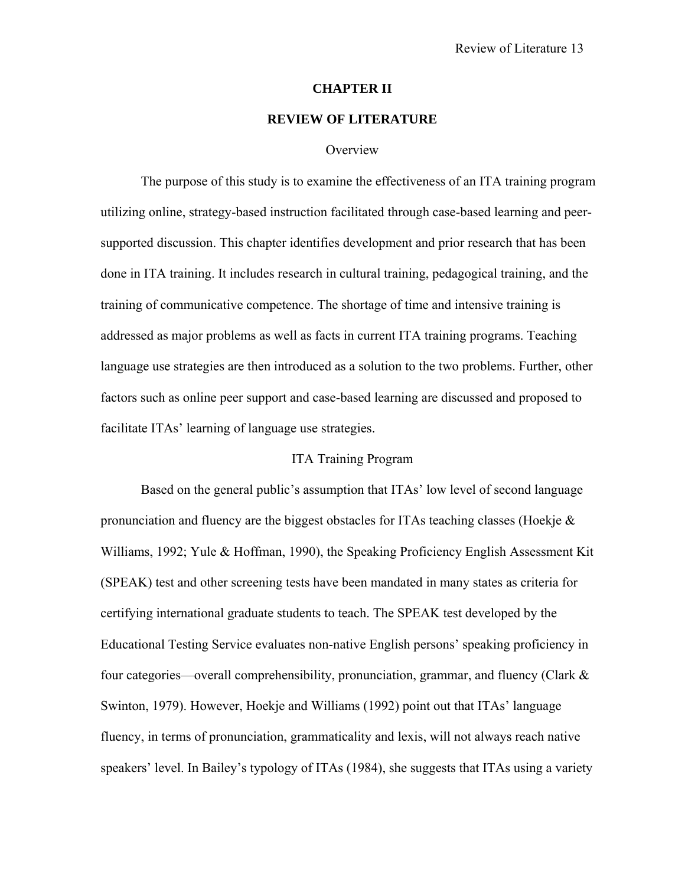#### **CHAPTER II**

#### **REVIEW OF LITERATURE**

#### **Overview**

The purpose of this study is to examine the effectiveness of an ITA training program utilizing online, strategy-based instruction facilitated through case-based learning and peersupported discussion. This chapter identifies development and prior research that has been done in ITA training. It includes research in cultural training, pedagogical training, and the training of communicative competence. The shortage of time and intensive training is addressed as major problems as well as facts in current ITA training programs. Teaching language use strategies are then introduced as a solution to the two problems. Further, other factors such as online peer support and case-based learning are discussed and proposed to facilitate ITAs' learning of language use strategies.

#### ITA Training Program

Based on the general public's assumption that ITAs' low level of second language pronunciation and fluency are the biggest obstacles for ITAs teaching classes (Hoekje  $\&$ Williams, 1992; Yule & Hoffman, 1990), the Speaking Proficiency English Assessment Kit (SPEAK) test and other screening tests have been mandated in many states as criteria for certifying international graduate students to teach. The SPEAK test developed by the Educational Testing Service evaluates non-native English persons' speaking proficiency in four categories—overall comprehensibility, pronunciation, grammar, and fluency (Clark & Swinton, 1979). However, Hoekje and Williams (1992) point out that ITAs' language fluency, in terms of pronunciation, grammaticality and lexis, will not always reach native speakers' level. In Bailey's typology of ITAs (1984), she suggests that ITAs using a variety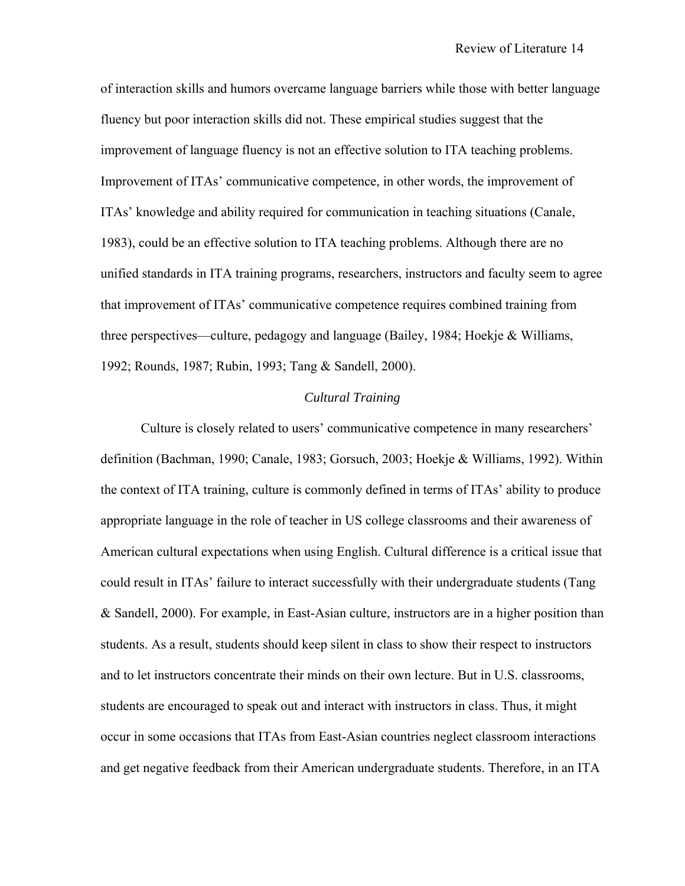of interaction skills and humors overcame language barriers while those with better language fluency but poor interaction skills did not. These empirical studies suggest that the improvement of language fluency is not an effective solution to ITA teaching problems. Improvement of ITAs' communicative competence, in other words, the improvement of ITAs' knowledge and ability required for communication in teaching situations (Canale, 1983), could be an effective solution to ITA teaching problems. Although there are no unified standards in ITA training programs, researchers, instructors and faculty seem to agree that improvement of ITAs' communicative competence requires combined training from three perspectives—culture, pedagogy and language (Bailey, 1984; Hoekje & Williams, 1992; Rounds, 1987; Rubin, 1993; Tang & Sandell, 2000).

#### *Cultural Training*

Culture is closely related to users' communicative competence in many researchers' definition (Bachman, 1990; Canale, 1983; Gorsuch, 2003; Hoekje & Williams, 1992). Within the context of ITA training, culture is commonly defined in terms of ITAs' ability to produce appropriate language in the role of teacher in US college classrooms and their awareness of American cultural expectations when using English. Cultural difference is a critical issue that could result in ITAs' failure to interact successfully with their undergraduate students (Tang & Sandell, 2000). For example, in East-Asian culture, instructors are in a higher position than students. As a result, students should keep silent in class to show their respect to instructors and to let instructors concentrate their minds on their own lecture. But in U.S. classrooms, students are encouraged to speak out and interact with instructors in class. Thus, it might occur in some occasions that ITAs from East-Asian countries neglect classroom interactions and get negative feedback from their American undergraduate students. Therefore, in an ITA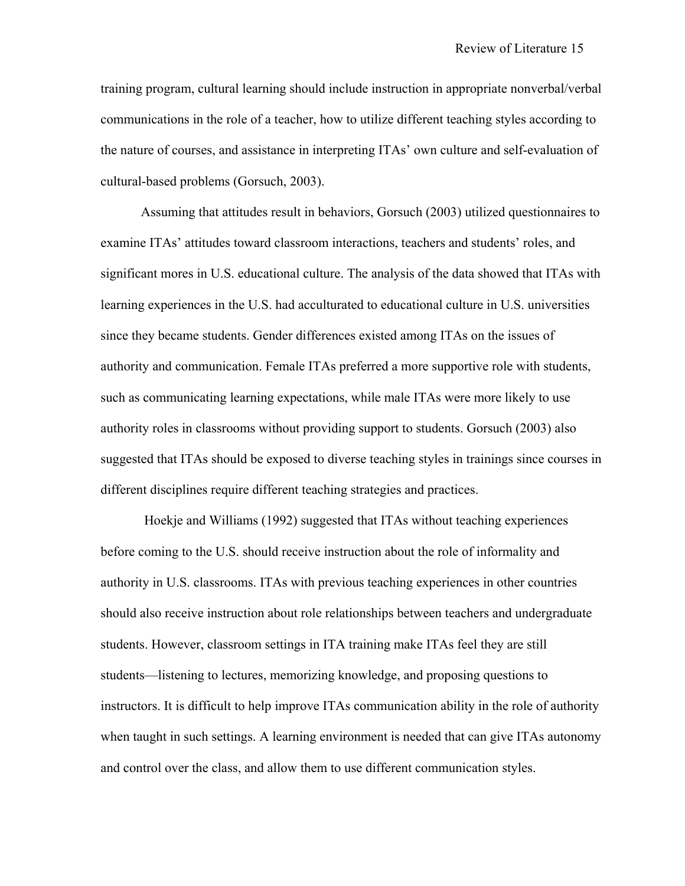training program, cultural learning should include instruction in appropriate nonverbal/verbal communications in the role of a teacher, how to utilize different teaching styles according to the nature of courses, and assistance in interpreting ITAs' own culture and self-evaluation of cultural-based problems (Gorsuch, 2003).

Assuming that attitudes result in behaviors, Gorsuch (2003) utilized questionnaires to examine ITAs' attitudes toward classroom interactions, teachers and students' roles, and significant mores in U.S. educational culture. The analysis of the data showed that ITAs with learning experiences in the U.S. had acculturated to educational culture in U.S. universities since they became students. Gender differences existed among ITAs on the issues of authority and communication. Female ITAs preferred a more supportive role with students, such as communicating learning expectations, while male ITAs were more likely to use authority roles in classrooms without providing support to students. Gorsuch (2003) also suggested that ITAs should be exposed to diverse teaching styles in trainings since courses in different disciplines require different teaching strategies and practices.

 Hoekje and Williams (1992) suggested that ITAs without teaching experiences before coming to the U.S. should receive instruction about the role of informality and authority in U.S. classrooms. ITAs with previous teaching experiences in other countries should also receive instruction about role relationships between teachers and undergraduate students. However, classroom settings in ITA training make ITAs feel they are still students—listening to lectures, memorizing knowledge, and proposing questions to instructors. It is difficult to help improve ITAs communication ability in the role of authority when taught in such settings. A learning environment is needed that can give ITAs autonomy and control over the class, and allow them to use different communication styles.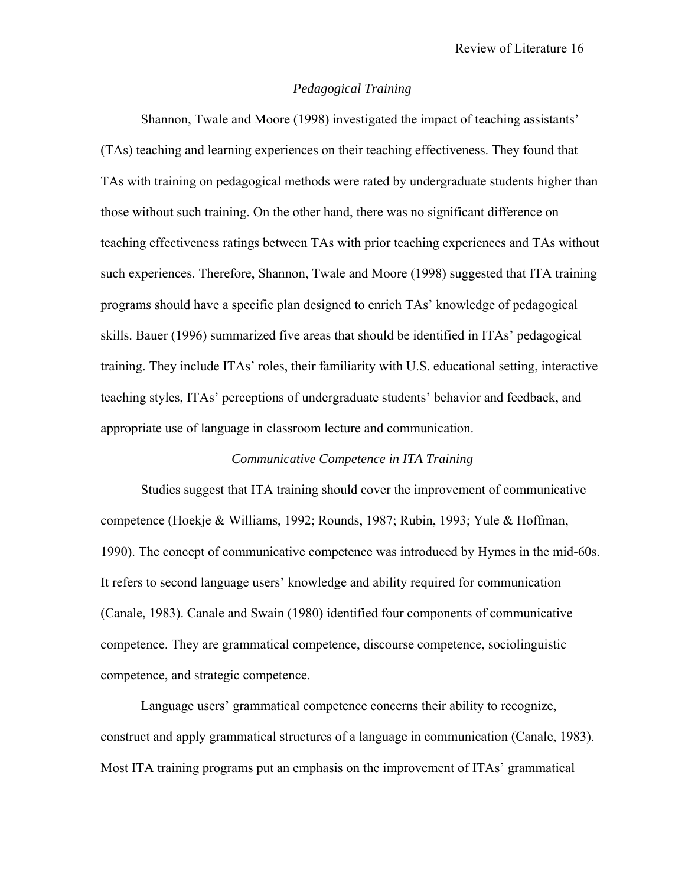#### *Pedagogical Training*

 Shannon, Twale and Moore (1998) investigated the impact of teaching assistants' (TAs) teaching and learning experiences on their teaching effectiveness. They found that TAs with training on pedagogical methods were rated by undergraduate students higher than those without such training. On the other hand, there was no significant difference on teaching effectiveness ratings between TAs with prior teaching experiences and TAs without such experiences. Therefore, Shannon, Twale and Moore (1998) suggested that ITA training programs should have a specific plan designed to enrich TAs' knowledge of pedagogical skills. Bauer (1996) summarized five areas that should be identified in ITAs' pedagogical training. They include ITAs' roles, their familiarity with U.S. educational setting, interactive teaching styles, ITAs' perceptions of undergraduate students' behavior and feedback, and appropriate use of language in classroom lecture and communication.

#### *Communicative Competence in ITA Training*

 Studies suggest that ITA training should cover the improvement of communicative competence (Hoekje & Williams, 1992; Rounds, 1987; Rubin, 1993; Yule & Hoffman, 1990). The concept of communicative competence was introduced by Hymes in the mid-60s. It refers to second language users' knowledge and ability required for communication (Canale, 1983). Canale and Swain (1980) identified four components of communicative competence. They are grammatical competence, discourse competence, sociolinguistic competence, and strategic competence.

Language users' grammatical competence concerns their ability to recognize, construct and apply grammatical structures of a language in communication (Canale, 1983). Most ITA training programs put an emphasis on the improvement of ITAs' grammatical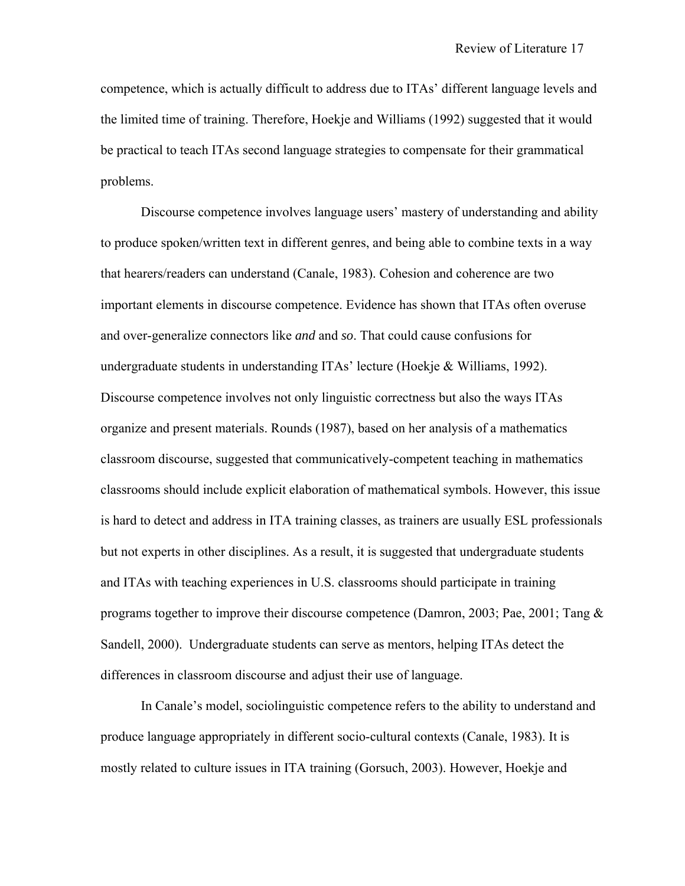competence, which is actually difficult to address due to ITAs' different language levels and the limited time of training. Therefore, Hoekje and Williams (1992) suggested that it would be practical to teach ITAs second language strategies to compensate for their grammatical problems.

Discourse competence involves language users' mastery of understanding and ability to produce spoken/written text in different genres, and being able to combine texts in a way that hearers/readers can understand (Canale, 1983). Cohesion and coherence are two important elements in discourse competence. Evidence has shown that ITAs often overuse and over-generalize connectors like *and* and *so*. That could cause confusions for undergraduate students in understanding ITAs' lecture (Hoekje & Williams, 1992). Discourse competence involves not only linguistic correctness but also the ways ITAs organize and present materials. Rounds (1987), based on her analysis of a mathematics classroom discourse, suggested that communicatively-competent teaching in mathematics classrooms should include explicit elaboration of mathematical symbols. However, this issue is hard to detect and address in ITA training classes, as trainers are usually ESL professionals but not experts in other disciplines. As a result, it is suggested that undergraduate students and ITAs with teaching experiences in U.S. classrooms should participate in training programs together to improve their discourse competence (Damron, 2003; Pae, 2001; Tang & Sandell, 2000). Undergraduate students can serve as mentors, helping ITAs detect the differences in classroom discourse and adjust their use of language.

In Canale's model, sociolinguistic competence refers to the ability to understand and produce language appropriately in different socio-cultural contexts (Canale, 1983). It is mostly related to culture issues in ITA training (Gorsuch, 2003). However, Hoekje and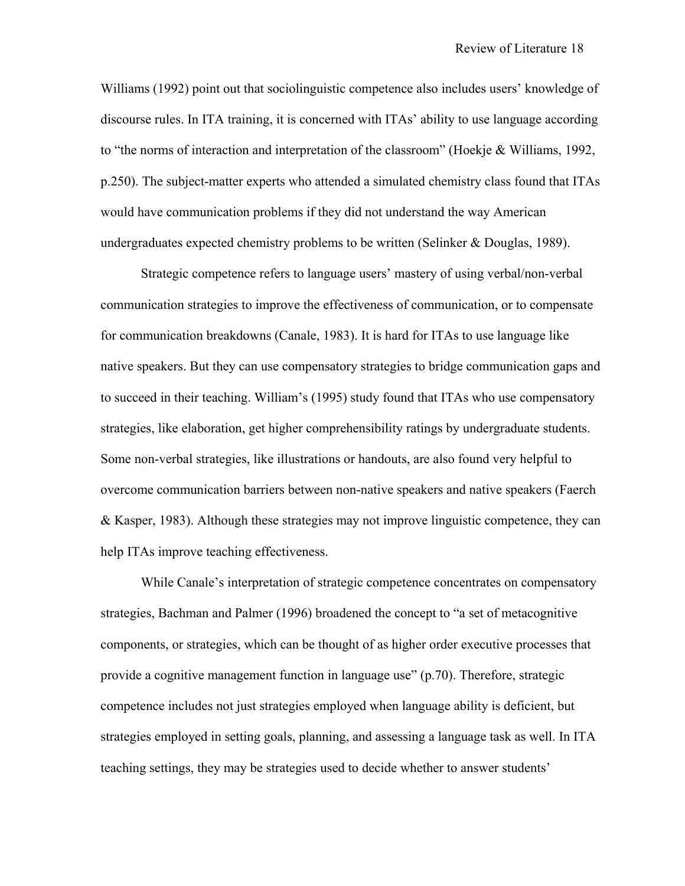Williams (1992) point out that sociolinguistic competence also includes users' knowledge of discourse rules. In ITA training, it is concerned with ITAs' ability to use language according to "the norms of interaction and interpretation of the classroom" (Hoekje & Williams, 1992, p.250). The subject-matter experts who attended a simulated chemistry class found that ITAs would have communication problems if they did not understand the way American undergraduates expected chemistry problems to be written (Selinker & Douglas, 1989).

Strategic competence refers to language users' mastery of using verbal/non-verbal communication strategies to improve the effectiveness of communication, or to compensate for communication breakdowns (Canale, 1983). It is hard for ITAs to use language like native speakers. But they can use compensatory strategies to bridge communication gaps and to succeed in their teaching. William's (1995) study found that ITAs who use compensatory strategies, like elaboration, get higher comprehensibility ratings by undergraduate students. Some non-verbal strategies, like illustrations or handouts, are also found very helpful to overcome communication barriers between non-native speakers and native speakers (Faerch & Kasper, 1983). Although these strategies may not improve linguistic competence, they can help ITAs improve teaching effectiveness.

While Canale's interpretation of strategic competence concentrates on compensatory strategies, Bachman and Palmer (1996) broadened the concept to "a set of metacognitive components, or strategies, which can be thought of as higher order executive processes that provide a cognitive management function in language use" (p.70). Therefore, strategic competence includes not just strategies employed when language ability is deficient, but strategies employed in setting goals, planning, and assessing a language task as well. In ITA teaching settings, they may be strategies used to decide whether to answer students'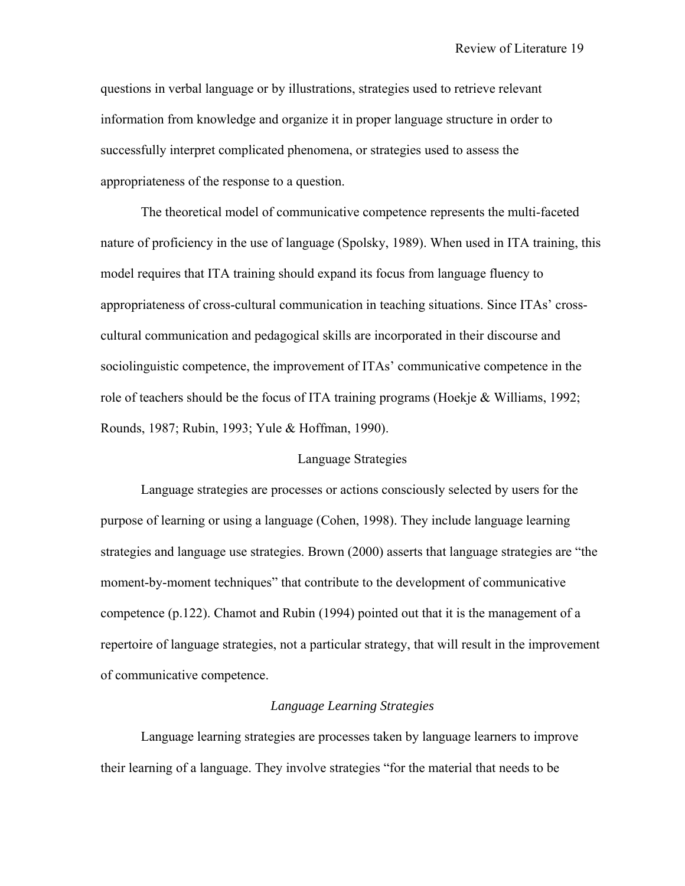questions in verbal language or by illustrations, strategies used to retrieve relevant information from knowledge and organize it in proper language structure in order to successfully interpret complicated phenomena, or strategies used to assess the appropriateness of the response to a question.

 The theoretical model of communicative competence represents the multi-faceted nature of proficiency in the use of language (Spolsky, 1989). When used in ITA training, this model requires that ITA training should expand its focus from language fluency to appropriateness of cross-cultural communication in teaching situations. Since ITAs' crosscultural communication and pedagogical skills are incorporated in their discourse and sociolinguistic competence, the improvement of ITAs' communicative competence in the role of teachers should be the focus of ITA training programs (Hoekje & Williams, 1992; Rounds, 1987; Rubin, 1993; Yule & Hoffman, 1990).

#### Language Strategies

Language strategies are processes or actions consciously selected by users for the purpose of learning or using a language (Cohen, 1998). They include language learning strategies and language use strategies. Brown (2000) asserts that language strategies are "the moment-by-moment techniques" that contribute to the development of communicative competence (p.122). Chamot and Rubin (1994) pointed out that it is the management of a repertoire of language strategies, not a particular strategy, that will result in the improvement of communicative competence.

#### *Language Learning Strategies*

 Language learning strategies are processes taken by language learners to improve their learning of a language. They involve strategies "for the material that needs to be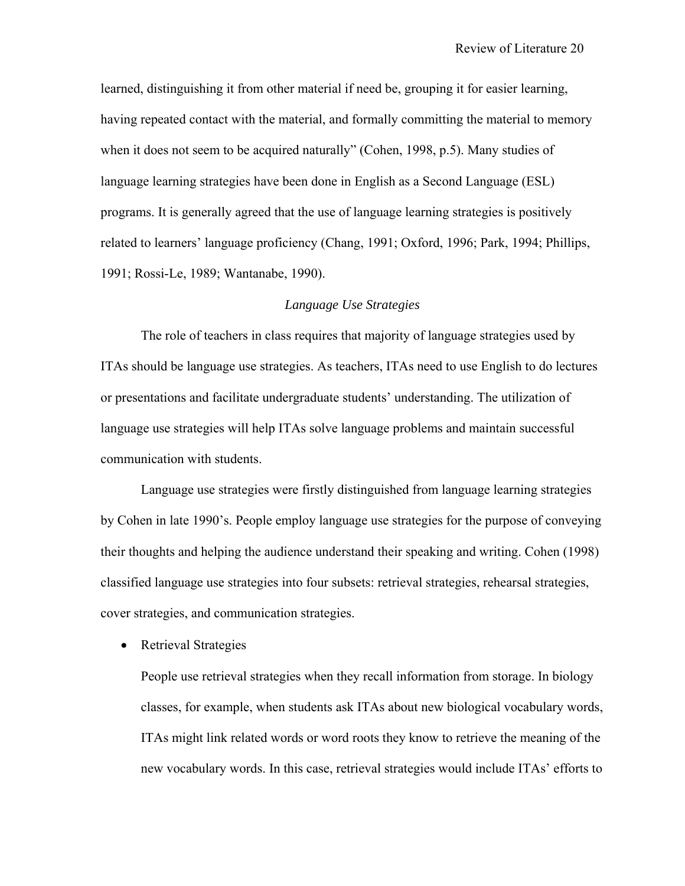learned, distinguishing it from other material if need be, grouping it for easier learning, having repeated contact with the material, and formally committing the material to memory when it does not seem to be acquired naturally" (Cohen, 1998, p.5). Many studies of language learning strategies have been done in English as a Second Language (ESL) programs. It is generally agreed that the use of language learning strategies is positively related to learners' language proficiency (Chang, 1991; Oxford, 1996; Park, 1994; Phillips, 1991; Rossi-Le, 1989; Wantanabe, 1990).

#### *Language Use Strategies*

 The role of teachers in class requires that majority of language strategies used by ITAs should be language use strategies. As teachers, ITAs need to use English to do lectures or presentations and facilitate undergraduate students' understanding. The utilization of language use strategies will help ITAs solve language problems and maintain successful communication with students.

Language use strategies were firstly distinguished from language learning strategies by Cohen in late 1990's. People employ language use strategies for the purpose of conveying their thoughts and helping the audience understand their speaking and writing. Cohen (1998) classified language use strategies into four subsets: retrieval strategies, rehearsal strategies, cover strategies, and communication strategies.

• Retrieval Strategies

People use retrieval strategies when they recall information from storage. In biology classes, for example, when students ask ITAs about new biological vocabulary words, ITAs might link related words or word roots they know to retrieve the meaning of the new vocabulary words. In this case, retrieval strategies would include ITAs' efforts to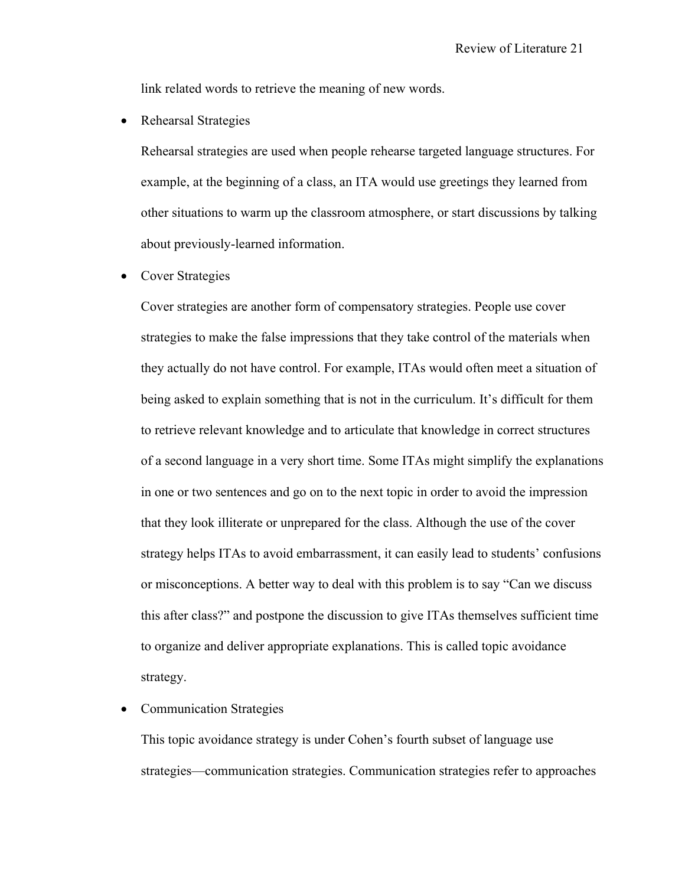link related words to retrieve the meaning of new words.

• Rehearsal Strategies

Rehearsal strategies are used when people rehearse targeted language structures. For example, at the beginning of a class, an ITA would use greetings they learned from other situations to warm up the classroom atmosphere, or start discussions by talking about previously-learned information.

• Cover Strategies

Cover strategies are another form of compensatory strategies. People use cover strategies to make the false impressions that they take control of the materials when they actually do not have control. For example, ITAs would often meet a situation of being asked to explain something that is not in the curriculum. It's difficult for them to retrieve relevant knowledge and to articulate that knowledge in correct structures of a second language in a very short time. Some ITAs might simplify the explanations in one or two sentences and go on to the next topic in order to avoid the impression that they look illiterate or unprepared for the class. Although the use of the cover strategy helps ITAs to avoid embarrassment, it can easily lead to students' confusions or misconceptions. A better way to deal with this problem is to say "Can we discuss this after class?" and postpone the discussion to give ITAs themselves sufficient time to organize and deliver appropriate explanations. This is called topic avoidance strategy.

• Communication Strategies

This topic avoidance strategy is under Cohen's fourth subset of language use strategies—communication strategies. Communication strategies refer to approaches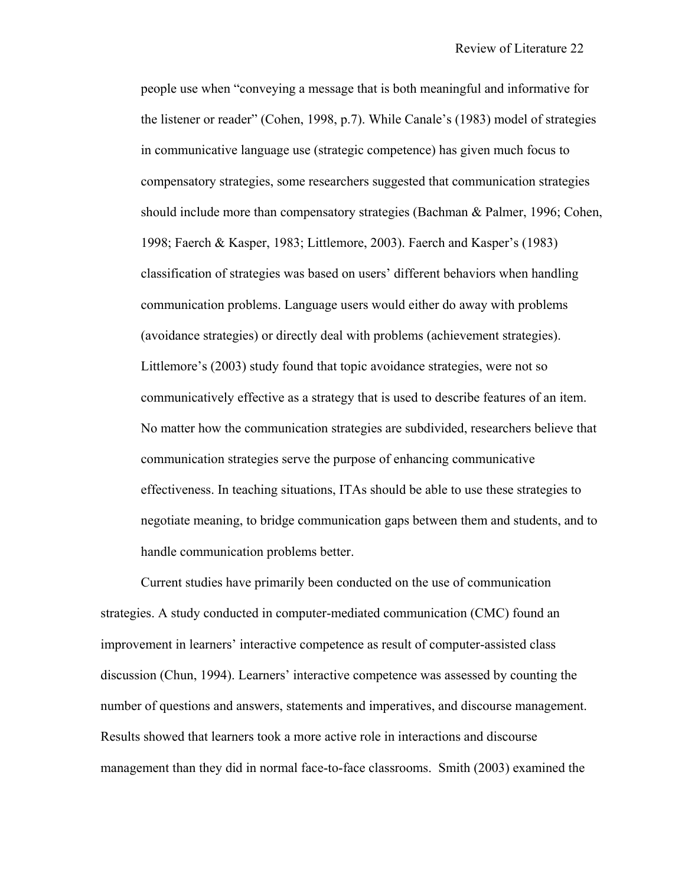people use when "conveying a message that is both meaningful and informative for the listener or reader" (Cohen, 1998, p.7). While Canale's (1983) model of strategies in communicative language use (strategic competence) has given much focus to compensatory strategies, some researchers suggested that communication strategies should include more than compensatory strategies (Bachman & Palmer, 1996; Cohen, 1998; Faerch & Kasper, 1983; Littlemore, 2003). Faerch and Kasper's (1983) classification of strategies was based on users' different behaviors when handling communication problems. Language users would either do away with problems (avoidance strategies) or directly deal with problems (achievement strategies). Littlemore's (2003) study found that topic avoidance strategies, were not so communicatively effective as a strategy that is used to describe features of an item. No matter how the communication strategies are subdivided, researchers believe that communication strategies serve the purpose of enhancing communicative effectiveness. In teaching situations, ITAs should be able to use these strategies to negotiate meaning, to bridge communication gaps between them and students, and to handle communication problems better.

Current studies have primarily been conducted on the use of communication strategies. A study conducted in computer-mediated communication (CMC) found an improvement in learners' interactive competence as result of computer-assisted class discussion (Chun, 1994). Learners' interactive competence was assessed by counting the number of questions and answers, statements and imperatives, and discourse management. Results showed that learners took a more active role in interactions and discourse management than they did in normal face-to-face classrooms. Smith (2003) examined the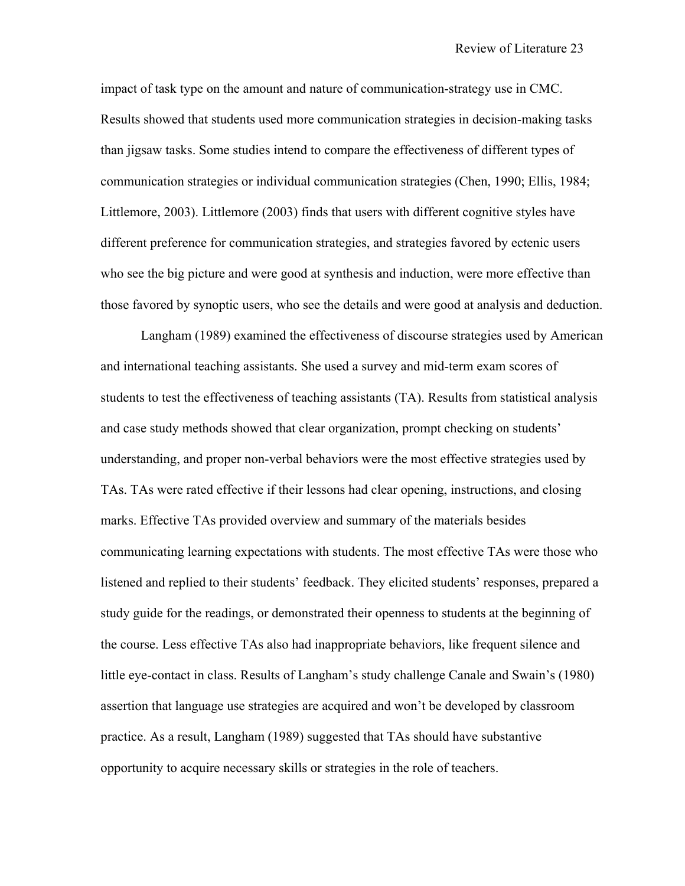impact of task type on the amount and nature of communication-strategy use in CMC. Results showed that students used more communication strategies in decision-making tasks than jigsaw tasks. Some studies intend to compare the effectiveness of different types of communication strategies or individual communication strategies (Chen, 1990; Ellis, 1984; Littlemore, 2003). Littlemore (2003) finds that users with different cognitive styles have different preference for communication strategies, and strategies favored by ectenic users who see the big picture and were good at synthesis and induction, were more effective than those favored by synoptic users, who see the details and were good at analysis and deduction.

Langham (1989) examined the effectiveness of discourse strategies used by American and international teaching assistants. She used a survey and mid-term exam scores of students to test the effectiveness of teaching assistants (TA). Results from statistical analysis and case study methods showed that clear organization, prompt checking on students' understanding, and proper non-verbal behaviors were the most effective strategies used by TAs. TAs were rated effective if their lessons had clear opening, instructions, and closing marks. Effective TAs provided overview and summary of the materials besides communicating learning expectations with students. The most effective TAs were those who listened and replied to their students' feedback. They elicited students' responses, prepared a study guide for the readings, or demonstrated their openness to students at the beginning of the course. Less effective TAs also had inappropriate behaviors, like frequent silence and little eye-contact in class. Results of Langham's study challenge Canale and Swain's (1980) assertion that language use strategies are acquired and won't be developed by classroom practice. As a result, Langham (1989) suggested that TAs should have substantive opportunity to acquire necessary skills or strategies in the role of teachers.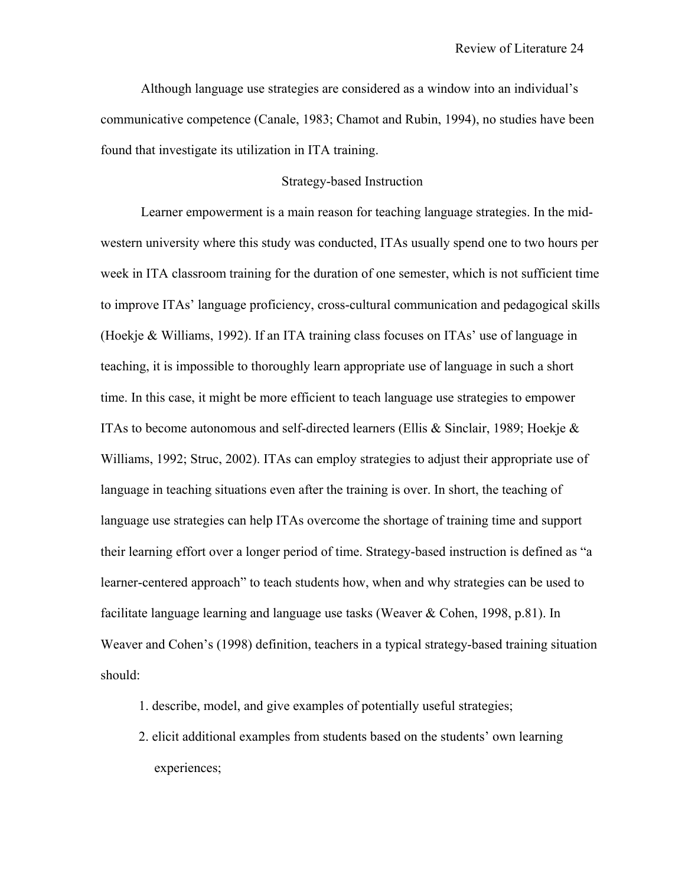Although language use strategies are considered as a window into an individual's communicative competence (Canale, 1983; Chamot and Rubin, 1994), no studies have been found that investigate its utilization in ITA training.

#### Strategy-based Instruction

 Learner empowerment is a main reason for teaching language strategies. In the midwestern university where this study was conducted, ITAs usually spend one to two hours per week in ITA classroom training for the duration of one semester, which is not sufficient time to improve ITAs' language proficiency, cross-cultural communication and pedagogical skills (Hoekje & Williams, 1992). If an ITA training class focuses on ITAs' use of language in teaching, it is impossible to thoroughly learn appropriate use of language in such a short time. In this case, it might be more efficient to teach language use strategies to empower ITAs to become autonomous and self-directed learners (Ellis & Sinclair, 1989; Hoekje & Williams, 1992; Struc, 2002). ITAs can employ strategies to adjust their appropriate use of language in teaching situations even after the training is over. In short, the teaching of language use strategies can help ITAs overcome the shortage of training time and support their learning effort over a longer period of time. Strategy-based instruction is defined as "a learner-centered approach" to teach students how, when and why strategies can be used to facilitate language learning and language use tasks (Weaver & Cohen, 1998, p.81). In Weaver and Cohen's (1998) definition, teachers in a typical strategy-based training situation should:

- 1. describe, model, and give examples of potentially useful strategies;
- 2. elicit additional examples from students based on the students' own learning experiences;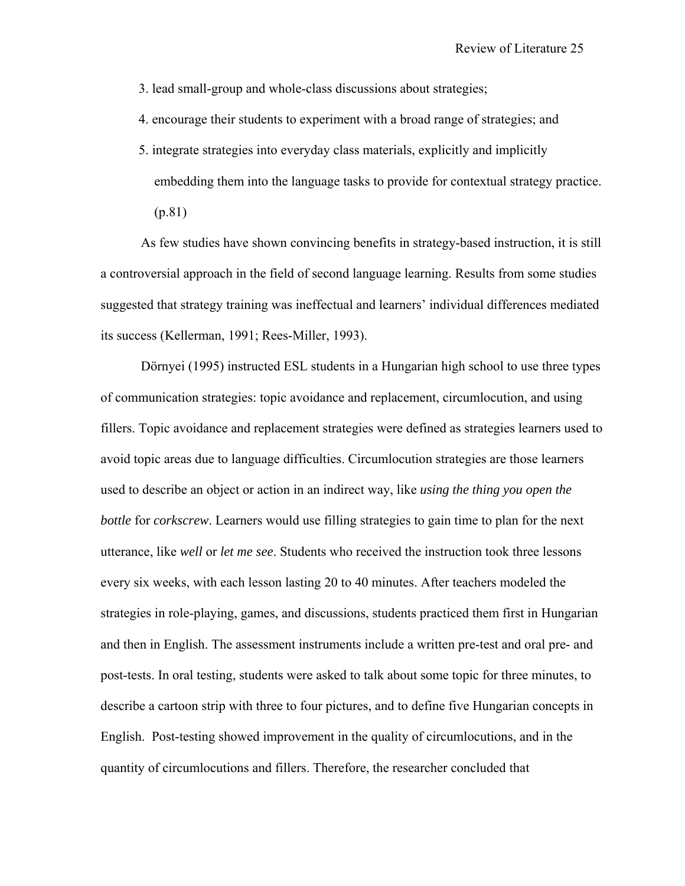3. lead small-group and whole-class discussions about strategies;

- 4. encourage their students to experiment with a broad range of strategies; and
- 5. integrate strategies into everyday class materials, explicitly and implicitly embedding them into the language tasks to provide for contextual strategy practice. (p.81)

As few studies have shown convincing benefits in strategy-based instruction, it is still a controversial approach in the field of second language learning. Results from some studies suggested that strategy training was ineffectual and learners' individual differences mediated its success (Kellerman, 1991; Rees-Miller, 1993).

Dörnyei (1995) instructed ESL students in a Hungarian high school to use three types of communication strategies: topic avoidance and replacement, circumlocution, and using fillers. Topic avoidance and replacement strategies were defined as strategies learners used to avoid topic areas due to language difficulties. Circumlocution strategies are those learners used to describe an object or action in an indirect way, like *using the thing you open the bottle* for *corkscrew*. Learners would use filling strategies to gain time to plan for the next utterance, like *well* or *let me see*. Students who received the instruction took three lessons every six weeks, with each lesson lasting 20 to 40 minutes. After teachers modeled the strategies in role-playing, games, and discussions, students practiced them first in Hungarian and then in English. The assessment instruments include a written pre-test and oral pre- and post-tests. In oral testing, students were asked to talk about some topic for three minutes, to describe a cartoon strip with three to four pictures, and to define five Hungarian concepts in English. Post-testing showed improvement in the quality of circumlocutions, and in the quantity of circumlocutions and fillers. Therefore, the researcher concluded that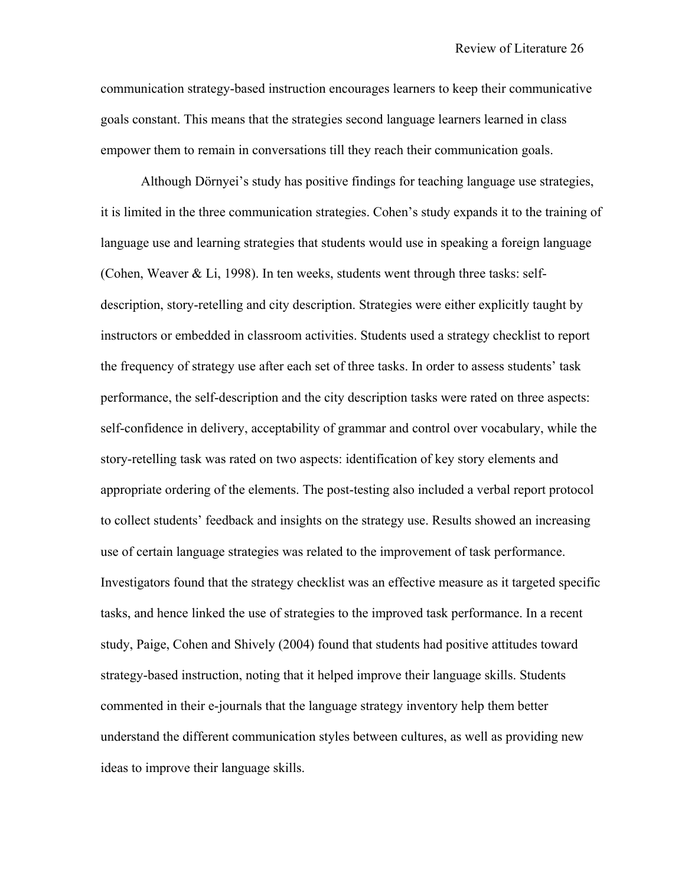communication strategy-based instruction encourages learners to keep their communicative goals constant. This means that the strategies second language learners learned in class empower them to remain in conversations till they reach their communication goals.

Although Dörnyei's study has positive findings for teaching language use strategies, it is limited in the three communication strategies. Cohen's study expands it to the training of language use and learning strategies that students would use in speaking a foreign language (Cohen, Weaver & Li, 1998). In ten weeks, students went through three tasks: selfdescription, story-retelling and city description. Strategies were either explicitly taught by instructors or embedded in classroom activities. Students used a strategy checklist to report the frequency of strategy use after each set of three tasks. In order to assess students' task performance, the self-description and the city description tasks were rated on three aspects: self-confidence in delivery, acceptability of grammar and control over vocabulary, while the story-retelling task was rated on two aspects: identification of key story elements and appropriate ordering of the elements. The post-testing also included a verbal report protocol to collect students' feedback and insights on the strategy use. Results showed an increasing use of certain language strategies was related to the improvement of task performance. Investigators found that the strategy checklist was an effective measure as it targeted specific tasks, and hence linked the use of strategies to the improved task performance. In a recent study, Paige, Cohen and Shively (2004) found that students had positive attitudes toward strategy-based instruction, noting that it helped improve their language skills. Students commented in their e-journals that the language strategy inventory help them better understand the different communication styles between cultures, as well as providing new ideas to improve their language skills.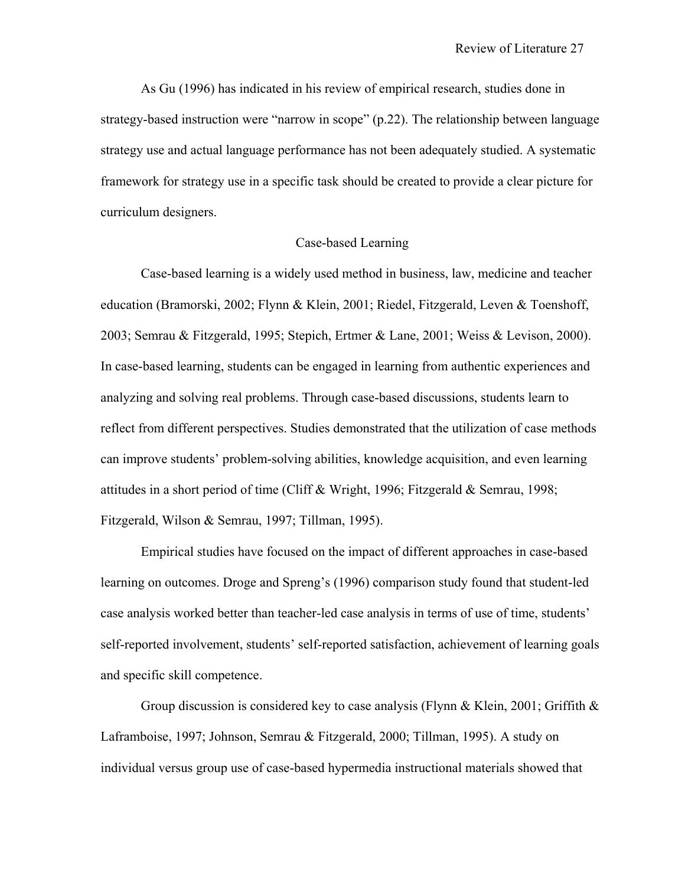As Gu (1996) has indicated in his review of empirical research, studies done in strategy-based instruction were "narrow in scope" (p.22). The relationship between language strategy use and actual language performance has not been adequately studied. A systematic framework for strategy use in a specific task should be created to provide a clear picture for curriculum designers.

### Case-based Learning

 Case-based learning is a widely used method in business, law, medicine and teacher education (Bramorski, 2002; Flynn & Klein, 2001; Riedel, Fitzgerald, Leven & Toenshoff, 2003; Semrau & Fitzgerald, 1995; Stepich, Ertmer & Lane, 2001; Weiss & Levison, 2000). In case-based learning, students can be engaged in learning from authentic experiences and analyzing and solving real problems. Through case-based discussions, students learn to reflect from different perspectives. Studies demonstrated that the utilization of case methods can improve students' problem-solving abilities, knowledge acquisition, and even learning attitudes in a short period of time (Cliff  $&$  Wright, 1996; Fitzgerald  $&$  Semrau, 1998; Fitzgerald, Wilson & Semrau, 1997; Tillman, 1995).

Empirical studies have focused on the impact of different approaches in case-based learning on outcomes. Droge and Spreng's (1996) comparison study found that student-led case analysis worked better than teacher-led case analysis in terms of use of time, students' self-reported involvement, students' self-reported satisfaction, achievement of learning goals and specific skill competence.

Group discussion is considered key to case analysis (Flynn & Klein, 2001; Griffith  $\&$ Laframboise, 1997; Johnson, Semrau & Fitzgerald, 2000; Tillman, 1995). A study on individual versus group use of case-based hypermedia instructional materials showed that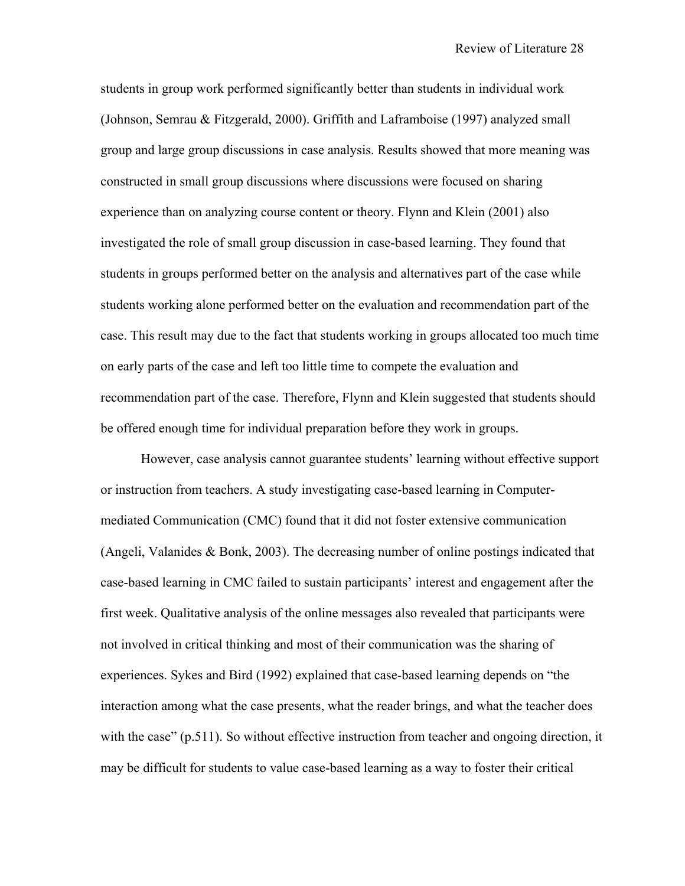students in group work performed significantly better than students in individual work (Johnson, Semrau & Fitzgerald, 2000). Griffith and Laframboise (1997) analyzed small group and large group discussions in case analysis. Results showed that more meaning was constructed in small group discussions where discussions were focused on sharing experience than on analyzing course content or theory. Flynn and Klein (2001) also investigated the role of small group discussion in case-based learning. They found that students in groups performed better on the analysis and alternatives part of the case while students working alone performed better on the evaluation and recommendation part of the case. This result may due to the fact that students working in groups allocated too much time on early parts of the case and left too little time to compete the evaluation and recommendation part of the case. Therefore, Flynn and Klein suggested that students should be offered enough time for individual preparation before they work in groups.

 However, case analysis cannot guarantee students' learning without effective support or instruction from teachers. A study investigating case-based learning in Computermediated Communication (CMC) found that it did not foster extensive communication (Angeli, Valanides & Bonk, 2003). The decreasing number of online postings indicated that case-based learning in CMC failed to sustain participants' interest and engagement after the first week. Qualitative analysis of the online messages also revealed that participants were not involved in critical thinking and most of their communication was the sharing of experiences. Sykes and Bird (1992) explained that case-based learning depends on "the interaction among what the case presents, what the reader brings, and what the teacher does with the case" (p.511). So without effective instruction from teacher and ongoing direction, it may be difficult for students to value case-based learning as a way to foster their critical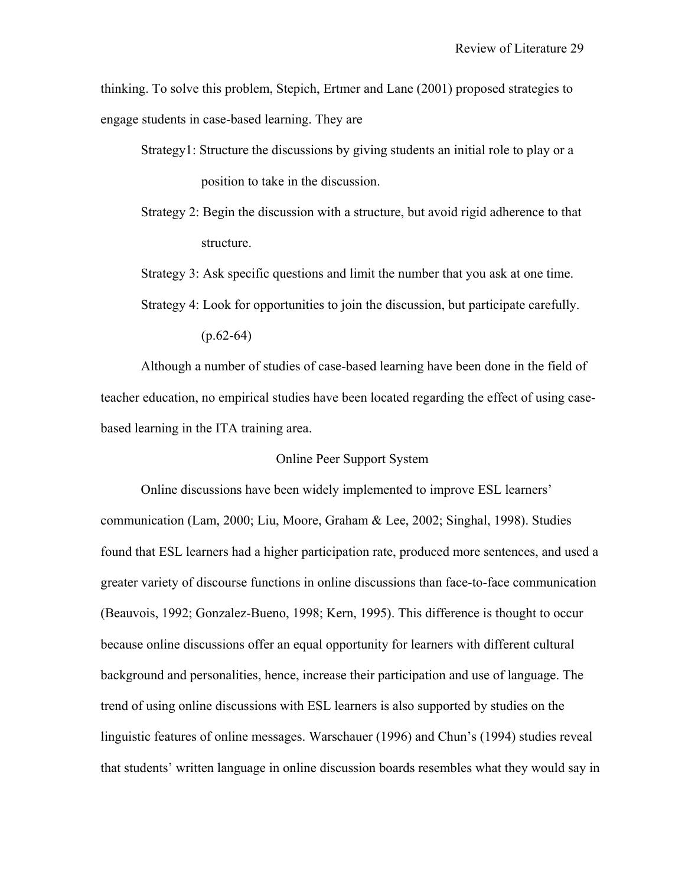thinking. To solve this problem, Stepich, Ertmer and Lane (2001) proposed strategies to engage students in case-based learning. They are

- Strategy1: Structure the discussions by giving students an initial role to play or a position to take in the discussion.
- Strategy 2: Begin the discussion with a structure, but avoid rigid adherence to that structure.
- Strategy 3: Ask specific questions and limit the number that you ask at one time.

 $(p.62-64)$ 

Although a number of studies of case-based learning have been done in the field of teacher education, no empirical studies have been located regarding the effect of using casebased learning in the ITA training area.

### Online Peer Support System

Online discussions have been widely implemented to improve ESL learners' communication (Lam, 2000; Liu, Moore, Graham & Lee, 2002; Singhal, 1998). Studies found that ESL learners had a higher participation rate, produced more sentences, and used a greater variety of discourse functions in online discussions than face-to-face communication (Beauvois, 1992; Gonzalez-Bueno, 1998; Kern, 1995). This difference is thought to occur because online discussions offer an equal opportunity for learners with different cultural background and personalities, hence, increase their participation and use of language. The trend of using online discussions with ESL learners is also supported by studies on the linguistic features of online messages. Warschauer (1996) and Chun's (1994) studies reveal that students' written language in online discussion boards resembles what they would say in

Strategy 4: Look for opportunities to join the discussion, but participate carefully.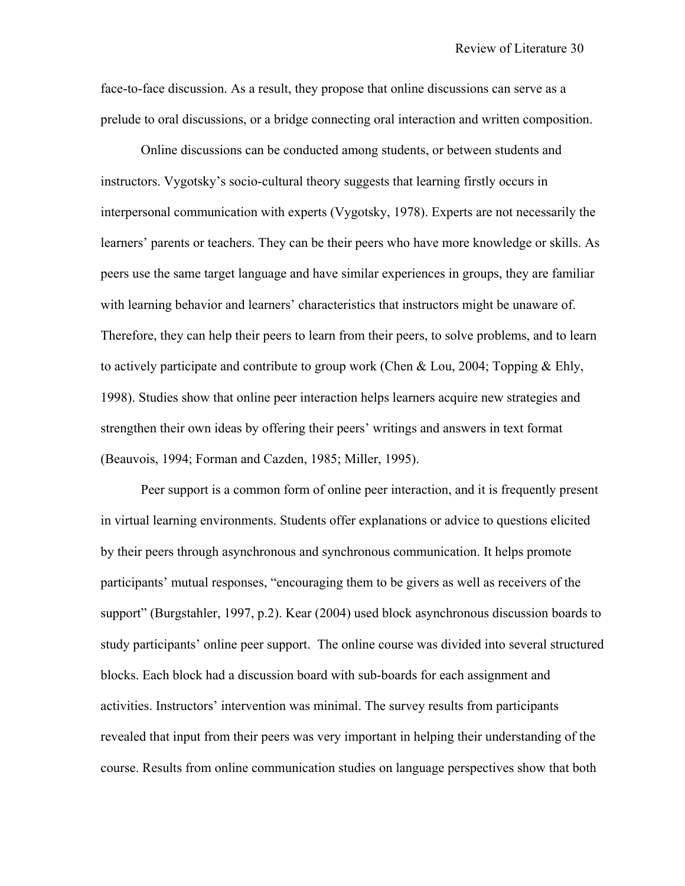face-to-face discussion. As a result, they propose that online discussions can serve as a prelude to oral discussions, or a bridge connecting oral interaction and written composition.

Online discussions can be conducted among students, or between students and instructors. Vygotsky's socio-cultural theory suggests that learning firstly occurs in interpersonal communication with experts (Vygotsky, 1978). Experts are not necessarily the learners' parents or teachers. They can be their peers who have more knowledge or skills. As peers use the same target language and have similar experiences in groups, they are familiar with learning behavior and learners' characteristics that instructors might be unaware of. Therefore, they can help their peers to learn from their peers, to solve problems, and to learn to actively participate and contribute to group work (Chen & Lou, 2004; Topping & Ehly, 1998). Studies show that online peer interaction helps learners acquire new strategies and strengthen their own ideas by offering their peers' writings and answers in text format (Beauvois, 1994; Forman and Cazden, 1985; Miller, 1995).

Peer support is a common form of online peer interaction, and it is frequently present in virtual learning environments. Students offer explanations or advice to questions elicited by their peers through asynchronous and synchronous communication. It helps promote participants' mutual responses, "encouraging them to be givers as well as receivers of the support" (Burgstahler, 1997, p.2). Kear (2004) used block asynchronous discussion boards to study participants' online peer support. The online course was divided into several structured blocks. Each block had a discussion board with sub-boards for each assignment and activities. Instructors' intervention was minimal. The survey results from participants revealed that input from their peers was very important in helping their understanding of the course. Results from online communication studies on language perspectives show that both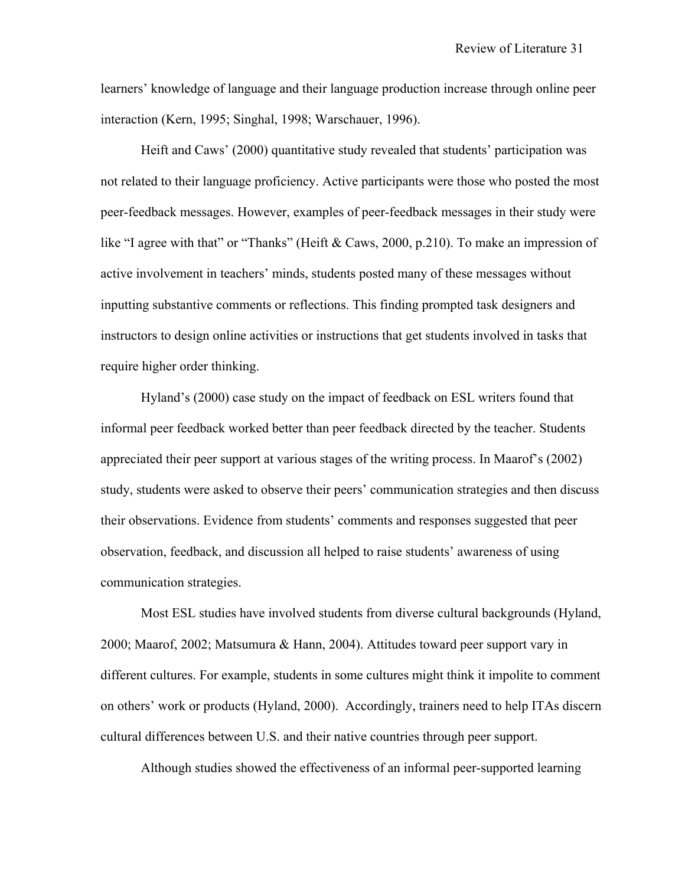learners' knowledge of language and their language production increase through online peer interaction (Kern, 1995; Singhal, 1998; Warschauer, 1996).

Heift and Caws' (2000) quantitative study revealed that students' participation was not related to their language proficiency. Active participants were those who posted the most peer-feedback messages. However, examples of peer-feedback messages in their study were like "I agree with that" or "Thanks" (Heift & Caws, 2000, p.210). To make an impression of active involvement in teachers' minds, students posted many of these messages without inputting substantive comments or reflections. This finding prompted task designers and instructors to design online activities or instructions that get students involved in tasks that require higher order thinking.

Hyland's (2000) case study on the impact of feedback on ESL writers found that informal peer feedback worked better than peer feedback directed by the teacher. Students appreciated their peer support at various stages of the writing process. In Maarof's (2002) study, students were asked to observe their peers' communication strategies and then discuss their observations. Evidence from students' comments and responses suggested that peer observation, feedback, and discussion all helped to raise students' awareness of using communication strategies.

Most ESL studies have involved students from diverse cultural backgrounds (Hyland, 2000; Maarof, 2002; Matsumura & Hann, 2004). Attitudes toward peer support vary in different cultures. For example, students in some cultures might think it impolite to comment on others' work or products (Hyland, 2000). Accordingly, trainers need to help ITAs discern cultural differences between U.S. and their native countries through peer support.

Although studies showed the effectiveness of an informal peer-supported learning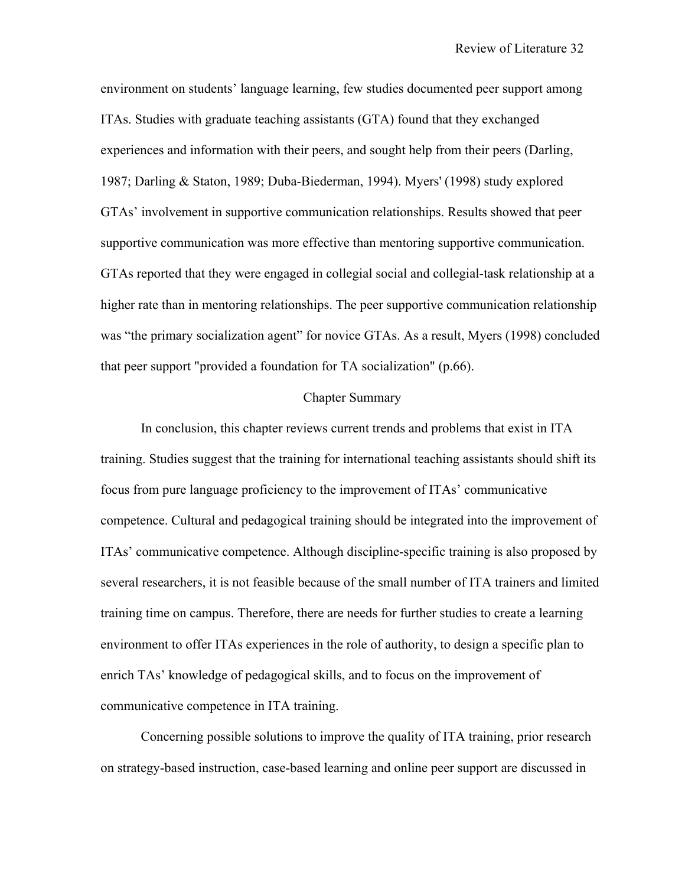environment on students' language learning, few studies documented peer support among ITAs. Studies with graduate teaching assistants (GTA) found that they exchanged experiences and information with their peers, and sought help from their peers (Darling, 1987; Darling & Staton, 1989; Duba-Biederman, 1994). Myers' (1998) study explored GTAs' involvement in supportive communication relationships. Results showed that peer supportive communication was more effective than mentoring supportive communication. GTAs reported that they were engaged in collegial social and collegial-task relationship at a higher rate than in mentoring relationships. The peer supportive communication relationship was "the primary socialization agent" for novice GTAs. As a result, Myers (1998) concluded that peer support "provided a foundation for TA socialization" (p.66).

### Chapter Summary

In conclusion, this chapter reviews current trends and problems that exist in ITA training. Studies suggest that the training for international teaching assistants should shift its focus from pure language proficiency to the improvement of ITAs' communicative competence. Cultural and pedagogical training should be integrated into the improvement of ITAs' communicative competence. Although discipline-specific training is also proposed by several researchers, it is not feasible because of the small number of ITA trainers and limited training time on campus. Therefore, there are needs for further studies to create a learning environment to offer ITAs experiences in the role of authority, to design a specific plan to enrich TAs' knowledge of pedagogical skills, and to focus on the improvement of communicative competence in ITA training.

Concerning possible solutions to improve the quality of ITA training, prior research on strategy-based instruction, case-based learning and online peer support are discussed in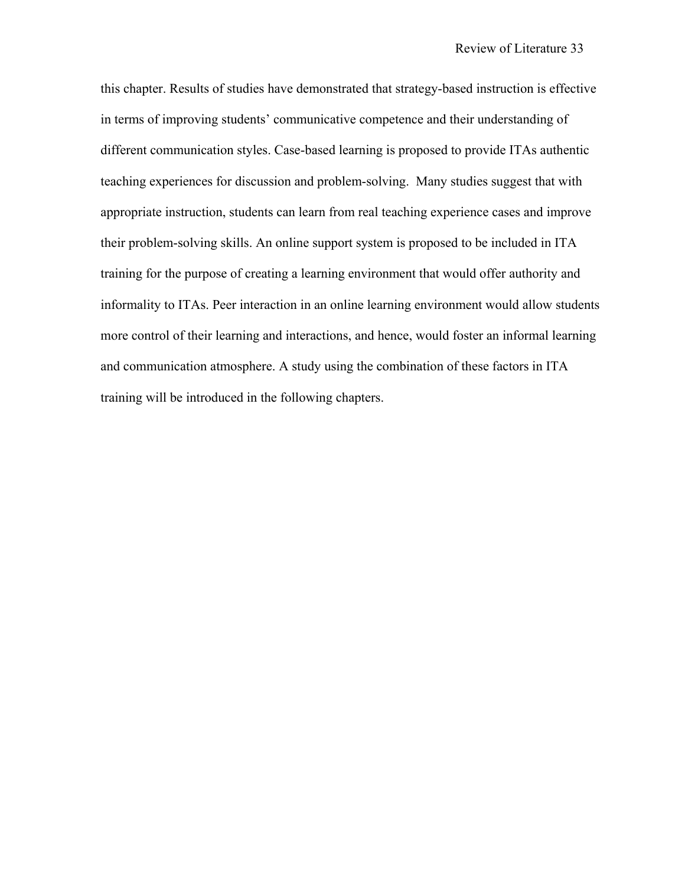this chapter. Results of studies have demonstrated that strategy-based instruction is effective in terms of improving students' communicative competence and their understanding of different communication styles. Case-based learning is proposed to provide ITAs authentic teaching experiences for discussion and problem-solving. Many studies suggest that with appropriate instruction, students can learn from real teaching experience cases and improve their problem-solving skills. An online support system is proposed to be included in ITA training for the purpose of creating a learning environment that would offer authority and informality to ITAs. Peer interaction in an online learning environment would allow students more control of their learning and interactions, and hence, would foster an informal learning and communication atmosphere. A study using the combination of these factors in ITA training will be introduced in the following chapters.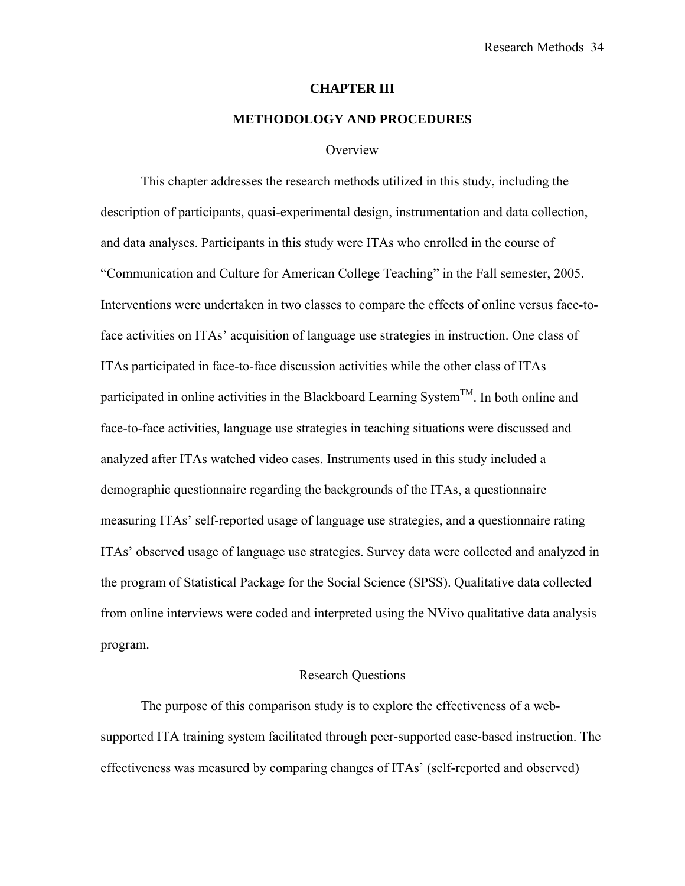#### **CHAPTER III**

### **METHODOLOGY AND PROCEDURES**

#### **Overview**

This chapter addresses the research methods utilized in this study, including the description of participants, quasi-experimental design, instrumentation and data collection, and data analyses. Participants in this study were ITAs who enrolled in the course of "Communication and Culture for American College Teaching" in the Fall semester, 2005. Interventions were undertaken in two classes to compare the effects of online versus face-toface activities on ITAs' acquisition of language use strategies in instruction. One class of ITAs participated in face-to-face discussion activities while the other class of ITAs participated in online activities in the Blackboard Learning System<sup>TM</sup>. In both online and face-to-face activities, language use strategies in teaching situations were discussed and analyzed after ITAs watched video cases. Instruments used in this study included a demographic questionnaire regarding the backgrounds of the ITAs, a questionnaire measuring ITAs' self-reported usage of language use strategies, and a questionnaire rating ITAs' observed usage of language use strategies. Survey data were collected and analyzed in the program of Statistical Package for the Social Science (SPSS). Qualitative data collected from online interviews were coded and interpreted using the NVivo qualitative data analysis program.

### Research Questions

The purpose of this comparison study is to explore the effectiveness of a websupported ITA training system facilitated through peer-supported case-based instruction. The effectiveness was measured by comparing changes of ITAs' (self-reported and observed)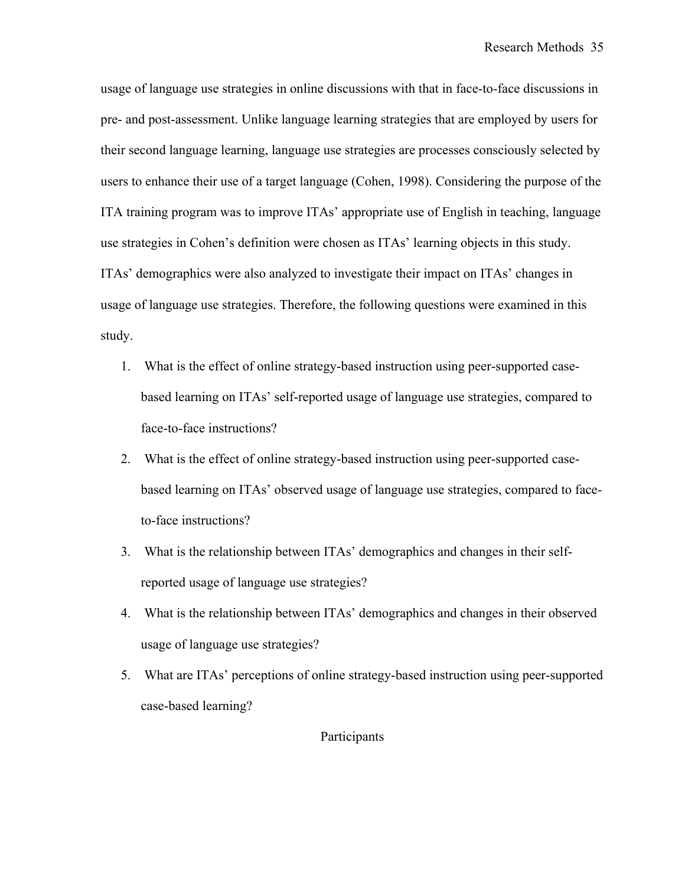usage of language use strategies in online discussions with that in face-to-face discussions in pre- and post-assessment. Unlike language learning strategies that are employed by users for their second language learning, language use strategies are processes consciously selected by users to enhance their use of a target language (Cohen, 1998). Considering the purpose of the ITA training program was to improve ITAs' appropriate use of English in teaching, language use strategies in Cohen's definition were chosen as ITAs' learning objects in this study. ITAs' demographics were also analyzed to investigate their impact on ITAs' changes in usage of language use strategies. Therefore, the following questions were examined in this study.

- 1. What is the effect of online strategy-based instruction using peer-supported casebased learning on ITAs' self-reported usage of language use strategies, compared to face-to-face instructions?
- 2. What is the effect of online strategy-based instruction using peer-supported casebased learning on ITAs' observed usage of language use strategies, compared to faceto-face instructions?
- 3. What is the relationship between ITAs' demographics and changes in their selfreported usage of language use strategies?
- 4. What is the relationship between ITAs' demographics and changes in their observed usage of language use strategies?
- 5. What are ITAs' perceptions of online strategy-based instruction using peer-supported case-based learning?

Participants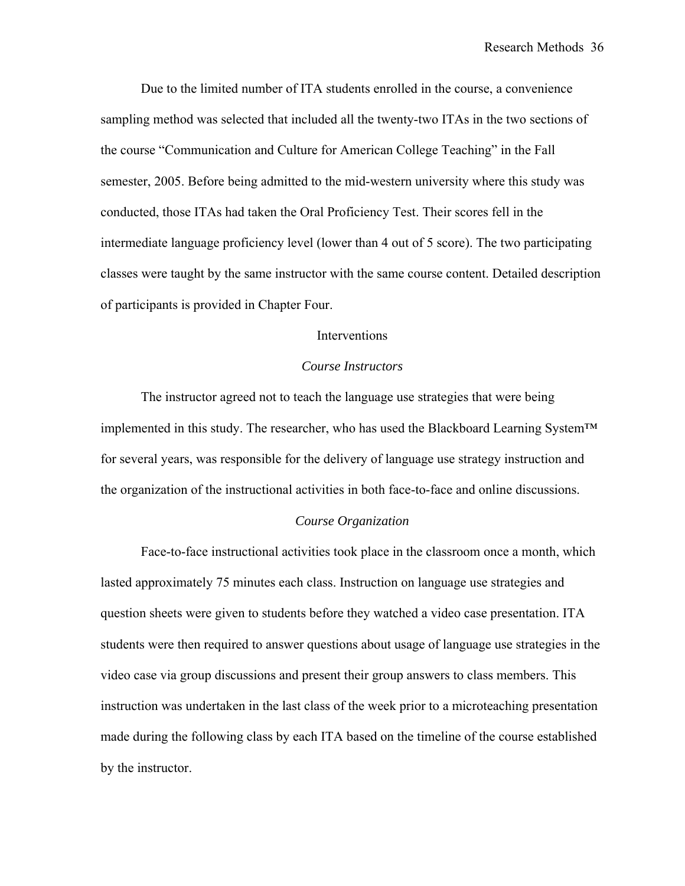Due to the limited number of ITA students enrolled in the course, a convenience sampling method was selected that included all the twenty-two ITAs in the two sections of the course "Communication and Culture for American College Teaching" in the Fall semester, 2005. Before being admitted to the mid-western university where this study was conducted, those ITAs had taken the Oral Proficiency Test. Their scores fell in the intermediate language proficiency level (lower than 4 out of 5 score). The two participating classes were taught by the same instructor with the same course content. Detailed description of participants is provided in Chapter Four.

### Interventions

### *Course Instructors*

The instructor agreed not to teach the language use strategies that were being implemented in this study. The researcher, who has used the Blackboard Learning System™ for several years, was responsible for the delivery of language use strategy instruction and the organization of the instructional activities in both face-to-face and online discussions.

#### *Course Organization*

Face-to-face instructional activities took place in the classroom once a month, which lasted approximately 75 minutes each class. Instruction on language use strategies and question sheets were given to students before they watched a video case presentation. ITA students were then required to answer questions about usage of language use strategies in the video case via group discussions and present their group answers to class members. This instruction was undertaken in the last class of the week prior to a microteaching presentation made during the following class by each ITA based on the timeline of the course established by the instructor.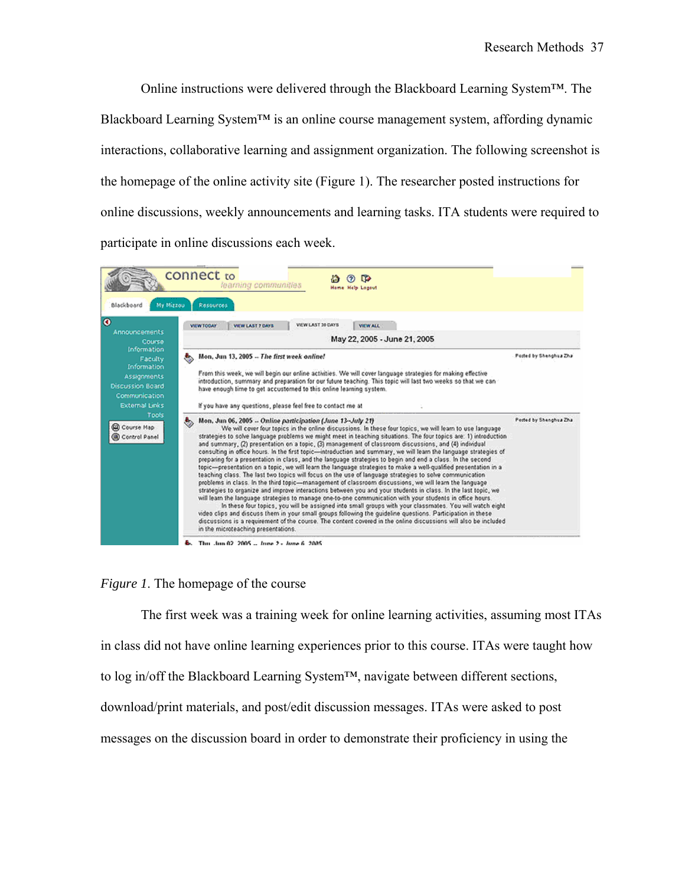Online instructions were delivered through the Blackboard Learning System™. The Blackboard Learning System™ is an online course management system, affording dynamic interactions, collaborative learning and assignment organization. The following screenshot is the homepage of the online activity site (Figure 1). The researcher posted instructions for online discussions, weekly announcements and learning tasks. ITA students were required to participate in online discussions each week.



### *Figure 1*. The homepage of the course

The first week was a training week for online learning activities, assuming most ITAs in class did not have online learning experiences prior to this course. ITAs were taught how to log in/off the Blackboard Learning System™, navigate between different sections, download/print materials, and post/edit discussion messages. ITAs were asked to post messages on the discussion board in order to demonstrate their proficiency in using the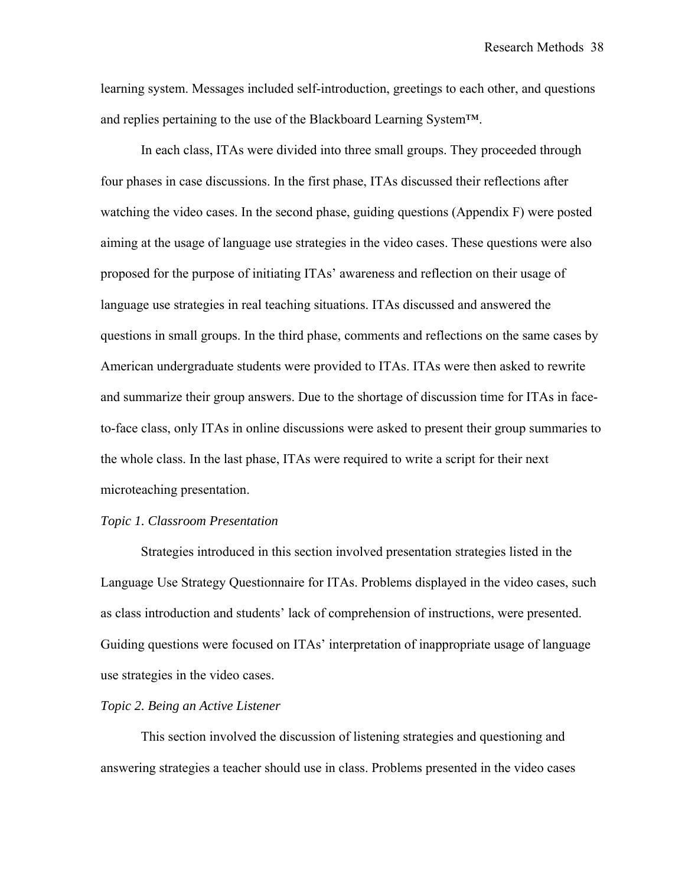learning system. Messages included self-introduction, greetings to each other, and questions and replies pertaining to the use of the Blackboard Learning System™.

In each class, ITAs were divided into three small groups. They proceeded through four phases in case discussions. In the first phase, ITAs discussed their reflections after watching the video cases. In the second phase, guiding questions (Appendix F) were posted aiming at the usage of language use strategies in the video cases. These questions were also proposed for the purpose of initiating ITAs' awareness and reflection on their usage of language use strategies in real teaching situations. ITAs discussed and answered the questions in small groups. In the third phase, comments and reflections on the same cases by American undergraduate students were provided to ITAs. ITAs were then asked to rewrite and summarize their group answers. Due to the shortage of discussion time for ITAs in faceto-face class, only ITAs in online discussions were asked to present their group summaries to the whole class. In the last phase, ITAs were required to write a script for their next microteaching presentation.

#### *Topic 1. Classroom Presentation*

Strategies introduced in this section involved presentation strategies listed in the Language Use Strategy Questionnaire for ITAs. Problems displayed in the video cases, such as class introduction and students' lack of comprehension of instructions, were presented. Guiding questions were focused on ITAs' interpretation of inappropriate usage of language use strategies in the video cases.

### *Topic 2. Being an Active Listener*

This section involved the discussion of listening strategies and questioning and answering strategies a teacher should use in class. Problems presented in the video cases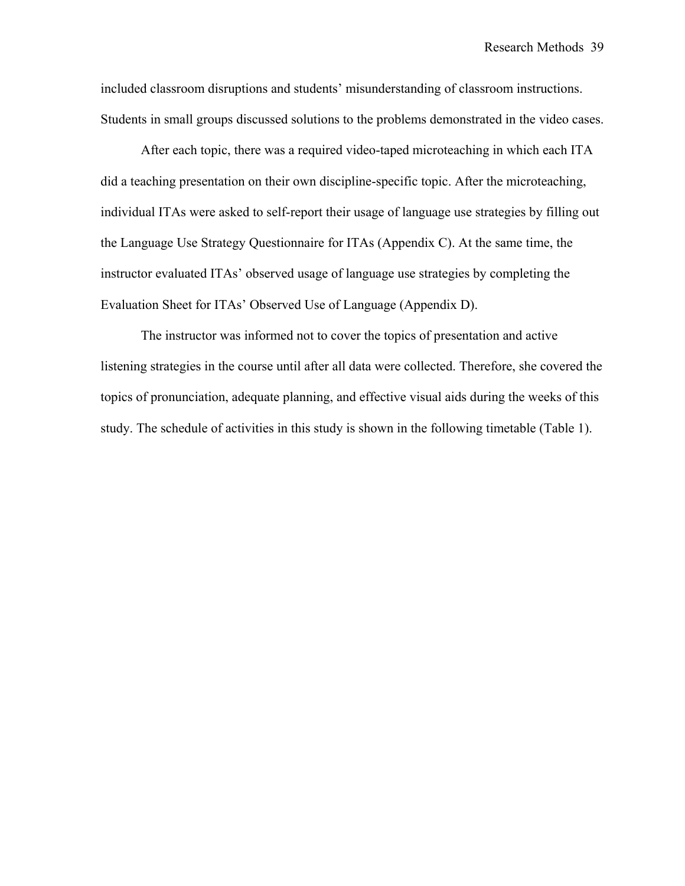included classroom disruptions and students' misunderstanding of classroom instructions. Students in small groups discussed solutions to the problems demonstrated in the video cases.

After each topic, there was a required video-taped microteaching in which each ITA did a teaching presentation on their own discipline-specific topic. After the microteaching, individual ITAs were asked to self-report their usage of language use strategies by filling out the Language Use Strategy Questionnaire for ITAs (Appendix C). At the same time, the instructor evaluated ITAs' observed usage of language use strategies by completing the Evaluation Sheet for ITAs' Observed Use of Language (Appendix D).

The instructor was informed not to cover the topics of presentation and active listening strategies in the course until after all data were collected. Therefore, she covered the topics of pronunciation, adequate planning, and effective visual aids during the weeks of this study. The schedule of activities in this study is shown in the following timetable (Table 1).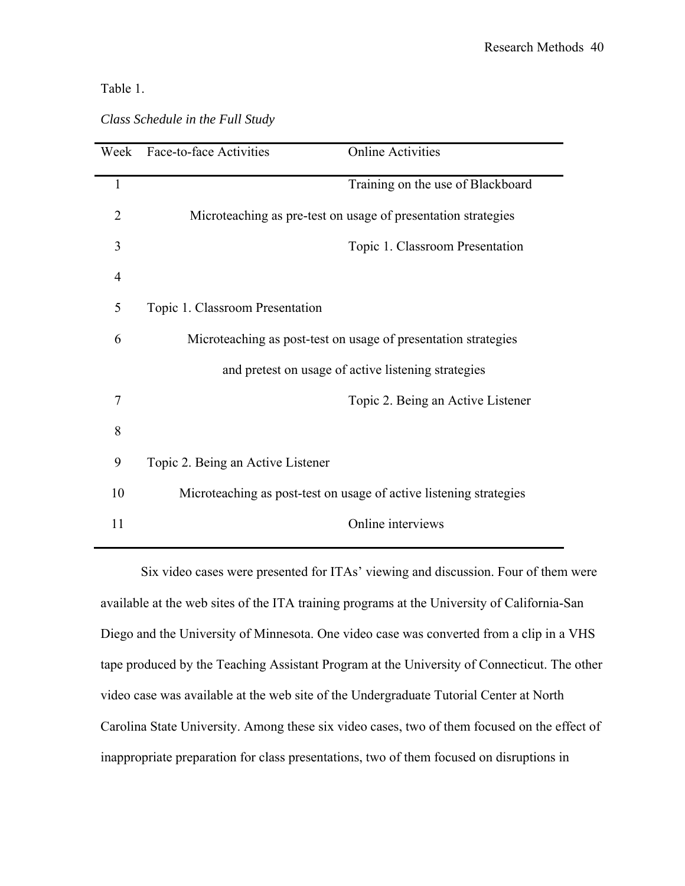### Table 1.

| Week           | Face-to-face Activities                                        | <b>Online Activities</b>                                           |  |
|----------------|----------------------------------------------------------------|--------------------------------------------------------------------|--|
| 1              |                                                                | Training on the use of Blackboard                                  |  |
| $\overline{2}$ |                                                                | Microteaching as pre-test on usage of presentation strategies      |  |
| 3              |                                                                | Topic 1. Classroom Presentation                                    |  |
| $\overline{4}$ |                                                                |                                                                    |  |
| 5              | Topic 1. Classroom Presentation                                |                                                                    |  |
| 6              | Microteaching as post-test on usage of presentation strategies |                                                                    |  |
|                |                                                                | and pretest on usage of active listening strategies                |  |
| 7              |                                                                | Topic 2. Being an Active Listener                                  |  |
| 8              |                                                                |                                                                    |  |
| 9              | Topic 2. Being an Active Listener                              |                                                                    |  |
| 10             |                                                                | Microteaching as post-test on usage of active listening strategies |  |
| 11             |                                                                | Online interviews                                                  |  |

### *Class Schedule in the Full Study*

Six video cases were presented for ITAs' viewing and discussion. Four of them were available at the web sites of the ITA training programs at the University of California-San Diego and the University of Minnesota. One video case was converted from a clip in a VHS tape produced by the Teaching Assistant Program at the University of Connecticut. The other video case was available at the web site of the Undergraduate Tutorial Center at North Carolina State University. Among these six video cases, two of them focused on the effect of inappropriate preparation for class presentations, two of them focused on disruptions in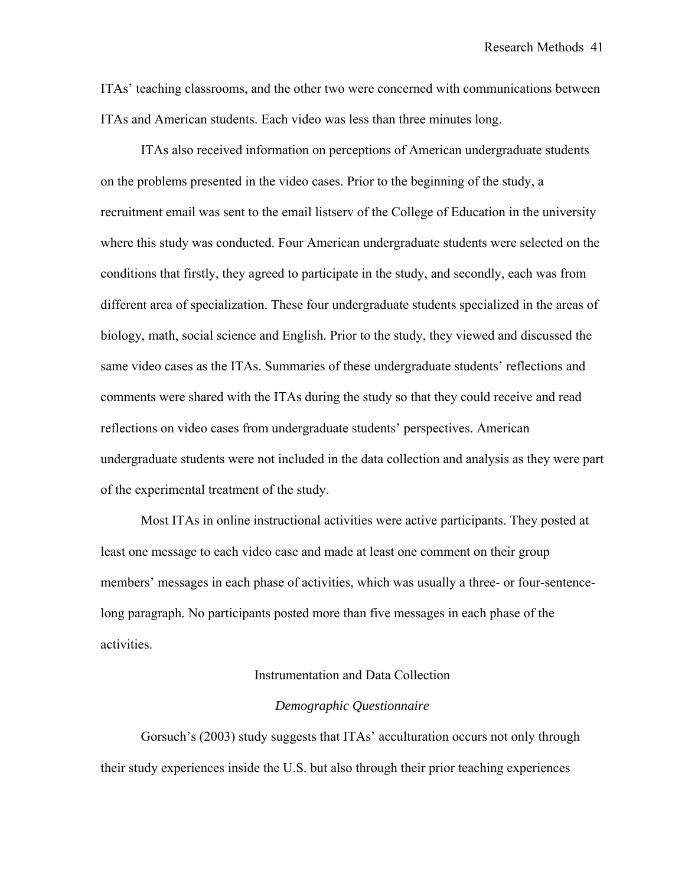ITAs' teaching classrooms, and the other two were concerned with communications between ITAs and American students. Each video was less than three minutes long.

ITAs also received information on perceptions of American undergraduate students on the problems presented in the video cases. Prior to the beginning of the study, a recruitment email was sent to the email listserv of the College of Education in the university where this study was conducted. Four American undergraduate students were selected on the conditions that firstly, they agreed to participate in the study, and secondly, each was from different area of specialization. These four undergraduate students specialized in the areas of biology, math, social science and English. Prior to the study, they viewed and discussed the same video cases as the ITAs. Summaries of these undergraduate students' reflections and comments were shared with the ITAs during the study so that they could receive and read reflections on video cases from undergraduate students' perspectives. American undergraduate students were not included in the data collection and analysis as they were part of the experimental treatment of the study.

Most ITAs in online instructional activities were active participants. They posted at least one message to each video case and made at least one comment on their group members' messages in each phase of activities, which was usually a three- or four-sentencelong paragraph. No participants posted more than five messages in each phase of the activities.

### Instrumentation and Data Collection

### *Demographic Questionnaire*

Gorsuch's (2003) study suggests that ITAs' acculturation occurs not only through their study experiences inside the U.S. but also through their prior teaching experiences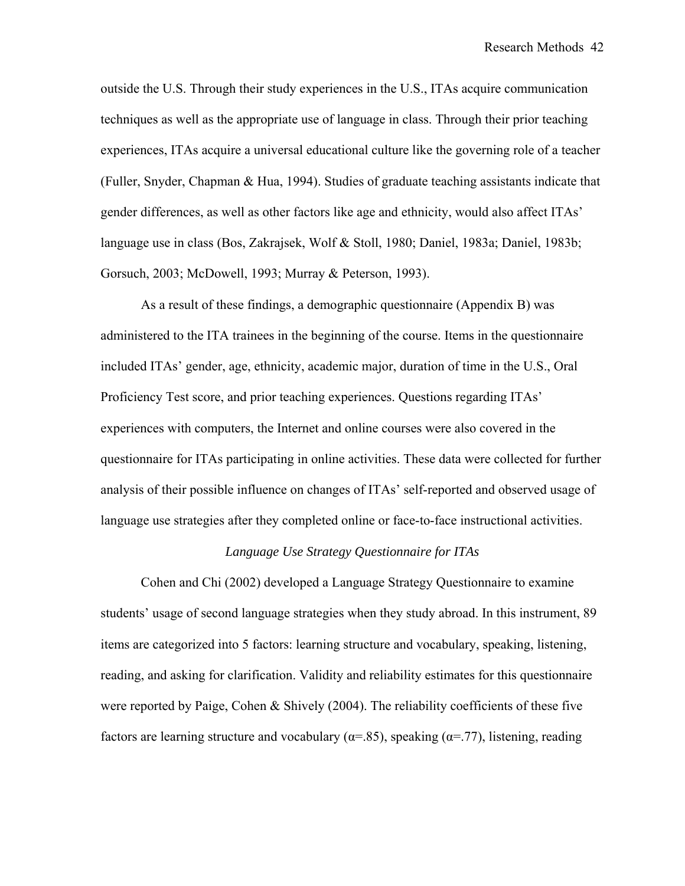outside the U.S. Through their study experiences in the U.S., ITAs acquire communication techniques as well as the appropriate use of language in class. Through their prior teaching experiences, ITAs acquire a universal educational culture like the governing role of a teacher (Fuller, Snyder, Chapman & Hua, 1994). Studies of graduate teaching assistants indicate that gender differences, as well as other factors like age and ethnicity, would also affect ITAs' language use in class (Bos, Zakrajsek, Wolf & Stoll, 1980; Daniel, 1983a; Daniel, 1983b; Gorsuch, 2003; McDowell, 1993; Murray & Peterson, 1993).

As a result of these findings, a demographic questionnaire (Appendix B) was administered to the ITA trainees in the beginning of the course. Items in the questionnaire included ITAs' gender, age, ethnicity, academic major, duration of time in the U.S., Oral Proficiency Test score, and prior teaching experiences. Questions regarding ITAs' experiences with computers, the Internet and online courses were also covered in the questionnaire for ITAs participating in online activities. These data were collected for further analysis of their possible influence on changes of ITAs' self-reported and observed usage of language use strategies after they completed online or face-to-face instructional activities.

### *Language Use Strategy Questionnaire for ITAs*

Cohen and Chi (2002) developed a Language Strategy Questionnaire to examine students' usage of second language strategies when they study abroad. In this instrument, 89 items are categorized into 5 factors: learning structure and vocabulary, speaking, listening, reading, and asking for clarification. Validity and reliability estimates for this questionnaire were reported by Paige, Cohen & Shively (2004). The reliability coefficients of these five factors are learning structure and vocabulary ( $\alpha$ =.85), speaking ( $\alpha$ =.77), listening, reading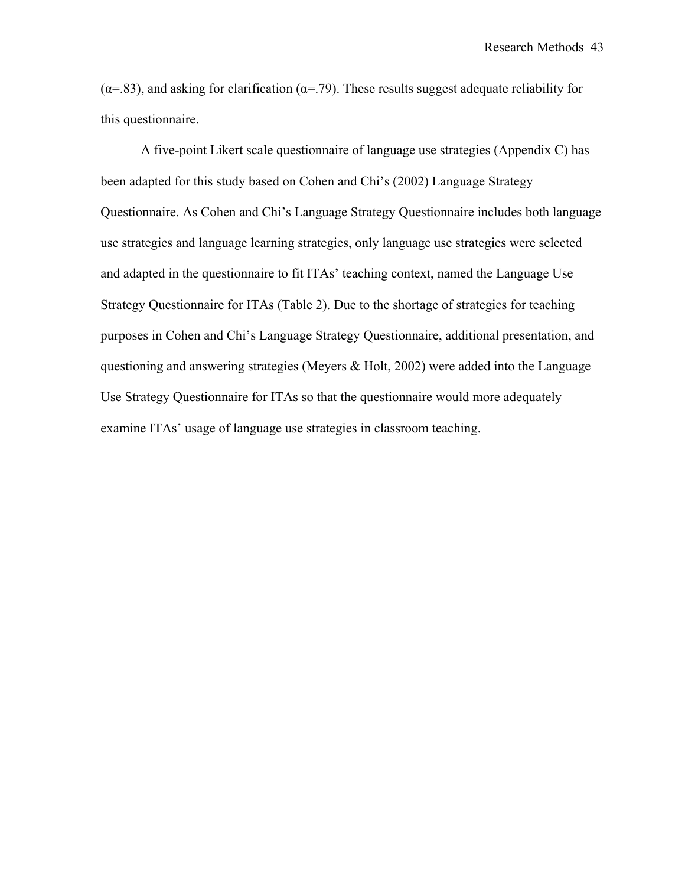( $\alpha$ =.83), and asking for clarification ( $\alpha$ =.79). These results suggest adequate reliability for this questionnaire.

A five-point Likert scale questionnaire of language use strategies (Appendix C) has been adapted for this study based on Cohen and Chi's (2002) Language Strategy Questionnaire. As Cohen and Chi's Language Strategy Questionnaire includes both language use strategies and language learning strategies, only language use strategies were selected and adapted in the questionnaire to fit ITAs' teaching context, named the Language Use Strategy Questionnaire for ITAs (Table 2). Due to the shortage of strategies for teaching purposes in Cohen and Chi's Language Strategy Questionnaire, additional presentation, and questioning and answering strategies (Meyers & Holt, 2002) were added into the Language Use Strategy Questionnaire for ITAs so that the questionnaire would more adequately examine ITAs' usage of language use strategies in classroom teaching.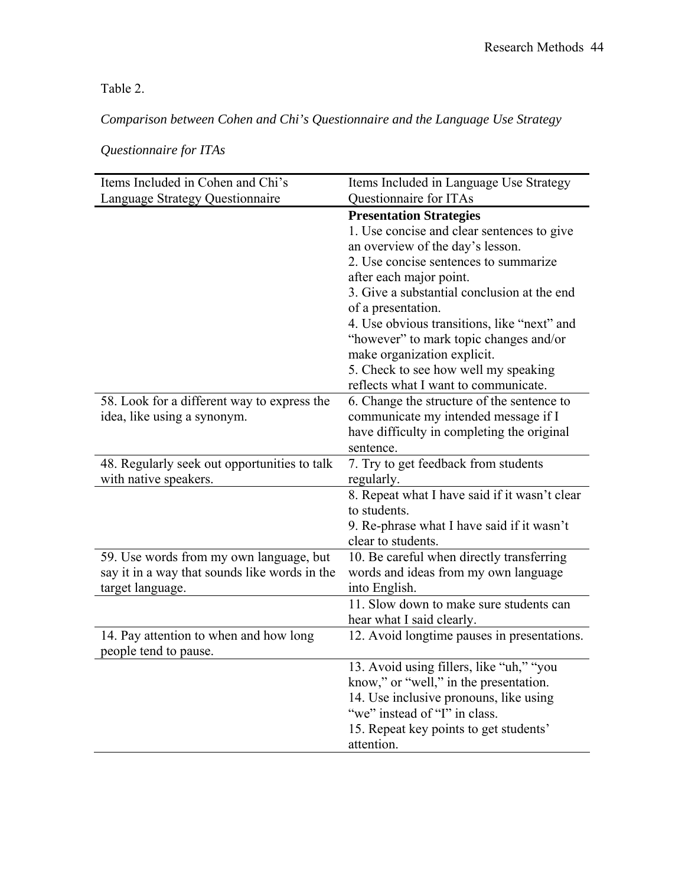Table 2.

*Comparison between Cohen and Chi's Questionnaire and the Language Use Strategy* 

| Items Included in Cohen and Chi's             | Items Included in Language Use Strategy                                  |
|-----------------------------------------------|--------------------------------------------------------------------------|
| Language Strategy Questionnaire               | Questionnaire for ITAs                                                   |
|                                               | <b>Presentation Strategies</b>                                           |
|                                               | 1. Use concise and clear sentences to give                               |
|                                               | an overview of the day's lesson.                                         |
|                                               | 2. Use concise sentences to summarize                                    |
|                                               | after each major point.                                                  |
|                                               | 3. Give a substantial conclusion at the end                              |
|                                               | of a presentation.                                                       |
|                                               | 4. Use obvious transitions, like "next" and                              |
|                                               | "however" to mark topic changes and/or                                   |
|                                               | make organization explicit.                                              |
|                                               | 5. Check to see how well my speaking                                     |
|                                               | reflects what I want to communicate.                                     |
| 58. Look for a different way to express the   | 6. Change the structure of the sentence to                               |
| idea, like using a synonym.                   | communicate my intended message if I                                     |
|                                               | have difficulty in completing the original                               |
|                                               | sentence.                                                                |
| 48. Regularly seek out opportunities to talk  | 7. Try to get feedback from students                                     |
| with native speakers.                         | regularly.                                                               |
|                                               | 8. Repeat what I have said if it wasn't clear                            |
|                                               | to students.                                                             |
|                                               | 9. Re-phrase what I have said if it wasn't                               |
|                                               | clear to students.                                                       |
| 59. Use words from my own language, but       | 10. Be careful when directly transferring                                |
| say it in a way that sounds like words in the | words and ideas from my own language                                     |
| target language.                              | into English.<br>11. Slow down to make sure students can                 |
|                                               |                                                                          |
| 14. Pay attention to when and how long        | hear what I said clearly.<br>12. Avoid longtime pauses in presentations. |
| people tend to pause.                         |                                                                          |
|                                               | 13. Avoid using fillers, like "uh," "you                                 |
|                                               | know," or "well," in the presentation.                                   |
|                                               | 14. Use inclusive pronouns, like using                                   |
|                                               | "we" instead of "I" in class.                                            |
|                                               | 15. Repeat key points to get students'                                   |
|                                               | attention.                                                               |

*Questionnaire for ITAs*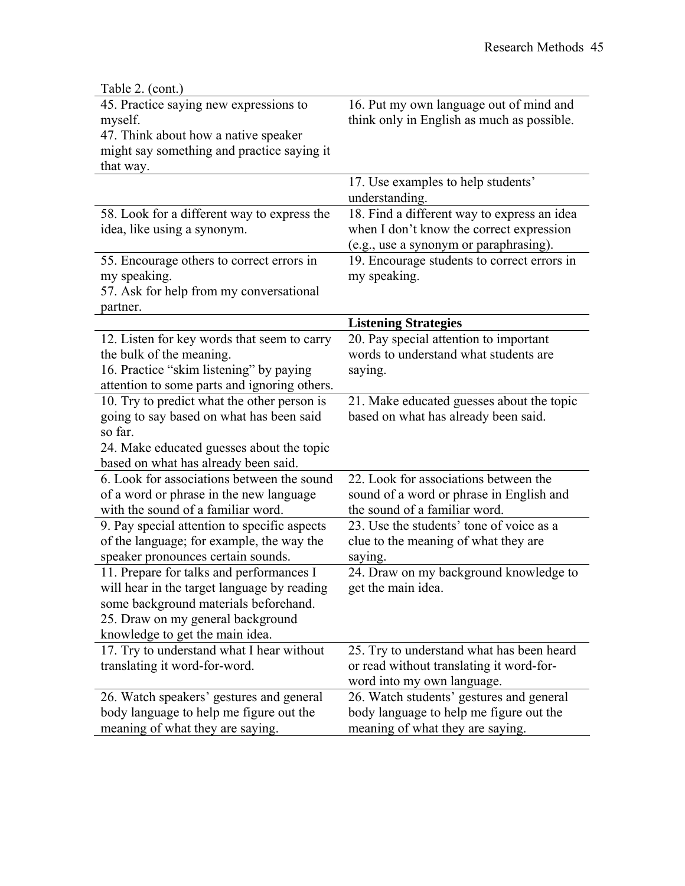| Table 2. (cont.)                                                                                                                                                                                         |                                                                                                                                   |
|----------------------------------------------------------------------------------------------------------------------------------------------------------------------------------------------------------|-----------------------------------------------------------------------------------------------------------------------------------|
| 45. Practice saying new expressions to<br>myself.<br>47. Think about how a native speaker<br>might say something and practice saying it<br>that way.                                                     | 16. Put my own language out of mind and<br>think only in English as much as possible.                                             |
|                                                                                                                                                                                                          | 17. Use examples to help students'<br>understanding.                                                                              |
| 58. Look for a different way to express the<br>idea, like using a synonym.                                                                                                                               | 18. Find a different way to express an idea<br>when I don't know the correct expression<br>(e.g., use a synonym or paraphrasing). |
| 55. Encourage others to correct errors in<br>my speaking.<br>57. Ask for help from my conversational<br>partner.                                                                                         | 19. Encourage students to correct errors in<br>my speaking.                                                                       |
|                                                                                                                                                                                                          | <b>Listening Strategies</b>                                                                                                       |
| 12. Listen for key words that seem to carry<br>the bulk of the meaning.<br>16. Practice "skim listening" by paying<br>attention to some parts and ignoring others.                                       | 20. Pay special attention to important<br>words to understand what students are<br>saying.                                        |
| 10. Try to predict what the other person is<br>going to say based on what has been said<br>so far.<br>24. Make educated guesses about the topic<br>based on what has already been said.                  | 21. Make educated guesses about the topic<br>based on what has already been said.                                                 |
| 6. Look for associations between the sound<br>of a word or phrase in the new language<br>with the sound of a familiar word.                                                                              | 22. Look for associations between the<br>sound of a word or phrase in English and<br>the sound of a familiar word.                |
| 9. Pay special attention to specific aspects<br>of the language; for example, the way the<br>speaker pronounces certain sounds.                                                                          | 23. Use the students' tone of voice as a<br>clue to the meaning of what they are<br>saying.                                       |
| 11. Prepare for talks and performances I<br>will hear in the target language by reading<br>some background materials beforehand.<br>25. Draw on my general background<br>knowledge to get the main idea. | 24. Draw on my background knowledge to<br>get the main idea.                                                                      |
| 17. Try to understand what I hear without<br>translating it word-for-word.                                                                                                                               | 25. Try to understand what has been heard<br>or read without translating it word-for-<br>word into my own language.               |
| 26. Watch speakers' gestures and general<br>body language to help me figure out the<br>meaning of what they are saying.                                                                                  | 26. Watch students' gestures and general<br>body language to help me figure out the<br>meaning of what they are saying.           |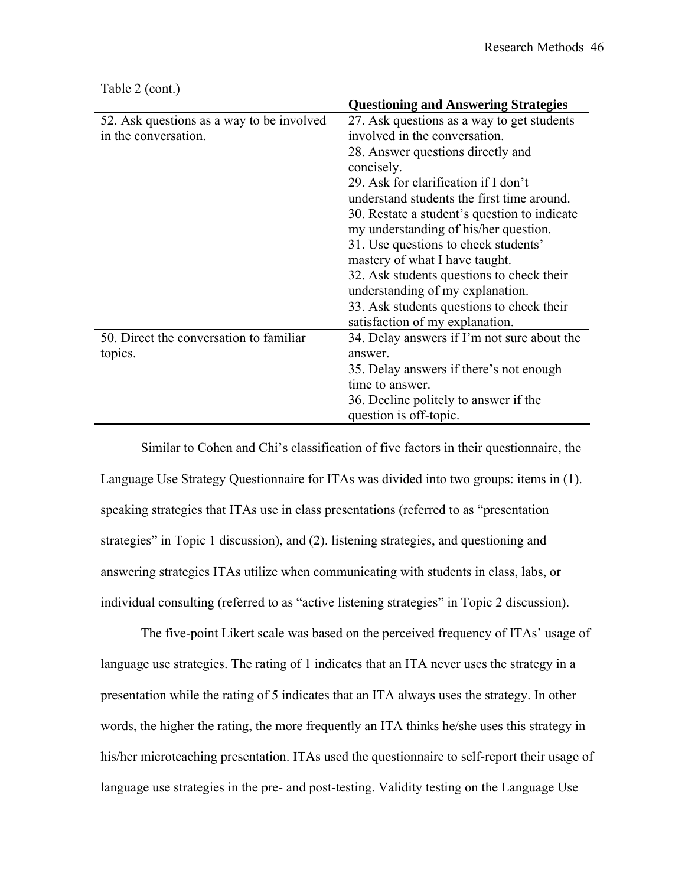|                                           | <b>Questioning and Answering Strategies</b>  |
|-------------------------------------------|----------------------------------------------|
| 52. Ask questions as a way to be involved | 27. Ask questions as a way to get students   |
| in the conversation.                      | involved in the conversation.                |
|                                           | 28. Answer questions directly and            |
|                                           | concisely.                                   |
|                                           | 29. Ask for clarification if I don't         |
|                                           | understand students the first time around.   |
|                                           | 30. Restate a student's question to indicate |
|                                           | my understanding of his/her question.        |
|                                           | 31. Use questions to check students'         |
|                                           | mastery of what I have taught.               |
|                                           | 32. Ask students questions to check their    |
|                                           | understanding of my explanation.             |
|                                           | 33. Ask students questions to check their    |
|                                           | satisfaction of my explanation.              |
| 50. Direct the conversation to familiar   | 34. Delay answers if I'm not sure about the  |
| topics.                                   | answer                                       |
|                                           | 35. Delay answers if there's not enough      |
|                                           | time to answer.                              |
|                                           | 36. Decline politely to answer if the        |
|                                           | question is off-topic.                       |

Table 2 (cont.)

Similar to Cohen and Chi's classification of five factors in their questionnaire, the Language Use Strategy Questionnaire for ITAs was divided into two groups: items in (1). speaking strategies that ITAs use in class presentations (referred to as "presentation strategies" in Topic 1 discussion), and (2). listening strategies, and questioning and answering strategies ITAs utilize when communicating with students in class, labs, or individual consulting (referred to as "active listening strategies" in Topic 2 discussion).

The five-point Likert scale was based on the perceived frequency of ITAs' usage of language use strategies. The rating of 1 indicates that an ITA never uses the strategy in a presentation while the rating of 5 indicates that an ITA always uses the strategy. In other words, the higher the rating, the more frequently an ITA thinks he/she uses this strategy in his/her microteaching presentation. ITAs used the questionnaire to self-report their usage of language use strategies in the pre- and post-testing. Validity testing on the Language Use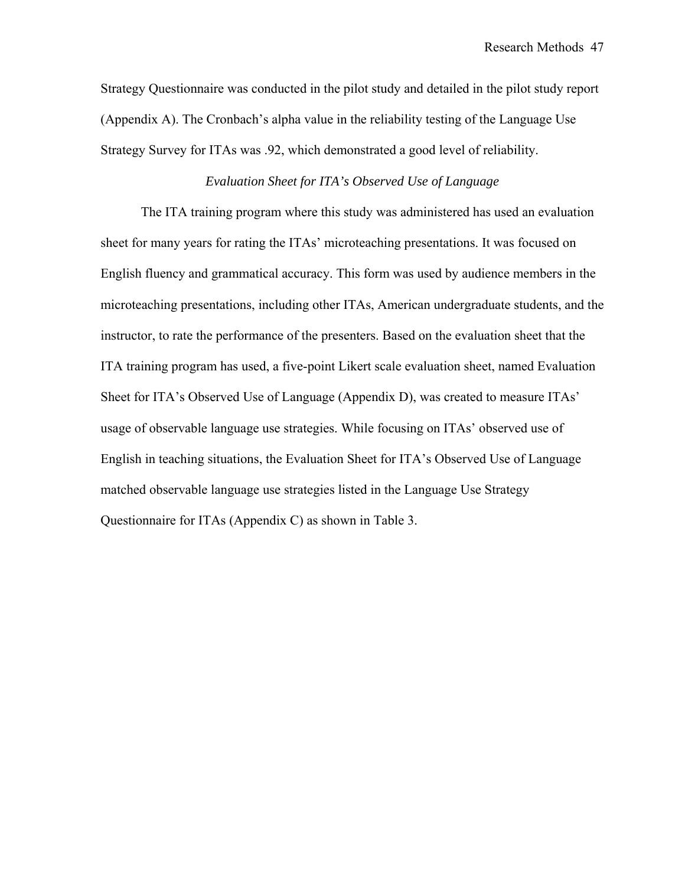Strategy Questionnaire was conducted in the pilot study and detailed in the pilot study report (Appendix A). The Cronbach's alpha value in the reliability testing of the Language Use Strategy Survey for ITAs was .92, which demonstrated a good level of reliability.

### *Evaluation Sheet for ITA's Observed Use of Language*

The ITA training program where this study was administered has used an evaluation sheet for many years for rating the ITAs' microteaching presentations. It was focused on English fluency and grammatical accuracy. This form was used by audience members in the microteaching presentations, including other ITAs, American undergraduate students, and the instructor, to rate the performance of the presenters. Based on the evaluation sheet that the ITA training program has used, a five-point Likert scale evaluation sheet, named Evaluation Sheet for ITA's Observed Use of Language (Appendix D), was created to measure ITAs' usage of observable language use strategies. While focusing on ITAs' observed use of English in teaching situations, the Evaluation Sheet for ITA's Observed Use of Language matched observable language use strategies listed in the Language Use Strategy Questionnaire for ITAs (Appendix C) as shown in Table 3.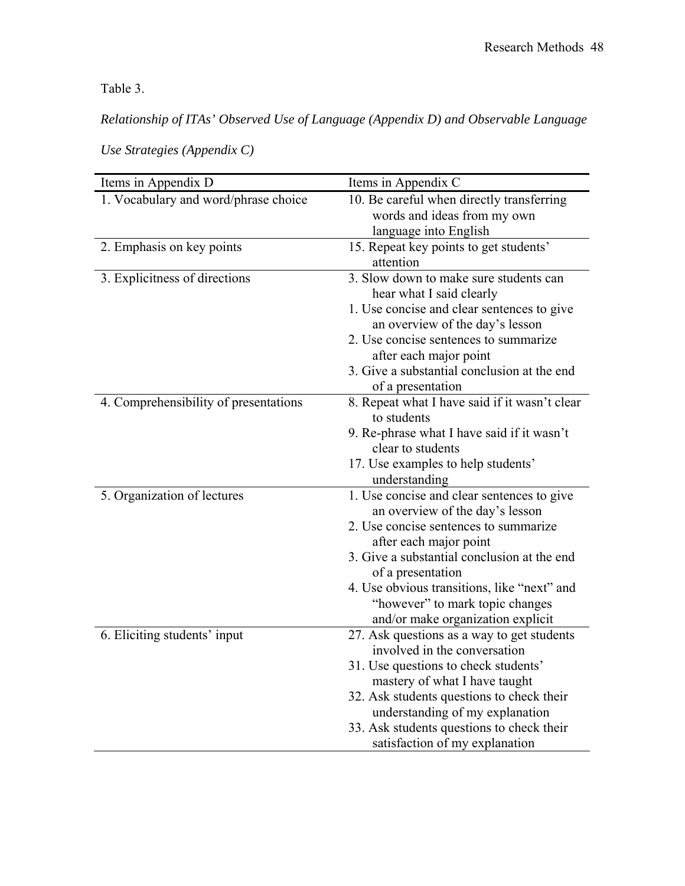Table 3.

*Relationship of ITAs' Observed Use of Language (Appendix D) and Observable Language* 

| Items in Appendix D                   | Items in Appendix C                                                           |  |  |
|---------------------------------------|-------------------------------------------------------------------------------|--|--|
| 1. Vocabulary and word/phrase choice  | 10. Be careful when directly transferring                                     |  |  |
|                                       | words and ideas from my own                                                   |  |  |
|                                       | language into English                                                         |  |  |
| 2. Emphasis on key points             | 15. Repeat key points to get students'<br>attention                           |  |  |
| 3. Explicitness of directions         | 3. Slow down to make sure students can<br>hear what I said clearly            |  |  |
|                                       | 1. Use concise and clear sentences to give<br>an overview of the day's lesson |  |  |
|                                       | 2. Use concise sentences to summarize<br>after each major point               |  |  |
|                                       | 3. Give a substantial conclusion at the end<br>of a presentation              |  |  |
| 4. Comprehensibility of presentations | 8. Repeat what I have said if it wasn't clear<br>to students                  |  |  |
|                                       | 9. Re-phrase what I have said if it wasn't                                    |  |  |
|                                       | clear to students                                                             |  |  |
|                                       | 17. Use examples to help students'<br>understanding                           |  |  |
| 5. Organization of lectures           | 1. Use concise and clear sentences to give<br>an overview of the day's lesson |  |  |
|                                       | 2. Use concise sentences to summarize<br>after each major point               |  |  |
|                                       | 3. Give a substantial conclusion at the end<br>of a presentation              |  |  |
|                                       | 4. Use obvious transitions, like "next" and                                   |  |  |
|                                       | "however" to mark topic changes<br>and/or make organization explicit          |  |  |
| 6. Eliciting students' input          | 27. Ask questions as a way to get students                                    |  |  |
|                                       | involved in the conversation                                                  |  |  |
|                                       | 31. Use questions to check students'                                          |  |  |
|                                       | mastery of what I have taught                                                 |  |  |
|                                       | 32. Ask students questions to check their                                     |  |  |
|                                       | understanding of my explanation                                               |  |  |
|                                       | 33. Ask students questions to check their                                     |  |  |
|                                       | satisfaction of my explanation                                                |  |  |

*Use Strategies (Appendix C)*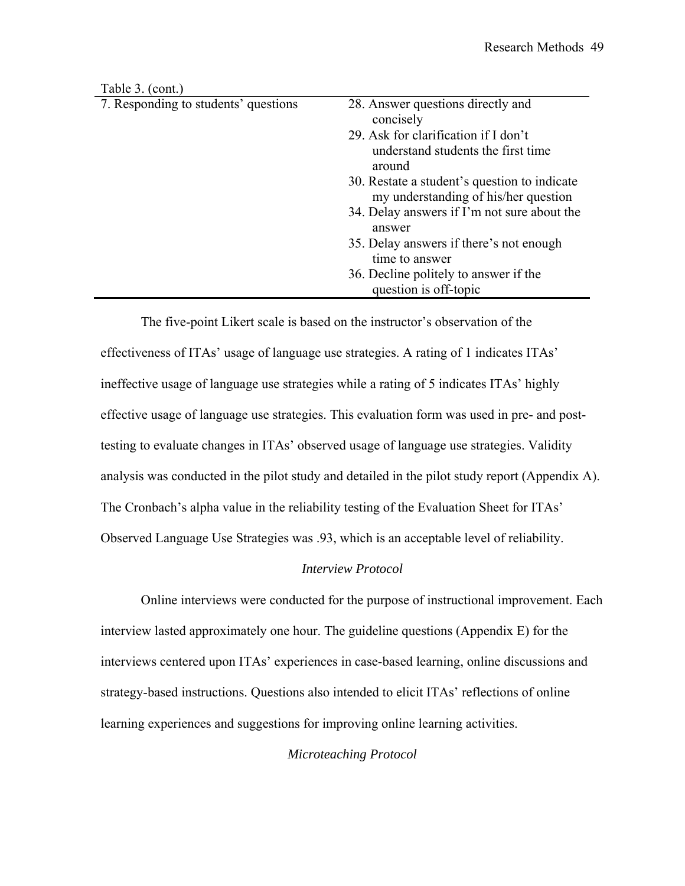| Table 3. (cont.)                     |                                                                                      |
|--------------------------------------|--------------------------------------------------------------------------------------|
| 7. Responding to students' questions | 28. Answer questions directly and<br>concisely                                       |
|                                      | 29. Ask for clarification if I don't<br>understand students the first time<br>around |
|                                      | 30. Restate a student's question to indicate<br>my understanding of his/her question |
|                                      | 34. Delay answers if I'm not sure about the<br>answer                                |
|                                      | 35. Delay answers if there's not enough<br>time to answer                            |
|                                      | 36. Decline politely to answer if the<br>question is off-topic                       |

The five-point Likert scale is based on the instructor's observation of the effectiveness of ITAs' usage of language use strategies. A rating of 1 indicates ITAs' ineffective usage of language use strategies while a rating of 5 indicates ITAs' highly effective usage of language use strategies. This evaluation form was used in pre- and posttesting to evaluate changes in ITAs' observed usage of language use strategies. Validity analysis was conducted in the pilot study and detailed in the pilot study report (Appendix A). The Cronbach's alpha value in the reliability testing of the Evaluation Sheet for ITAs' Observed Language Use Strategies was .93, which is an acceptable level of reliability.

### *Interview Protocol*

Online interviews were conducted for the purpose of instructional improvement. Each interview lasted approximately one hour. The guideline questions (Appendix E) for the interviews centered upon ITAs' experiences in case-based learning, online discussions and strategy-based instructions. Questions also intended to elicit ITAs' reflections of online learning experiences and suggestions for improving online learning activities.

### *Microteaching Protocol*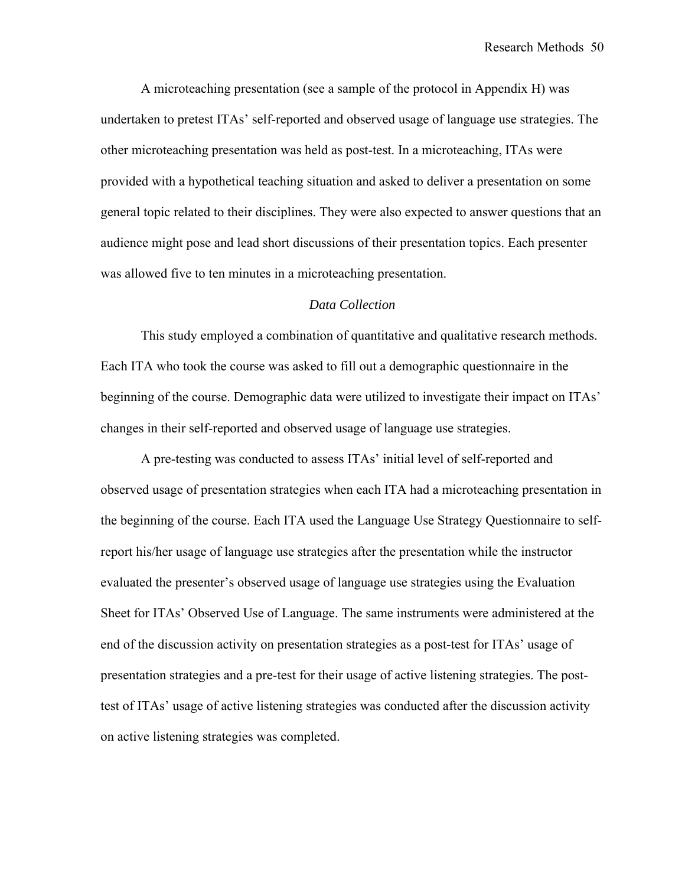A microteaching presentation (see a sample of the protocol in Appendix H) was undertaken to pretest ITAs' self-reported and observed usage of language use strategies. The other microteaching presentation was held as post-test. In a microteaching, ITAs were provided with a hypothetical teaching situation and asked to deliver a presentation on some general topic related to their disciplines. They were also expected to answer questions that an audience might pose and lead short discussions of their presentation topics. Each presenter was allowed five to ten minutes in a microteaching presentation.

### *Data Collection*

This study employed a combination of quantitative and qualitative research methods. Each ITA who took the course was asked to fill out a demographic questionnaire in the beginning of the course. Demographic data were utilized to investigate their impact on ITAs' changes in their self-reported and observed usage of language use strategies.

A pre-testing was conducted to assess ITAs' initial level of self-reported and observed usage of presentation strategies when each ITA had a microteaching presentation in the beginning of the course. Each ITA used the Language Use Strategy Questionnaire to selfreport his/her usage of language use strategies after the presentation while the instructor evaluated the presenter's observed usage of language use strategies using the Evaluation Sheet for ITAs' Observed Use of Language. The same instruments were administered at the end of the discussion activity on presentation strategies as a post-test for ITAs' usage of presentation strategies and a pre-test for their usage of active listening strategies. The posttest of ITAs' usage of active listening strategies was conducted after the discussion activity on active listening strategies was completed.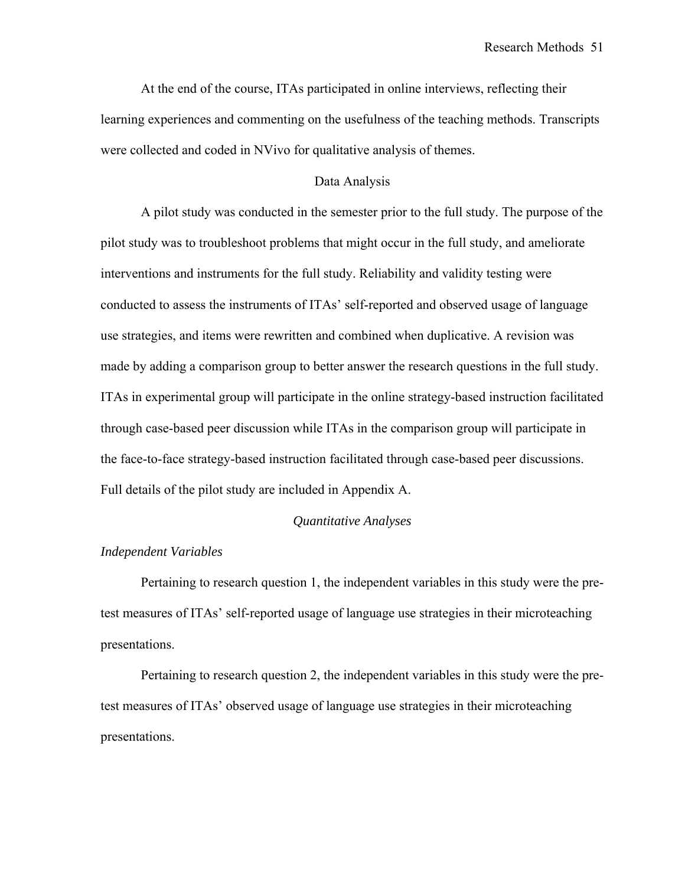At the end of the course, ITAs participated in online interviews, reflecting their learning experiences and commenting on the usefulness of the teaching methods. Transcripts were collected and coded in NVivo for qualitative analysis of themes.

### Data Analysis

A pilot study was conducted in the semester prior to the full study. The purpose of the pilot study was to troubleshoot problems that might occur in the full study, and ameliorate interventions and instruments for the full study. Reliability and validity testing were conducted to assess the instruments of ITAs' self-reported and observed usage of language use strategies, and items were rewritten and combined when duplicative. A revision was made by adding a comparison group to better answer the research questions in the full study. ITAs in experimental group will participate in the online strategy-based instruction facilitated through case-based peer discussion while ITAs in the comparison group will participate in the face-to-face strategy-based instruction facilitated through case-based peer discussions. Full details of the pilot study are included in Appendix A.

### *Quantitative Analyses*

### *Independent Variables*

Pertaining to research question 1, the independent variables in this study were the pretest measures of ITAs' self-reported usage of language use strategies in their microteaching presentations.

Pertaining to research question 2, the independent variables in this study were the pretest measures of ITAs' observed usage of language use strategies in their microteaching presentations.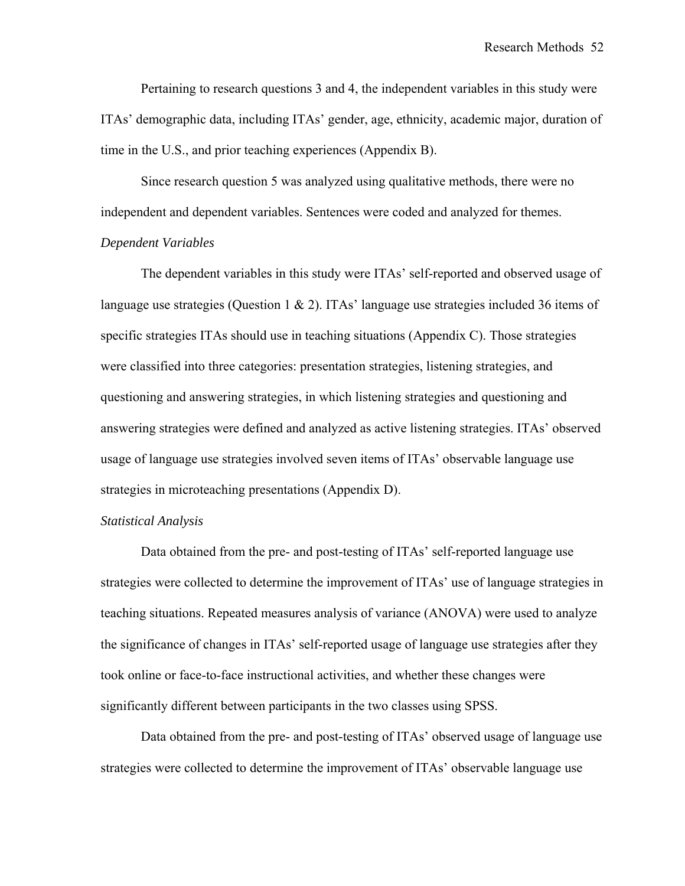Pertaining to research questions 3 and 4, the independent variables in this study were ITAs' demographic data, including ITAs' gender, age, ethnicity, academic major, duration of time in the U.S., and prior teaching experiences (Appendix B).

Since research question 5 was analyzed using qualitative methods, there were no independent and dependent variables. Sentences were coded and analyzed for themes.

### *Dependent Variables*

The dependent variables in this study were ITAs' self-reported and observed usage of language use strategies (Question 1 & 2). ITAs' language use strategies included 36 items of specific strategies ITAs should use in teaching situations (Appendix C). Those strategies were classified into three categories: presentation strategies, listening strategies, and questioning and answering strategies, in which listening strategies and questioning and answering strategies were defined and analyzed as active listening strategies. ITAs' observed usage of language use strategies involved seven items of ITAs' observable language use strategies in microteaching presentations (Appendix D).

### *Statistical Analysis*

Data obtained from the pre- and post-testing of ITAs' self-reported language use strategies were collected to determine the improvement of ITAs' use of language strategies in teaching situations. Repeated measures analysis of variance (ANOVA) were used to analyze the significance of changes in ITAs' self-reported usage of language use strategies after they took online or face-to-face instructional activities, and whether these changes were significantly different between participants in the two classes using SPSS.

Data obtained from the pre- and post-testing of ITAs' observed usage of language use strategies were collected to determine the improvement of ITAs' observable language use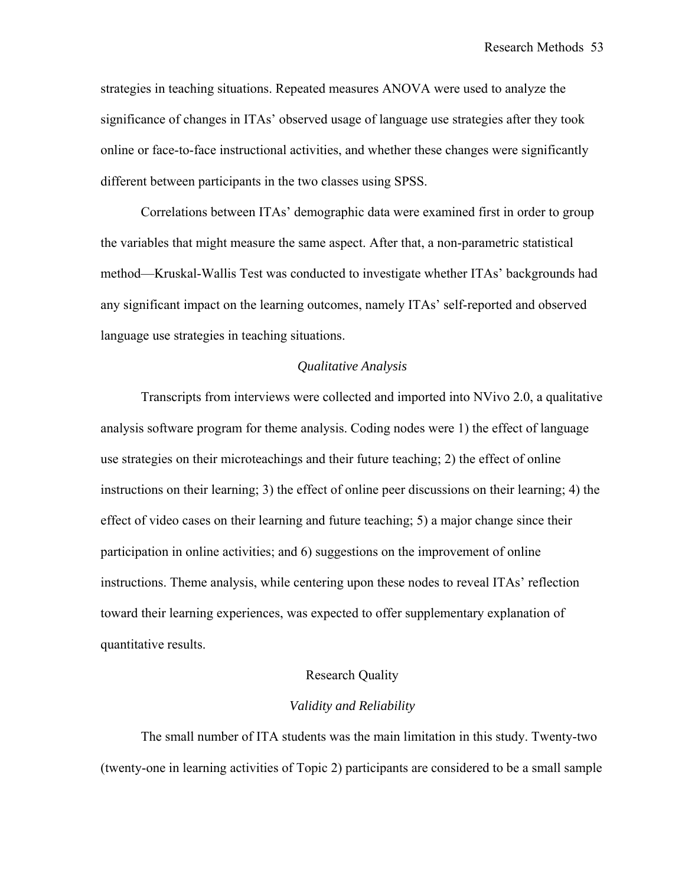strategies in teaching situations. Repeated measures ANOVA were used to analyze the significance of changes in ITAs' observed usage of language use strategies after they took online or face-to-face instructional activities, and whether these changes were significantly different between participants in the two classes using SPSS.

Correlations between ITAs' demographic data were examined first in order to group the variables that might measure the same aspect. After that, a non-parametric statistical method—Kruskal-Wallis Test was conducted to investigate whether ITAs' backgrounds had any significant impact on the learning outcomes, namely ITAs' self-reported and observed language use strategies in teaching situations.

### *Qualitative Analysis*

Transcripts from interviews were collected and imported into NVivo 2.0, a qualitative analysis software program for theme analysis. Coding nodes were 1) the effect of language use strategies on their microteachings and their future teaching; 2) the effect of online instructions on their learning; 3) the effect of online peer discussions on their learning; 4) the effect of video cases on their learning and future teaching; 5) a major change since their participation in online activities; and 6) suggestions on the improvement of online instructions. Theme analysis, while centering upon these nodes to reveal ITAs' reflection toward their learning experiences, was expected to offer supplementary explanation of quantitative results.

### Research Quality

### *Validity and Reliability*

The small number of ITA students was the main limitation in this study. Twenty-two (twenty-one in learning activities of Topic 2) participants are considered to be a small sample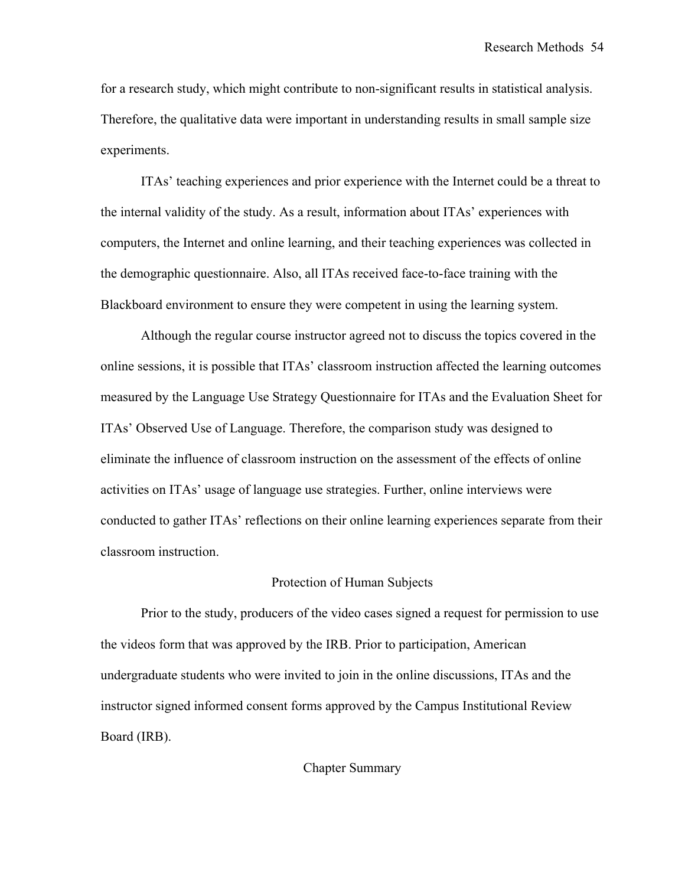for a research study, which might contribute to non-significant results in statistical analysis. Therefore, the qualitative data were important in understanding results in small sample size experiments.

ITAs' teaching experiences and prior experience with the Internet could be a threat to the internal validity of the study. As a result, information about ITAs' experiences with computers, the Internet and online learning, and their teaching experiences was collected in the demographic questionnaire. Also, all ITAs received face-to-face training with the Blackboard environment to ensure they were competent in using the learning system.

Although the regular course instructor agreed not to discuss the topics covered in the online sessions, it is possible that ITAs' classroom instruction affected the learning outcomes measured by the Language Use Strategy Questionnaire for ITAs and the Evaluation Sheet for ITAs' Observed Use of Language. Therefore, the comparison study was designed to eliminate the influence of classroom instruction on the assessment of the effects of online activities on ITAs' usage of language use strategies. Further, online interviews were conducted to gather ITAs' reflections on their online learning experiences separate from their classroom instruction.

### Protection of Human Subjects

Prior to the study, producers of the video cases signed a request for permission to use the videos form that was approved by the IRB. Prior to participation, American undergraduate students who were invited to join in the online discussions, ITAs and the instructor signed informed consent forms approved by the Campus Institutional Review Board (IRB).

Chapter Summary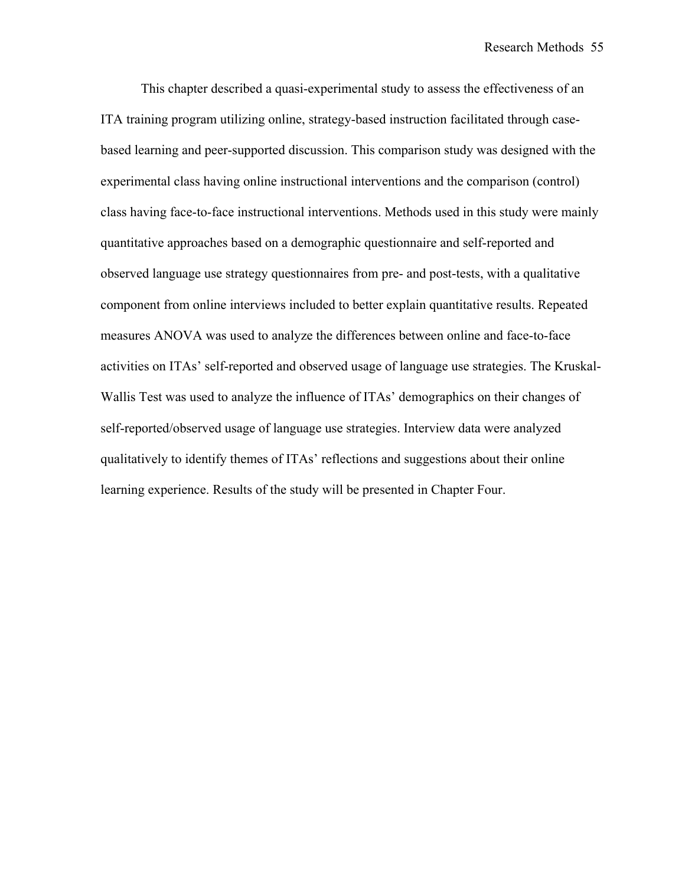This chapter described a quasi-experimental study to assess the effectiveness of an ITA training program utilizing online, strategy-based instruction facilitated through casebased learning and peer-supported discussion. This comparison study was designed with the experimental class having online instructional interventions and the comparison (control) class having face-to-face instructional interventions. Methods used in this study were mainly quantitative approaches based on a demographic questionnaire and self-reported and observed language use strategy questionnaires from pre- and post-tests, with a qualitative component from online interviews included to better explain quantitative results. Repeated measures ANOVA was used to analyze the differences between online and face-to-face activities on ITAs' self-reported and observed usage of language use strategies. The Kruskal-Wallis Test was used to analyze the influence of ITAs' demographics on their changes of self-reported/observed usage of language use strategies. Interview data were analyzed qualitatively to identify themes of ITAs' reflections and suggestions about their online learning experience. Results of the study will be presented in Chapter Four.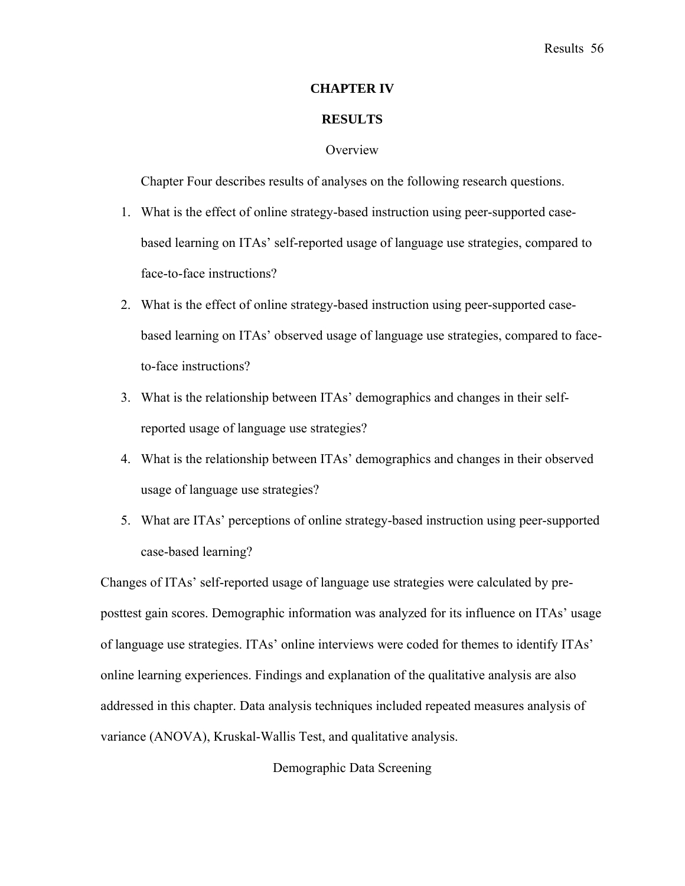### **CHAPTER IV**

### **RESULTS**

### **Overview**

Chapter Four describes results of analyses on the following research questions.

- 1. What is the effect of online strategy-based instruction using peer-supported casebased learning on ITAs' self-reported usage of language use strategies, compared to face-to-face instructions?
- 2. What is the effect of online strategy-based instruction using peer-supported casebased learning on ITAs' observed usage of language use strategies, compared to faceto-face instructions?
- 3. What is the relationship between ITAs' demographics and changes in their selfreported usage of language use strategies?
- 4. What is the relationship between ITAs' demographics and changes in their observed usage of language use strategies?
- 5. What are ITAs' perceptions of online strategy-based instruction using peer-supported case-based learning?

Changes of ITAs' self-reported usage of language use strategies were calculated by preposttest gain scores. Demographic information was analyzed for its influence on ITAs' usage of language use strategies. ITAs' online interviews were coded for themes to identify ITAs' online learning experiences. Findings and explanation of the qualitative analysis are also addressed in this chapter. Data analysis techniques included repeated measures analysis of variance (ANOVA), Kruskal-Wallis Test, and qualitative analysis.

Demographic Data Screening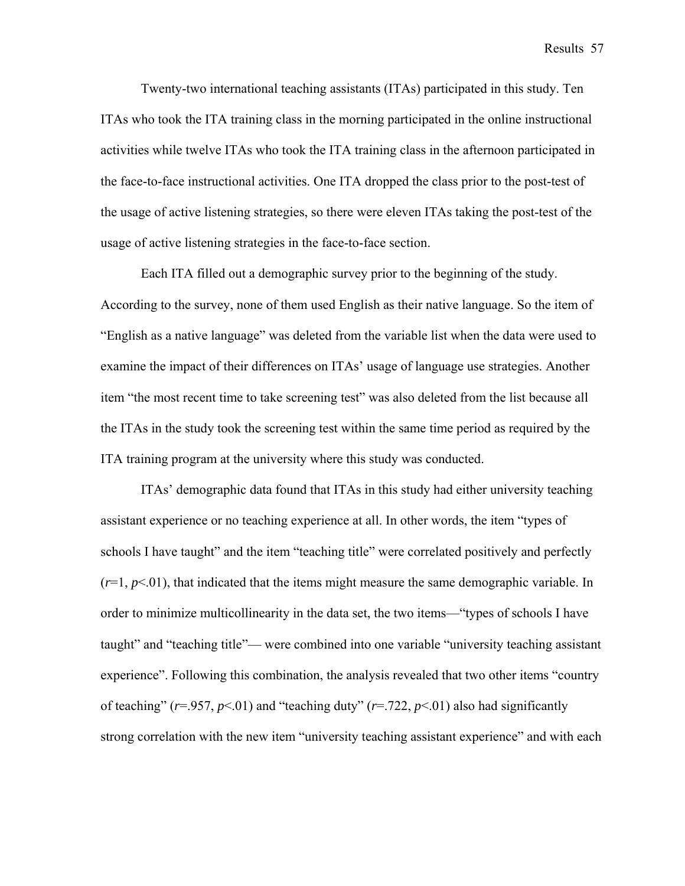Results 57

Twenty-two international teaching assistants (ITAs) participated in this study. Ten ITAs who took the ITA training class in the morning participated in the online instructional activities while twelve ITAs who took the ITA training class in the afternoon participated in the face-to-face instructional activities. One ITA dropped the class prior to the post-test of the usage of active listening strategies, so there were eleven ITAs taking the post-test of the usage of active listening strategies in the face-to-face section.

Each ITA filled out a demographic survey prior to the beginning of the study. According to the survey, none of them used English as their native language. So the item of "English as a native language" was deleted from the variable list when the data were used to examine the impact of their differences on ITAs' usage of language use strategies. Another item "the most recent time to take screening test" was also deleted from the list because all the ITAs in the study took the screening test within the same time period as required by the ITA training program at the university where this study was conducted.

ITAs' demographic data found that ITAs in this study had either university teaching assistant experience or no teaching experience at all. In other words, the item "types of schools I have taught" and the item "teaching title" were correlated positively and perfectly  $(r=1, p<0.01)$ , that indicated that the items might measure the same demographic variable. In order to minimize multicollinearity in the data set, the two items—"types of schools I have taught" and "teaching title"— were combined into one variable "university teaching assistant experience". Following this combination, the analysis revealed that two other items "country of teaching" ( $r = .957$ ,  $p < .01$ ) and "teaching duty" ( $r = .722$ ,  $p < .01$ ) also had significantly strong correlation with the new item "university teaching assistant experience" and with each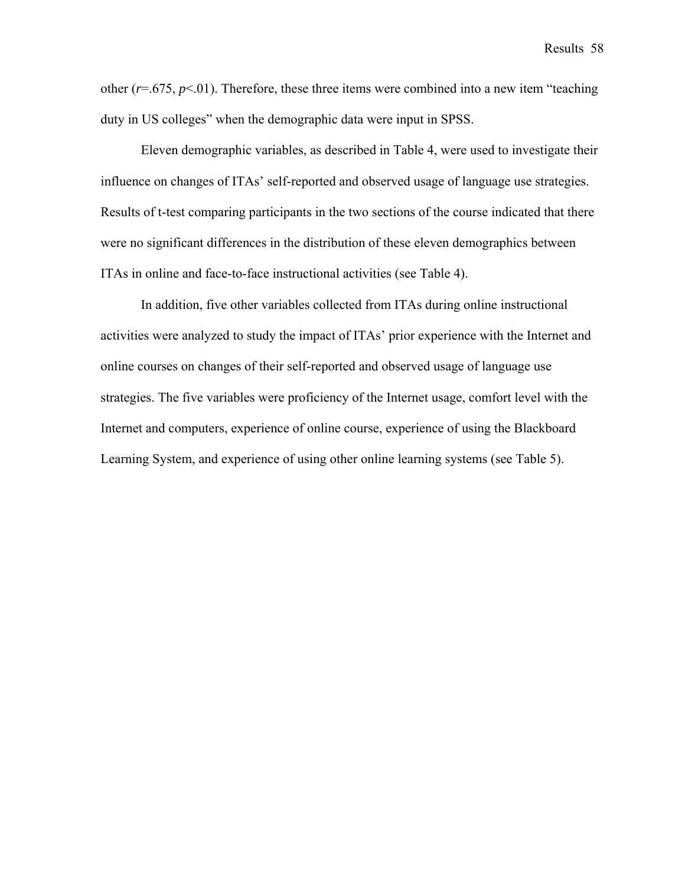other  $(r=0.675, p<0.1)$ . Therefore, these three items were combined into a new item "teaching" duty in US colleges" when the demographic data were input in SPSS.

Eleven demographic variables, as described in Table 4, were used to investigate their influence on changes of ITAs' self-reported and observed usage of language use strategies. Results of t-test comparing participants in the two sections of the course indicated that there were no significant differences in the distribution of these eleven demographics between ITAs in online and face-to-face instructional activities (see Table 4).

In addition, five other variables collected from ITAs during online instructional activities were analyzed to study the impact of ITAs' prior experience with the Internet and online courses on changes of their self-reported and observed usage of language use strategies. The five variables were proficiency of the Internet usage, comfort level with the Internet and computers, experience of online course, experience of using the Blackboard Learning System, and experience of using other online learning systems (see Table 5).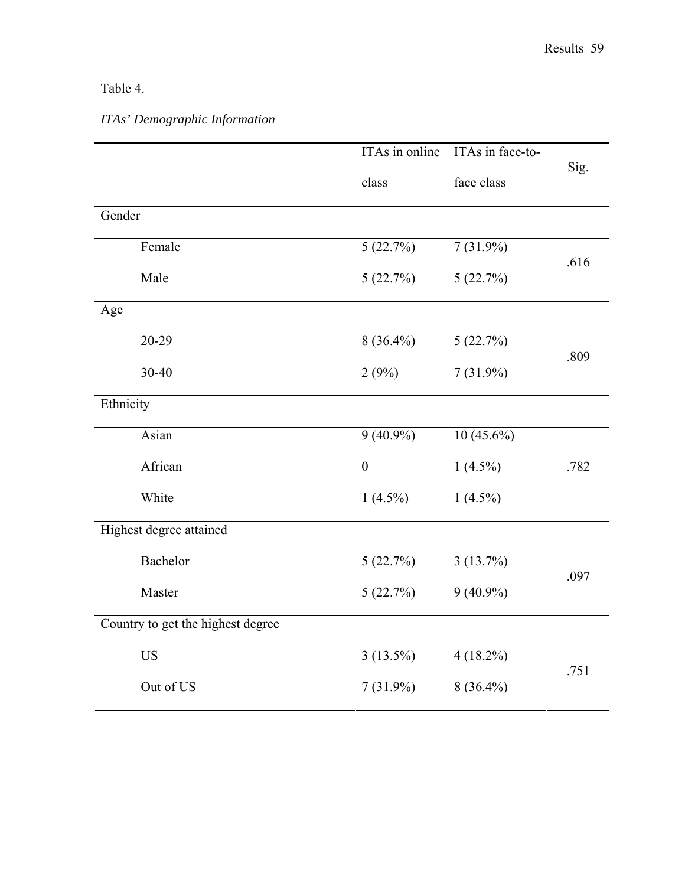## Table 4.

# *ITAs' Demographic Information*

|                                   | ITAs in online   | ITAs in face-to- |      |  |
|-----------------------------------|------------------|------------------|------|--|
|                                   |                  |                  | Sig. |  |
|                                   | class            | face class       |      |  |
| Gender                            |                  |                  |      |  |
|                                   |                  |                  |      |  |
| Female                            | 5(22.7%)         | $7(31.9\%)$      |      |  |
|                                   |                  |                  | .616 |  |
| Male                              | 5(22.7%)         | 5(22.7%)         |      |  |
| Age                               |                  |                  |      |  |
|                                   |                  |                  |      |  |
| 20-29                             | $8(36.4\%)$      | 5(22.7%)         |      |  |
| 30-40                             |                  |                  | .809 |  |
|                                   | 2(9%)            | $7(31.9\%)$      |      |  |
| Ethnicity                         |                  |                  |      |  |
|                                   |                  |                  |      |  |
| Asian                             | $9(40.9\%)$      | $10(45.6\%)$     |      |  |
| African                           | $\boldsymbol{0}$ | $1(4.5\%)$       | .782 |  |
|                                   |                  |                  |      |  |
| White                             | $1(4.5\%)$       | $1(4.5\%)$       |      |  |
| Highest degree attained           |                  |                  |      |  |
|                                   |                  |                  |      |  |
| Bachelor                          | 5(22.7%)         | 3(13.7%)         |      |  |
|                                   |                  |                  | .097 |  |
| Master                            | 5(22.7%)         | $9(40.9\%)$      |      |  |
| Country to get the highest degree |                  |                  |      |  |
|                                   |                  |                  |      |  |
| <b>US</b>                         | $3(13.5\%)$      | $4(18.2\%)$      |      |  |
|                                   |                  |                  | .751 |  |
| Out of US                         | $7(31.9\%)$      | $8(36.4\%)$      |      |  |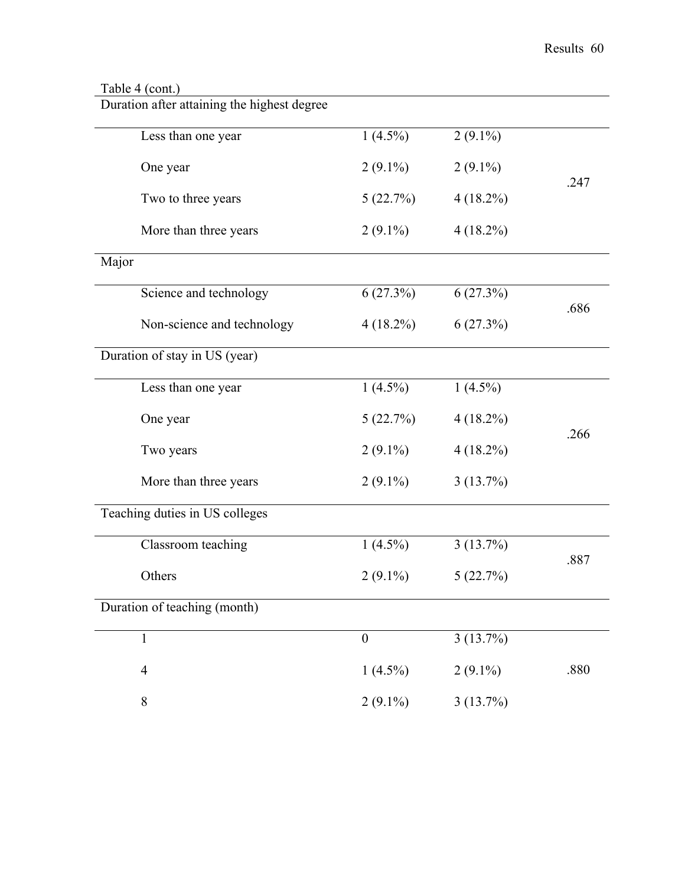### Table 4 (cont.)

Duration after attaining the highest degree

|                                | Less than one year            | $1(4.5\%)$       | $2(9.1\%)$  |      |
|--------------------------------|-------------------------------|------------------|-------------|------|
|                                | One year                      | $2(9.1\%)$       | $2(9.1\%)$  | .247 |
|                                | Two to three years            | 5(22.7%)         | $4(18.2\%)$ |      |
|                                | More than three years         | $2(9.1\%)$       | $4(18.2\%)$ |      |
| Major                          |                               |                  |             |      |
|                                | Science and technology        | 6(27.3%)         | 6(27.3%)    | .686 |
|                                | Non-science and technology    | $4(18.2\%)$      | 6(27.3%)    |      |
|                                | Duration of stay in US (year) |                  |             |      |
|                                | Less than one year            | $1(4.5\%)$       | $1(4.5\%)$  |      |
|                                | One year                      | 5(22.7%)         | $4(18.2\%)$ | .266 |
|                                | Two years                     | $2(9.1\%)$       | $4(18.2\%)$ |      |
|                                | More than three years         | $2(9.1\%)$       | 3(13.7%)    |      |
| Teaching duties in US colleges |                               |                  |             |      |
|                                | Classroom teaching            | $1(4.5\%)$       | 3(13.7%)    | .887 |
|                                | Others                        | $2(9.1\%)$       | 5(22.7%)    |      |
| Duration of teaching (month)   |                               |                  |             |      |
|                                | 1                             | $\boldsymbol{0}$ | 3(13.7%)    |      |
|                                | $\overline{4}$                | $1(4.5\%)$       | $2(9.1\%)$  | .880 |
|                                | 8                             | $2(9.1\%)$       | 3(13.7%)    |      |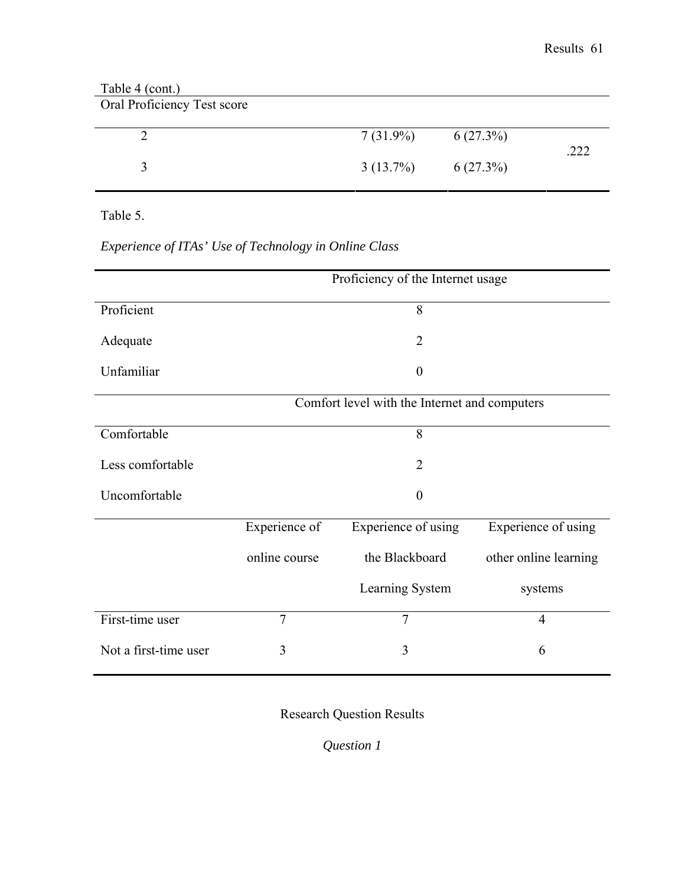| Table 4 (cont.)<br>Oral Proficiency Test score |             |             |      |
|------------------------------------------------|-------------|-------------|------|
|                                                | $7(31.9\%)$ | $6(27.3\%)$ | .222 |
|                                                | $3(13.7\%)$ | $6(27.3\%)$ |      |

Table 5.

# *Experience of ITAs' Use of Technology in Online Class*

|                       | Proficiency of the Internet usage             |                     |                       |  |
|-----------------------|-----------------------------------------------|---------------------|-----------------------|--|
| Proficient            |                                               | 8                   |                       |  |
| Adequate              |                                               | $\overline{2}$      |                       |  |
| Unfamiliar            | $\theta$                                      |                     |                       |  |
|                       | Comfort level with the Internet and computers |                     |                       |  |
| Comfortable           |                                               | 8                   |                       |  |
| Less comfortable      |                                               | $\overline{2}$      |                       |  |
| Uncomfortable         |                                               | $\theta$            |                       |  |
|                       | Experience of                                 | Experience of using | Experience of using   |  |
|                       | online course                                 | the Blackboard      | other online learning |  |
|                       |                                               | Learning System     | systems               |  |
| First-time user       | $\overline{7}$                                | $\overline{7}$      | $\overline{4}$        |  |
| Not a first-time user | 3                                             | 3                   | 6                     |  |

Research Question Results

*Question 1*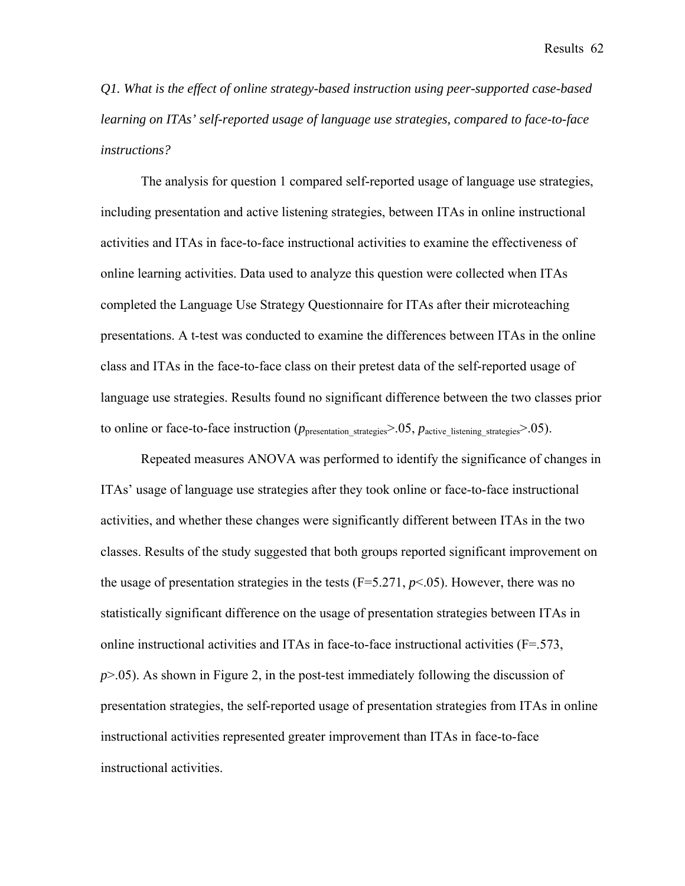*Q1. What is the effect of online strategy-based instruction using peer-supported case-based learning on ITAs' self-reported usage of language use strategies, compared to face-to-face instructions?* 

The analysis for question 1 compared self-reported usage of language use strategies, including presentation and active listening strategies, between ITAs in online instructional activities and ITAs in face-to-face instructional activities to examine the effectiveness of online learning activities. Data used to analyze this question were collected when ITAs completed the Language Use Strategy Questionnaire for ITAs after their microteaching presentations. A t-test was conducted to examine the differences between ITAs in the online class and ITAs in the face-to-face class on their pretest data of the self-reported usage of language use strategies. Results found no significant difference between the two classes prior to online or face-to-face instruction ( $p_{\text{presentation strategies}}$ ) = .05,  $p_{\text{active listening strategies}}$ ).05).

Repeated measures ANOVA was performed to identify the significance of changes in ITAs' usage of language use strategies after they took online or face-to-face instructional activities, and whether these changes were significantly different between ITAs in the two classes. Results of the study suggested that both groups reported significant improvement on the usage of presentation strategies in the tests  $(F=5.271, p<0.65)$ . However, there was no statistically significant difference on the usage of presentation strategies between ITAs in online instructional activities and ITAs in face-to-face instructional activities (F=.573, *p*>.05). As shown in Figure 2, in the post-test immediately following the discussion of presentation strategies, the self-reported usage of presentation strategies from ITAs in online instructional activities represented greater improvement than ITAs in face-to-face instructional activities.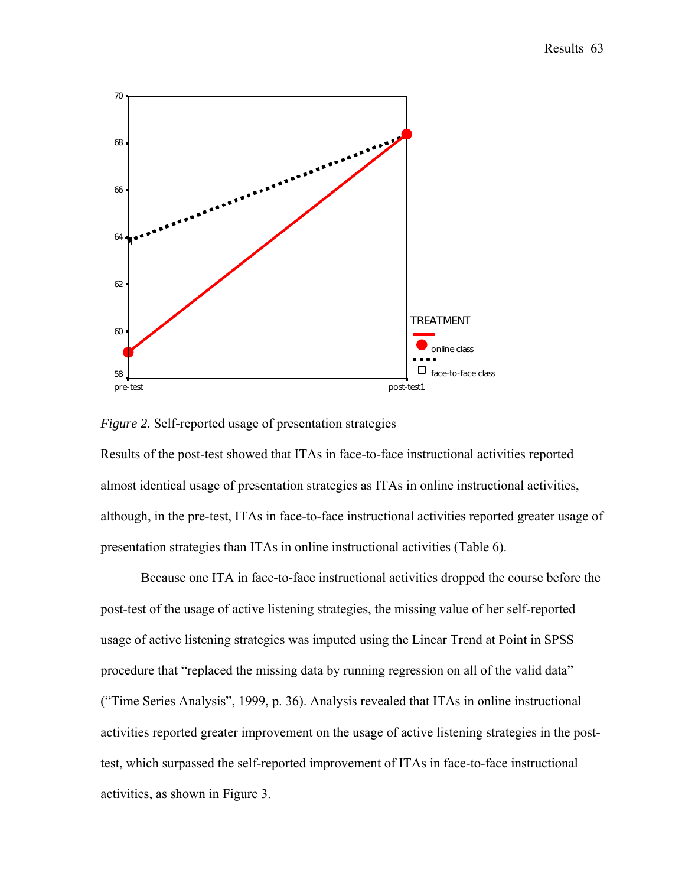



Results of the post-test showed that ITAs in face-to-face instructional activities reported almost identical usage of presentation strategies as ITAs in online instructional activities, although, in the pre-test, ITAs in face-to-face instructional activities reported greater usage of presentation strategies than ITAs in online instructional activities (Table 6).

Because one ITA in face-to-face instructional activities dropped the course before the post-test of the usage of active listening strategies, the missing value of her self-reported usage of active listening strategies was imputed using the Linear Trend at Point in SPSS procedure that "replaced the missing data by running regression on all of the valid data" ("Time Series Analysis", 1999, p. 36). Analysis revealed that ITAs in online instructional activities reported greater improvement on the usage of active listening strategies in the posttest, which surpassed the self-reported improvement of ITAs in face-to-face instructional activities, as shown in Figure 3.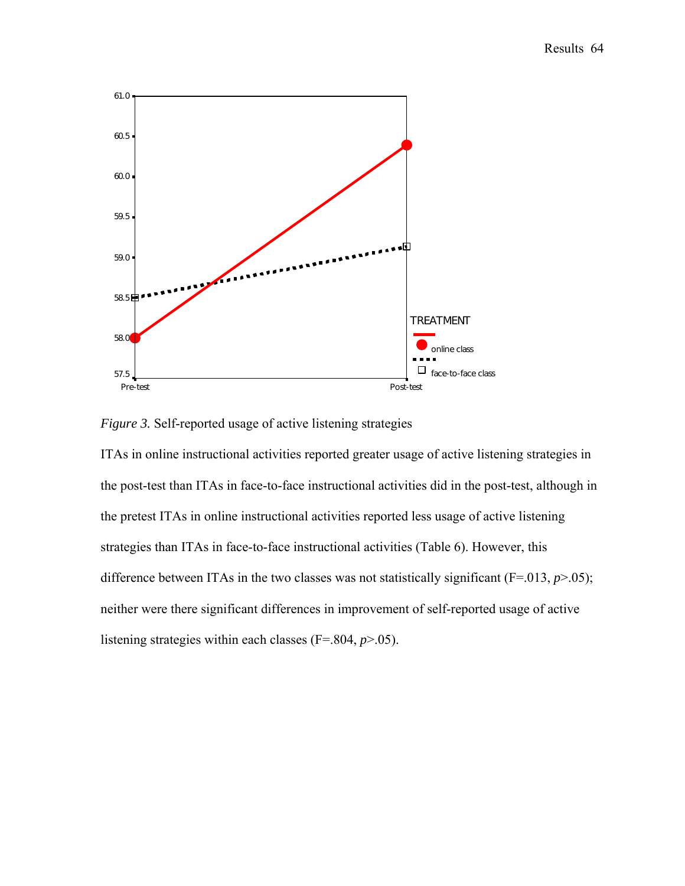

*Figure 3.* Self-reported usage of active listening strategies

ITAs in online instructional activities reported greater usage of active listening strategies in the post-test than ITAs in face-to-face instructional activities did in the post-test, although in the pretest ITAs in online instructional activities reported less usage of active listening strategies than ITAs in face-to-face instructional activities (Table 6). However, this difference between ITAs in the two classes was not statistically significant  $(F=0.013, p>0.05)$ ; neither were there significant differences in improvement of self-reported usage of active listening strategies within each classes (F=.804, *p*>.05).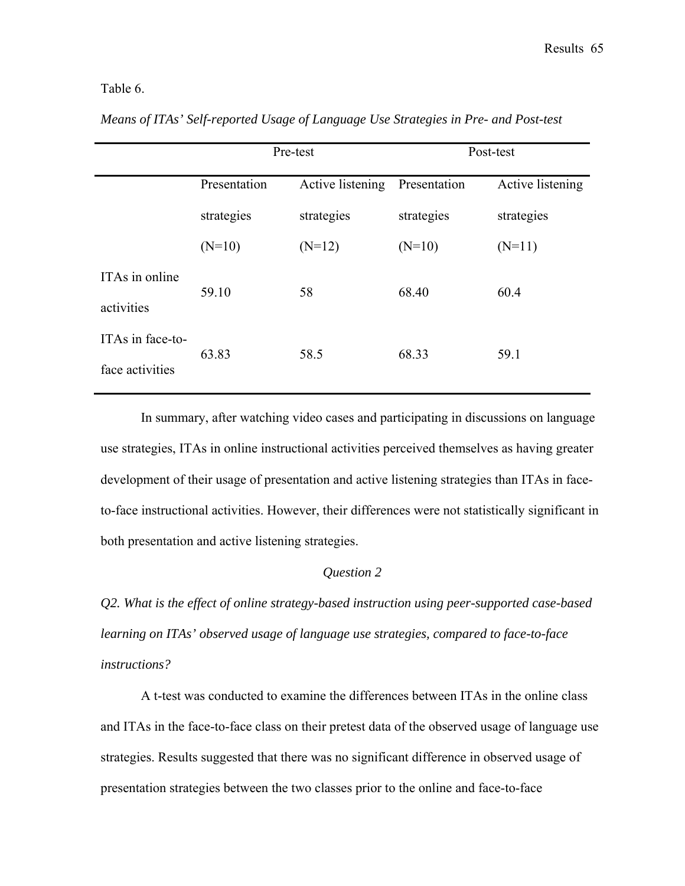# Table 6.

|                  | Pre-test     |                  | Post-test    |                  |
|------------------|--------------|------------------|--------------|------------------|
|                  | Presentation | Active listening | Presentation | Active listening |
|                  | strategies   | strategies       | strategies   | strategies       |
|                  | $(N=10)$     | $(N=12)$         | $(N=10)$     | $(N=11)$         |
| ITAs in online   | 59.10        | 58               | 68.40        | 60.4             |
| activities       |              |                  |              |                  |
| ITAs in face-to- | 63.83        | 58.5             | 68.33        | 59.1             |
| face activities  |              |                  |              |                  |

*Means of ITAs' Self-reported Usage of Language Use Strategies in Pre- and Post-test* 

In summary, after watching video cases and participating in discussions on language use strategies, ITAs in online instructional activities perceived themselves as having greater development of their usage of presentation and active listening strategies than ITAs in faceto-face instructional activities. However, their differences were not statistically significant in both presentation and active listening strategies.

# *Question 2*

*Q2. What is the effect of online strategy-based instruction using peer-supported case-based learning on ITAs' observed usage of language use strategies, compared to face-to-face instructions?* 

A t-test was conducted to examine the differences between ITAs in the online class and ITAs in the face-to-face class on their pretest data of the observed usage of language use strategies. Results suggested that there was no significant difference in observed usage of presentation strategies between the two classes prior to the online and face-to-face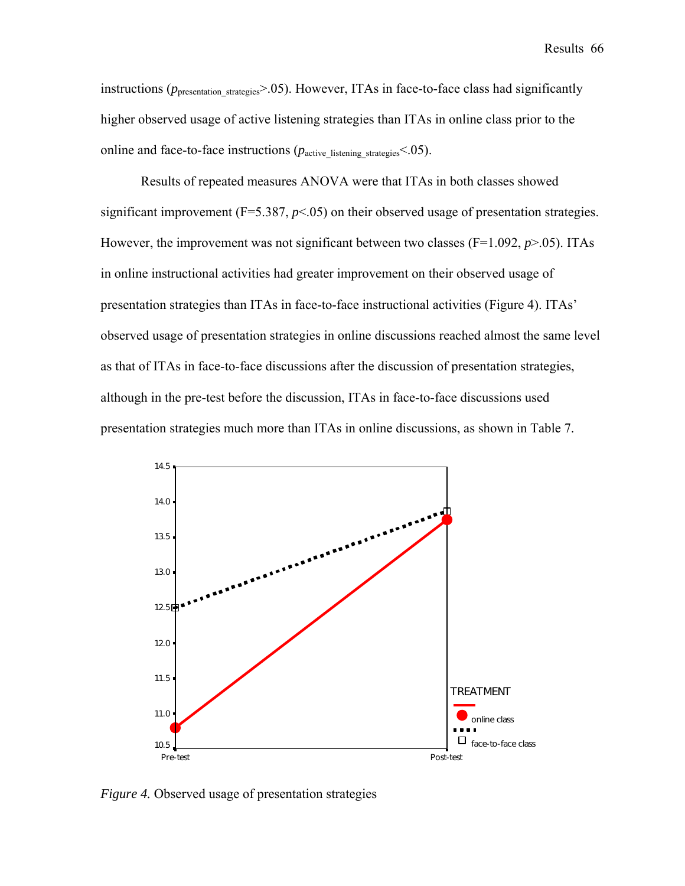Results 66

instructions ( $p_{\text{presentation strategies}}$  > .05). However, ITAs in face-to-face class had significantly higher observed usage of active listening strategies than ITAs in online class prior to the online and face-to-face instructions  $(p_{\text{active}}|_S)$  istening strategies<sup><.05</sup>).

Results of repeated measures ANOVA were that ITAs in both classes showed significant improvement ( $F=5.387, p<0.05$ ) on their observed usage of presentation strategies. However, the improvement was not significant between two classes ( $F=1.092$ ,  $p>0.05$ ). ITAs in online instructional activities had greater improvement on their observed usage of presentation strategies than ITAs in face-to-face instructional activities (Figure 4). ITAs' observed usage of presentation strategies in online discussions reached almost the same level as that of ITAs in face-to-face discussions after the discussion of presentation strategies, although in the pre-test before the discussion, ITAs in face-to-face discussions used presentation strategies much more than ITAs in online discussions, as shown in Table 7.



*Figure 4.* Observed usage of presentation strategies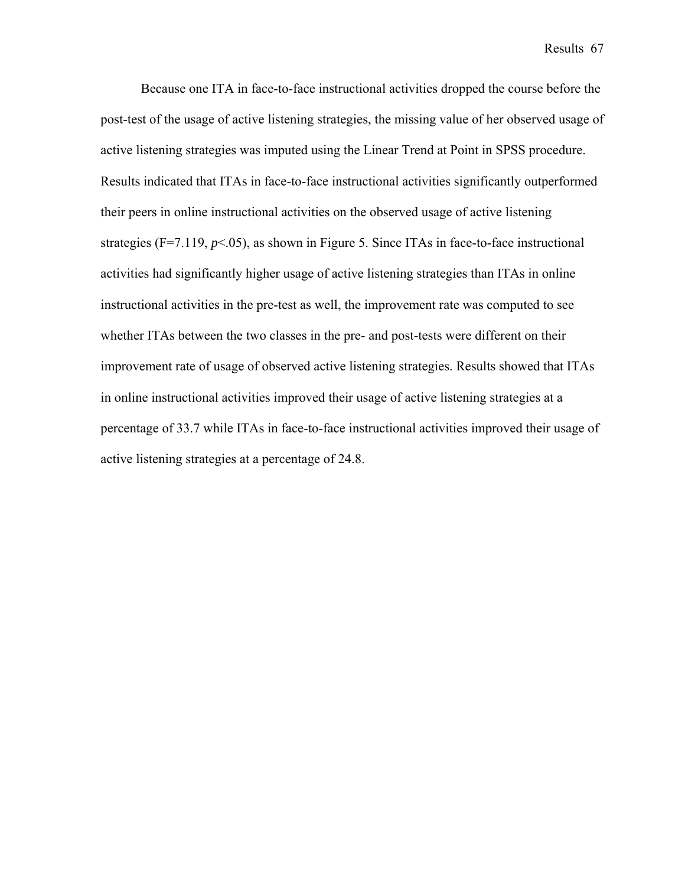Results 67

Because one ITA in face-to-face instructional activities dropped the course before the post-test of the usage of active listening strategies, the missing value of her observed usage of active listening strategies was imputed using the Linear Trend at Point in SPSS procedure. Results indicated that ITAs in face-to-face instructional activities significantly outperformed their peers in online instructional activities on the observed usage of active listening strategies (F=7.119,  $p<.05$ ), as shown in Figure 5. Since ITAs in face-to-face instructional activities had significantly higher usage of active listening strategies than ITAs in online instructional activities in the pre-test as well, the improvement rate was computed to see whether ITAs between the two classes in the pre- and post-tests were different on their improvement rate of usage of observed active listening strategies. Results showed that ITAs in online instructional activities improved their usage of active listening strategies at a percentage of 33.7 while ITAs in face-to-face instructional activities improved their usage of active listening strategies at a percentage of 24.8.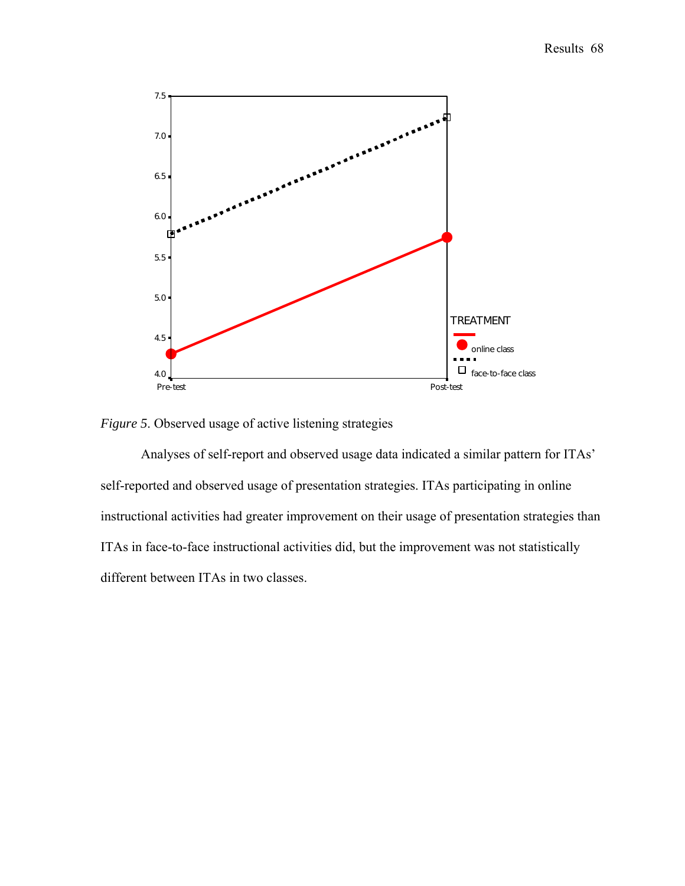

*Figure 5*. Observed usage of active listening strategies

Analyses of self-report and observed usage data indicated a similar pattern for ITAs' self-reported and observed usage of presentation strategies. ITAs participating in online instructional activities had greater improvement on their usage of presentation strategies than ITAs in face-to-face instructional activities did, but the improvement was not statistically different between ITAs in two classes.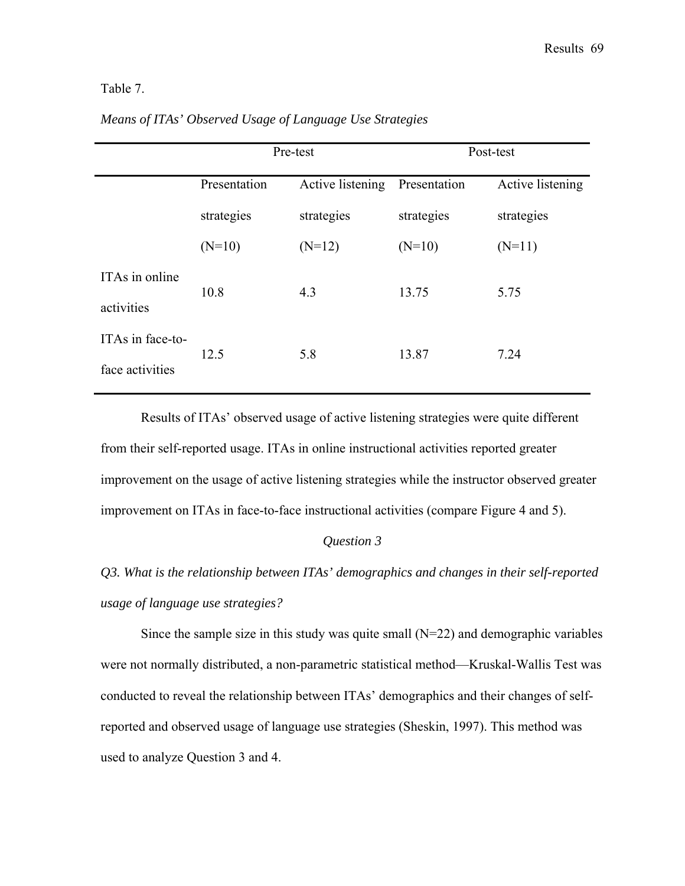# Table 7.

|                  | Pre-test     |                  | Post-test    |                  |
|------------------|--------------|------------------|--------------|------------------|
|                  | Presentation | Active listening | Presentation | Active listening |
|                  | strategies   | strategies       | strategies   | strategies       |
|                  | $(N=10)$     | $(N=12)$         | $(N=10)$     | $(N=11)$         |
| ITAs in online   | 10.8         | 4.3              | 13.75        | 5.75             |
| activities       |              |                  |              |                  |
| ITAs in face-to- | 12.5         | 5.8              | 13.87        | 7.24             |
| face activities  |              |                  |              |                  |

# *Means of ITAs' Observed Usage of Language Use Strategies*

Results of ITAs' observed usage of active listening strategies were quite different from their self-reported usage. ITAs in online instructional activities reported greater improvement on the usage of active listening strategies while the instructor observed greater improvement on ITAs in face-to-face instructional activities (compare Figure 4 and 5).

#### *Question 3*

# *Q3. What is the relationship between ITAs' demographics and changes in their self-reported usage of language use strategies?*

Since the sample size in this study was quite small  $(N=22)$  and demographic variables were not normally distributed, a non-parametric statistical method—Kruskal-Wallis Test was conducted to reveal the relationship between ITAs' demographics and their changes of selfreported and observed usage of language use strategies (Sheskin, 1997). This method was used to analyze Question 3 and 4.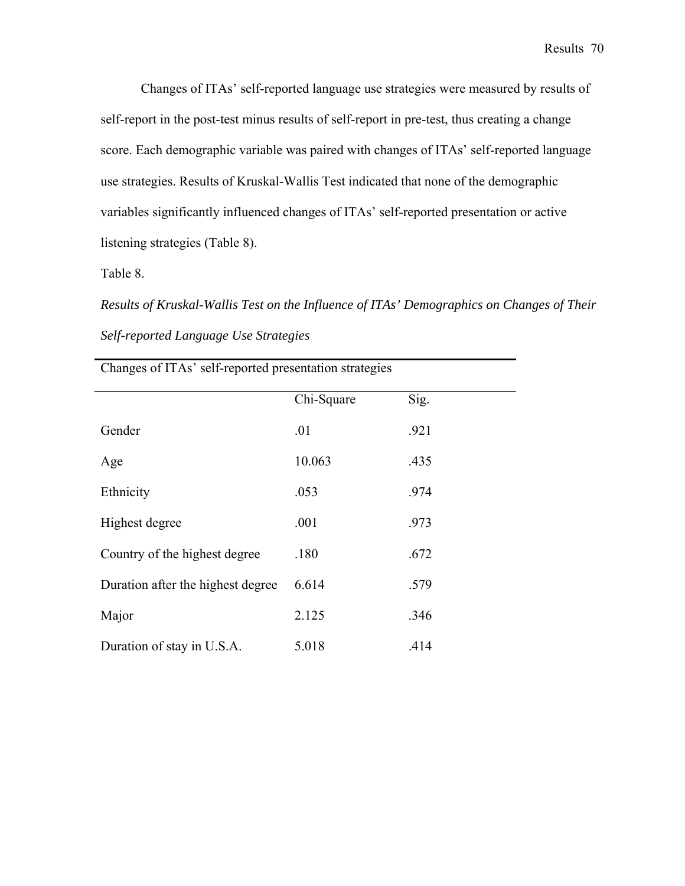Changes of ITAs' self-reported language use strategies were measured by results of self-report in the post-test minus results of self-report in pre-test, thus creating a change score. Each demographic variable was paired with changes of ITAs' self-reported language use strategies. Results of Kruskal-Wallis Test indicated that none of the demographic variables significantly influenced changes of ITAs' self-reported presentation or active listening strategies (Table 8).

Table 8.

*Results of Kruskal-Wallis Test on the Influence of ITAs' Demographics on Changes of Their Self-reported Language Use Strategies* 

|                                   | Chi-Square | Sig. |
|-----------------------------------|------------|------|
| Gender                            | .01        | .921 |
| Age                               | 10.063     | .435 |
| Ethnicity                         | .053       | .974 |
| Highest degree                    | .001       | .973 |
| Country of the highest degree     | .180       | .672 |
| Duration after the highest degree | 6.614      | .579 |
| Major                             | 2.125      | .346 |
| Duration of stay in U.S.A.        | 5.018      | .414 |

Changes of ITAs' self-reported presentation strategies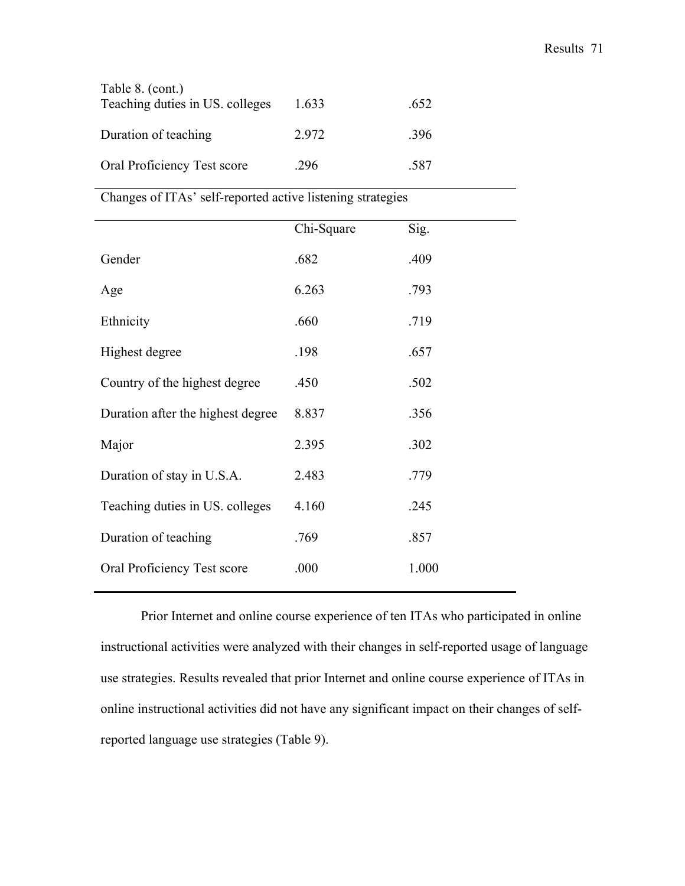| Table 8. (cont.)<br>Teaching duties in US. colleges | 1.633 | .652 |
|-----------------------------------------------------|-------|------|
| Duration of teaching                                | 2972  | -396 |
| Oral Proficiency Test score                         | 296   | -587 |

Changes of ITAs' self-reported active listening strategies

|                                   | Chi-Square | Sig.  |
|-----------------------------------|------------|-------|
| Gender                            | .682       | .409  |
| Age                               | 6.263      | .793  |
| Ethnicity                         | .660       | .719  |
| Highest degree                    | .198       | .657  |
| Country of the highest degree     | .450       | .502  |
| Duration after the highest degree | 8.837      | .356  |
| Major                             | 2.395      | .302  |
| Duration of stay in U.S.A.        | 2.483      | .779  |
| Teaching duties in US. colleges   | 4.160      | .245  |
| Duration of teaching              | .769       | .857  |
| Oral Proficiency Test score       | .000       | 1.000 |
|                                   |            |       |

Prior Internet and online course experience of ten ITAs who participated in online instructional activities were analyzed with their changes in self-reported usage of language use strategies. Results revealed that prior Internet and online course experience of ITAs in online instructional activities did not have any significant impact on their changes of selfreported language use strategies (Table 9).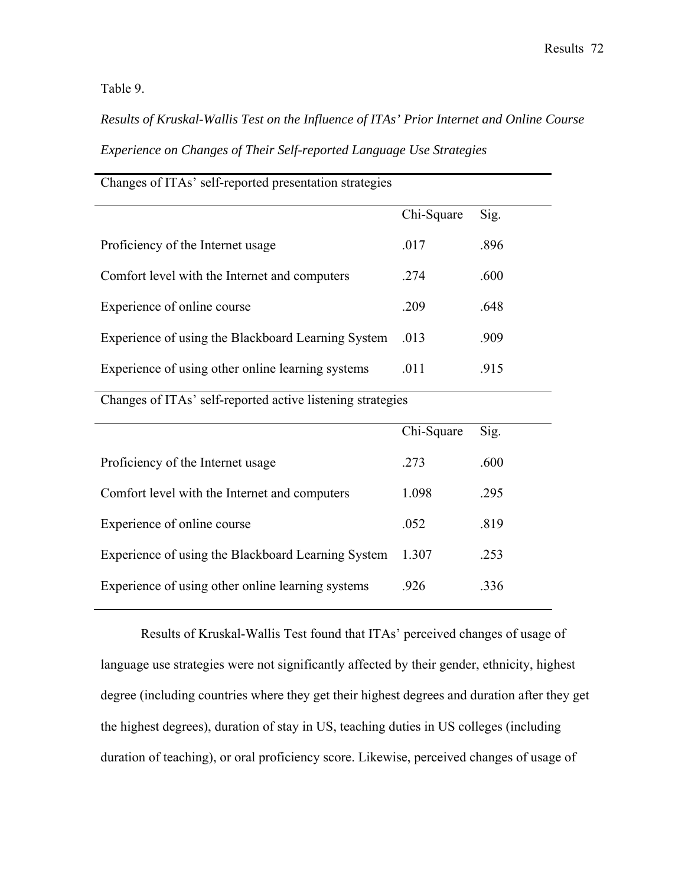Table 9.

*Results of Kruskal-Wallis Test on the Influence of ITAs' Prior Internet and Online Course Experience on Changes of Their Self-reported Language Use Strategies* 

| Changes of ITAs' self-reported presentation strategies |            |      |  |
|--------------------------------------------------------|------------|------|--|
|                                                        | Chi-Square | Sig. |  |
| Proficiency of the Internet usage                      | .017       | .896 |  |
| Comfort level with the Internet and computers          | .274       | .600 |  |
| Experience of online course                            | .209       | .648 |  |
| Experience of using the Blackboard Learning System     | .013       | .909 |  |
| Experience of using other online learning systems      | .011       | .915 |  |

Changes of ITAs' self-reported active listening strategies

|                                                    | Chi-Square | Sig. |
|----------------------------------------------------|------------|------|
| Proficiency of the Internet usage                  | 273        | .600 |
| Comfort level with the Internet and computers      | 1 098      | .295 |
| Experience of online course                        | .052       | .819 |
| Experience of using the Blackboard Learning System | 1.307      | .253 |
| Experience of using other online learning systems  | -926       | 336  |

Results of Kruskal-Wallis Test found that ITAs' perceived changes of usage of language use strategies were not significantly affected by their gender, ethnicity, highest degree (including countries where they get their highest degrees and duration after they get the highest degrees), duration of stay in US, teaching duties in US colleges (including duration of teaching), or oral proficiency score. Likewise, perceived changes of usage of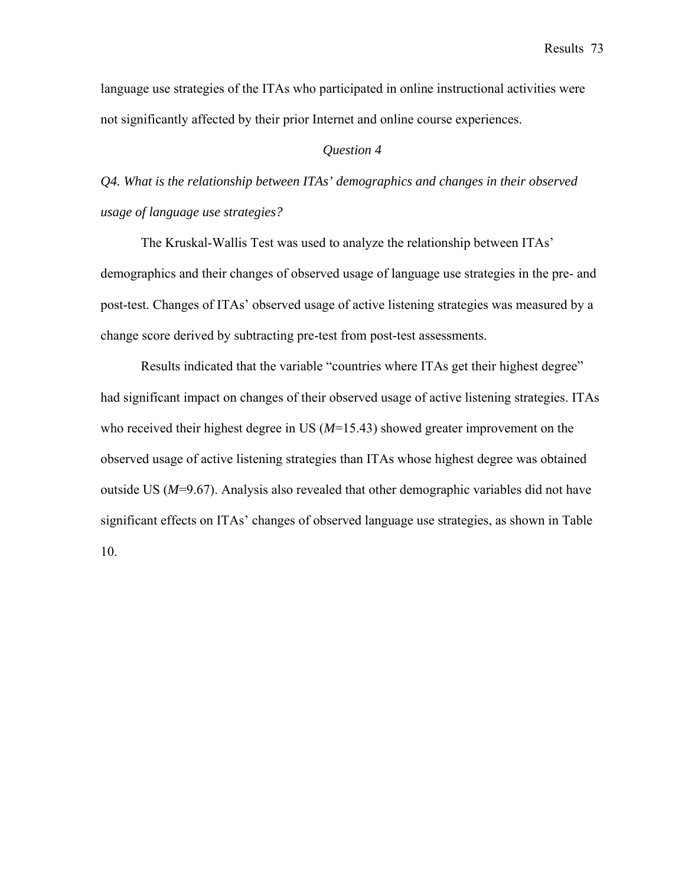language use strategies of the ITAs who participated in online instructional activities were not significantly affected by their prior Internet and online course experiences.

#### *Question 4*

*Q4. What is the relationship between ITAs' demographics and changes in their observed usage of language use strategies?* 

The Kruskal-Wallis Test was used to analyze the relationship between ITAs' demographics and their changes of observed usage of language use strategies in the pre- and post-test. Changes of ITAs' observed usage of active listening strategies was measured by a change score derived by subtracting pre-test from post-test assessments.

Results indicated that the variable "countries where ITAs get their highest degree" had significant impact on changes of their observed usage of active listening strategies. ITAs who received their highest degree in US (*M*=15.43) showed greater improvement on the observed usage of active listening strategies than ITAs whose highest degree was obtained outside US (*M*=9.67). Analysis also revealed that other demographic variables did not have significant effects on ITAs' changes of observed language use strategies, as shown in Table 10.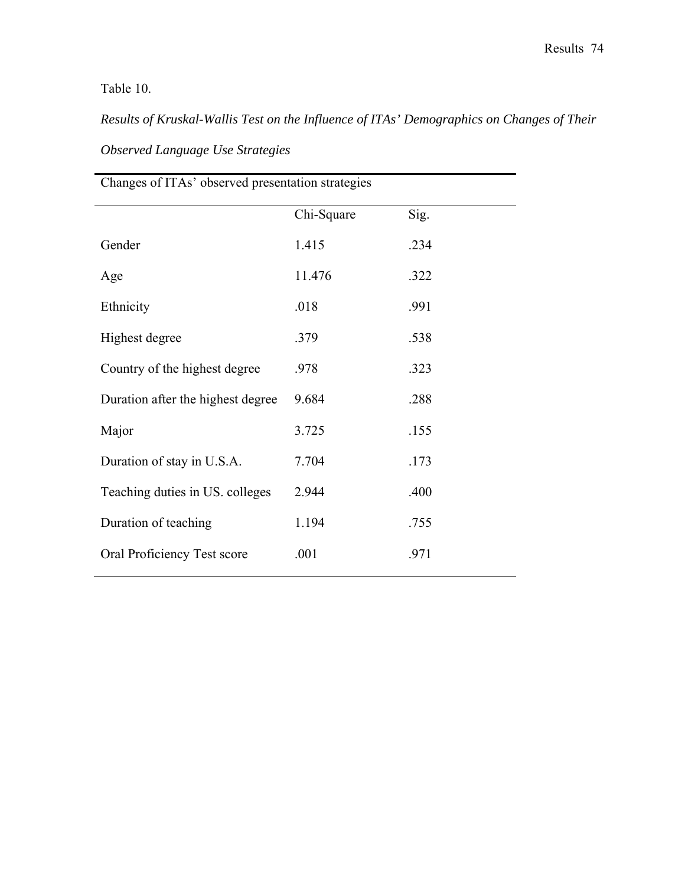# Table 10.

*Results of Kruskal-Wallis Test on the Influence of ITAs' Demographics on Changes of Their Observed Language Use Strategies* 

| Changes of ITAs' observed presentation strategies |            |      |  |
|---------------------------------------------------|------------|------|--|
|                                                   | Chi-Square | Sig. |  |
| Gender                                            | 1.415      | .234 |  |
| Age                                               | 11.476     | .322 |  |
| Ethnicity                                         | .018       | .991 |  |
| Highest degree                                    | .379       | .538 |  |
| Country of the highest degree                     | .978       | .323 |  |
| Duration after the highest degree                 | 9.684      | .288 |  |
| Major                                             | 3.725      | .155 |  |
| Duration of stay in U.S.A.                        | 7.704      | .173 |  |
| Teaching duties in US. colleges                   | 2.944      | .400 |  |
| Duration of teaching                              | 1.194      | .755 |  |
| Oral Proficiency Test score                       | .001       | .971 |  |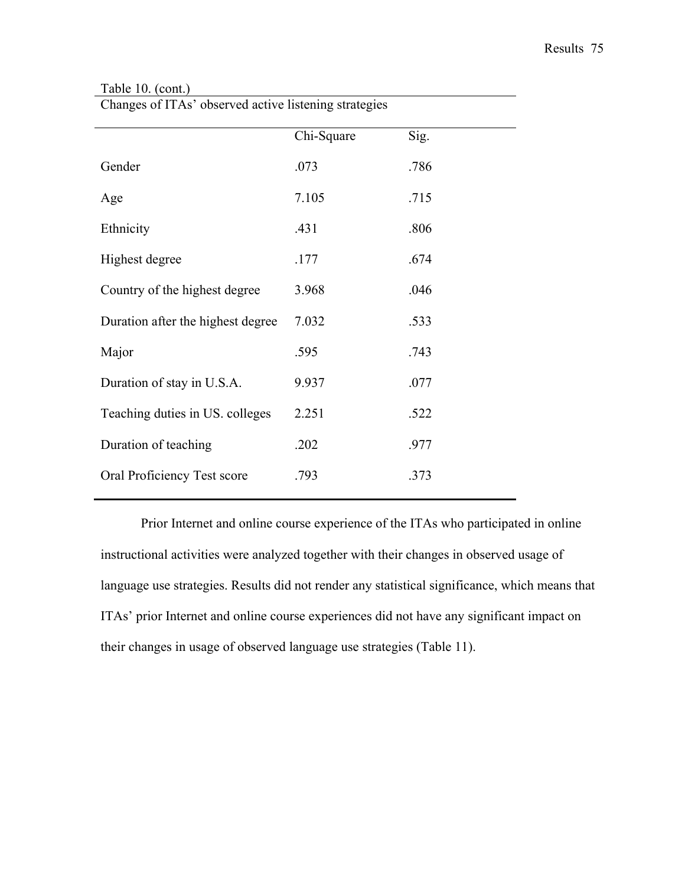|                                   | Chi-Square | Sig. |
|-----------------------------------|------------|------|
| Gender                            | .073       | .786 |
| Age                               | 7.105      | .715 |
| Ethnicity                         | .431       | .806 |
| Highest degree                    | .177       | .674 |
| Country of the highest degree     | 3.968      | .046 |
| Duration after the highest degree | 7.032      | .533 |
| Major                             | .595       | .743 |
| Duration of stay in U.S.A.        | 9.937      | .077 |
| Teaching duties in US. colleges   | 2.251      | .522 |
| Duration of teaching              | .202       | .977 |
| Oral Proficiency Test score       | .793       | .373 |
|                                   |            |      |

# Table 10. (cont.)

Changes of ITAs' observed active listening strategies

Prior Internet and online course experience of the ITAs who participated in online instructional activities were analyzed together with their changes in observed usage of language use strategies. Results did not render any statistical significance, which means that ITAs' prior Internet and online course experiences did not have any significant impact on their changes in usage of observed language use strategies (Table 11).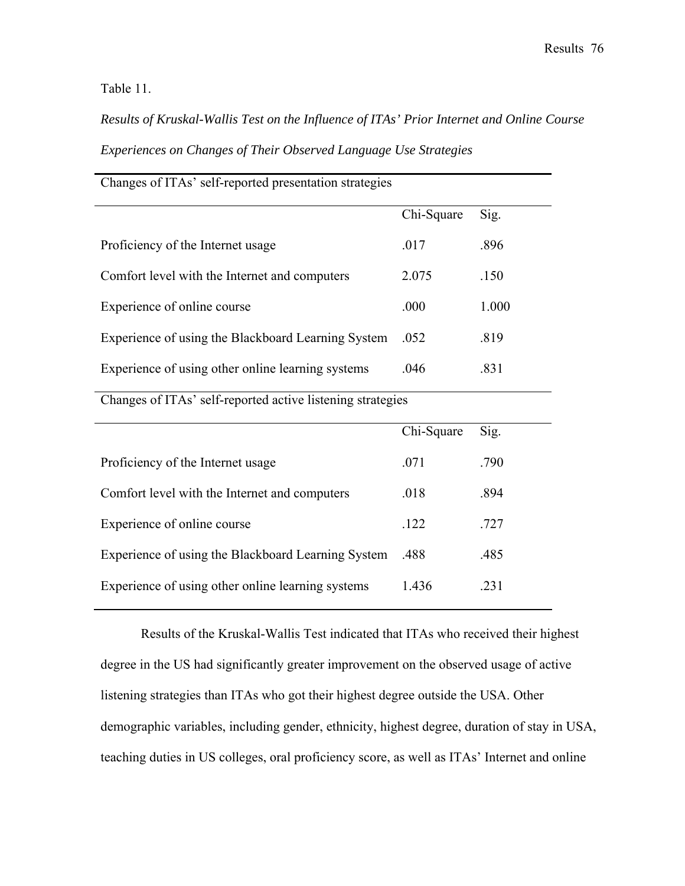Table 11.

*Results of Kruskal-Wallis Test on the Influence of ITAs' Prior Internet and Online Course Experiences on Changes of Their Observed Language Use Strategies* 

| Changes of ITAs' self-reported presentation strategies |            |       |  |
|--------------------------------------------------------|------------|-------|--|
|                                                        | Chi-Square | Sig.  |  |
| Proficiency of the Internet usage                      | .017       | .896  |  |
| Comfort level with the Internet and computers          | 2.075      | .150  |  |
| Experience of online course                            | .000       | 1.000 |  |
| Experience of using the Blackboard Learning System     | .052       | .819  |  |
| Experience of using other online learning systems      | .046       | .831  |  |
|                                                        |            |       |  |

Changes of ITAs' self-reported active listening strategies

|                                                    | Chi-Square | Sig. |
|----------------------------------------------------|------------|------|
| Proficiency of the Internet usage                  | .071       | -790 |
| Comfort level with the Internet and computers      | .018       | .894 |
| Experience of online course                        | .122       | .727 |
| Experience of using the Blackboard Learning System | .488       | .485 |
| Experience of using other online learning systems  | 1436       | 231  |

Results of the Kruskal-Wallis Test indicated that ITAs who received their highest degree in the US had significantly greater improvement on the observed usage of active listening strategies than ITAs who got their highest degree outside the USA. Other demographic variables, including gender, ethnicity, highest degree, duration of stay in USA, teaching duties in US colleges, oral proficiency score, as well as ITAs' Internet and online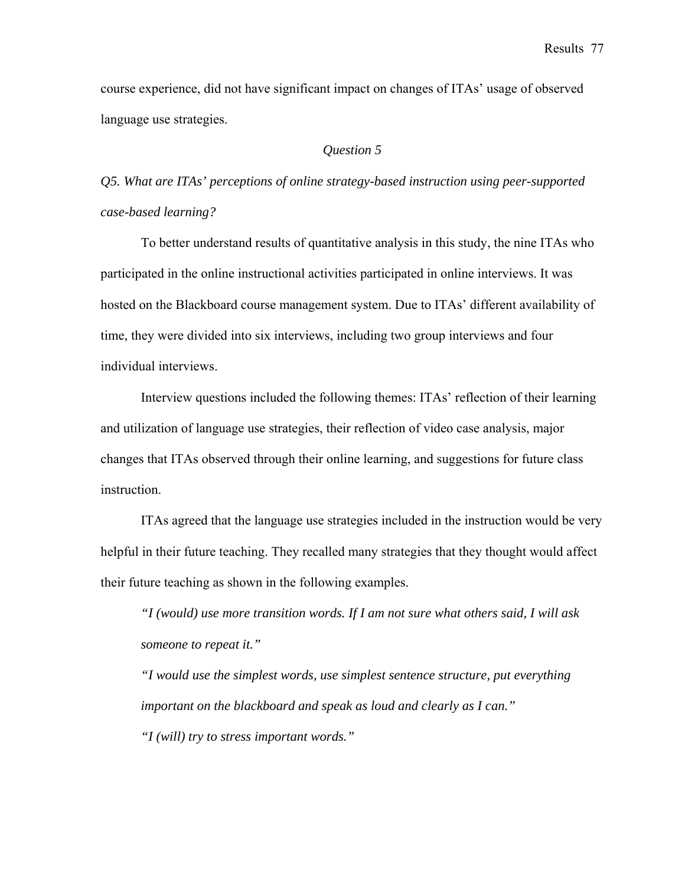Results 77

course experience, did not have significant impact on changes of ITAs' usage of observed language use strategies.

# *Question 5*

*Q5. What are ITAs' perceptions of online strategy-based instruction using peer-supported case-based learning?* 

To better understand results of quantitative analysis in this study, the nine ITAs who participated in the online instructional activities participated in online interviews. It was hosted on the Blackboard course management system. Due to ITAs' different availability of time, they were divided into six interviews, including two group interviews and four individual interviews.

Interview questions included the following themes: ITAs' reflection of their learning and utilization of language use strategies, their reflection of video case analysis, major changes that ITAs observed through their online learning, and suggestions for future class instruction.

ITAs agreed that the language use strategies included in the instruction would be very helpful in their future teaching. They recalled many strategies that they thought would affect their future teaching as shown in the following examples.

*"I (would) use more transition words. If I am not sure what others said, I will ask someone to repeat it."* 

*"I would use the simplest words, use simplest sentence structure, put everything important on the blackboard and speak as loud and clearly as I can." "I (will) try to stress important words."*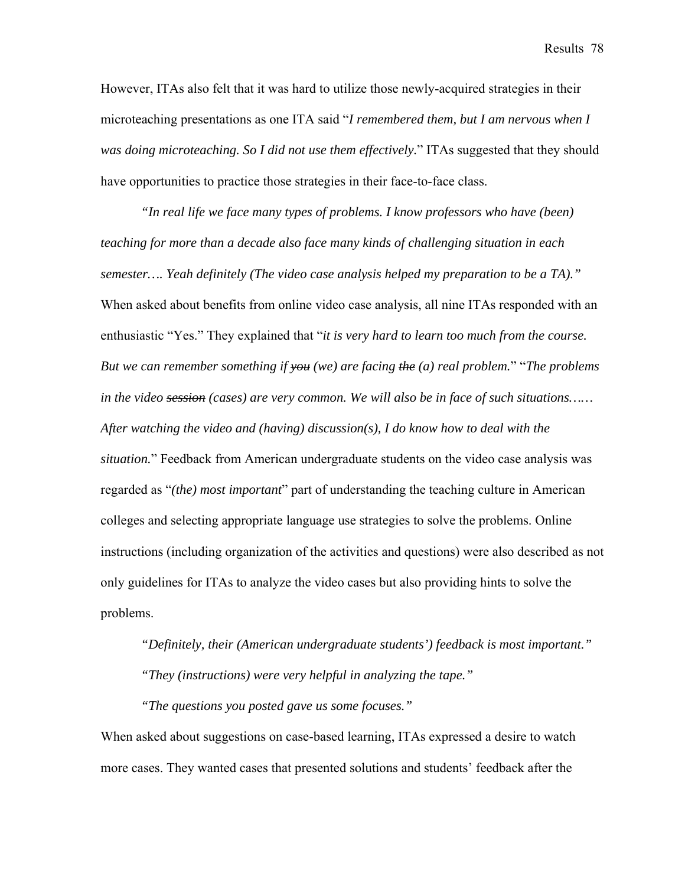Results 78

However, ITAs also felt that it was hard to utilize those newly-acquired strategies in their microteaching presentations as one ITA said "*I remembered them, but I am nervous when I was doing microteaching. So I did not use them effectively.*" ITAs suggested that they should have opportunities to practice those strategies in their face-to-face class.

*"In real life we face many types of problems. I know professors who have (been) teaching for more than a decade also face many kinds of challenging situation in each semester…. Yeah definitely (The video case analysis helped my preparation to be a TA)."* When asked about benefits from online video case analysis, all nine ITAs responded with an enthusiastic "Yes." They explained that "*it is very hard to learn too much from the course. But we can remember something if you (we) are facing the (a) real problem.*" "*The problems in the video session (cases) are very common. We will also be in face of such situations…… After watching the video and (having) discussion(s), I do know how to deal with the situation.*" Feedback from American undergraduate students on the video case analysis was regarded as "*(the) most important*" part of understanding the teaching culture in American colleges and selecting appropriate language use strategies to solve the problems. Online instructions (including organization of the activities and questions) were also described as not only guidelines for ITAs to analyze the video cases but also providing hints to solve the problems.

*"Definitely, their (American undergraduate students') feedback is most important." "They (instructions) were very helpful in analyzing the tape."* 

*"The questions you posted gave us some focuses."* 

When asked about suggestions on case-based learning, ITAs expressed a desire to watch more cases. They wanted cases that presented solutions and students' feedback after the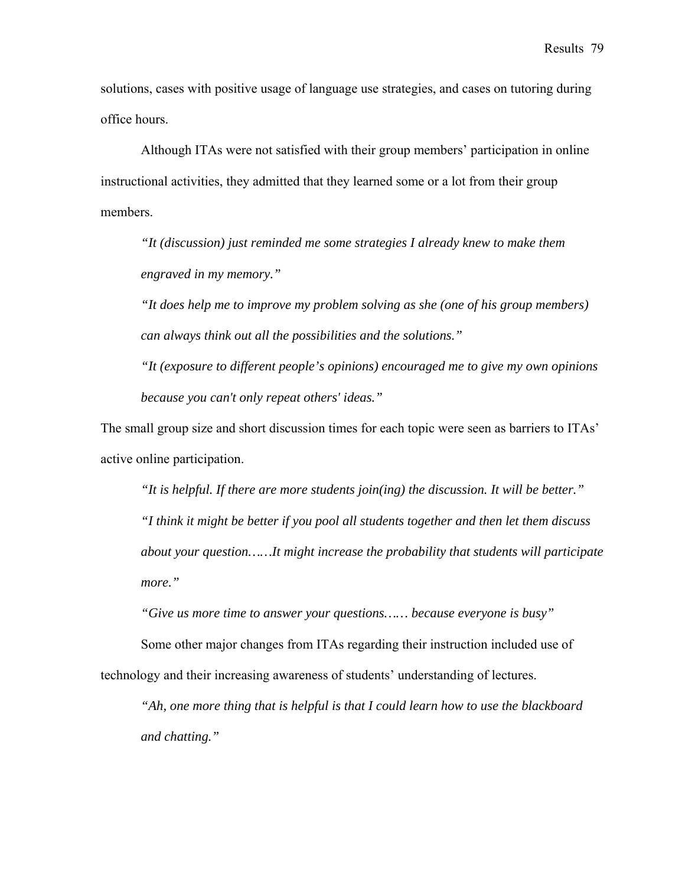solutions, cases with positive usage of language use strategies, and cases on tutoring during office hours.

Although ITAs were not satisfied with their group members' participation in online instructional activities, they admitted that they learned some or a lot from their group members.

*"It (discussion) just reminded me some strategies I already knew to make them engraved in my memory."* 

*"It does help me to improve my problem solving as she (one of his group members) can always think out all the possibilities and the solutions."* 

*"It (exposure to different people's opinions) encouraged me to give my own opinions because you can't only repeat others' ideas."* 

The small group size and short discussion times for each topic were seen as barriers to ITAs' active online participation.

*"It is helpful. If there are more students join(ing) the discussion. It will be better." "I think it might be better if you pool all students together and then let them discuss about your question……It might increase the probability that students will participate more."* 

*"Give us more time to answer your questions…… because everyone is busy"* 

Some other major changes from ITAs regarding their instruction included use of technology and their increasing awareness of students' understanding of lectures.

*"Ah, one more thing that is helpful is that I could learn how to use the blackboard and chatting."*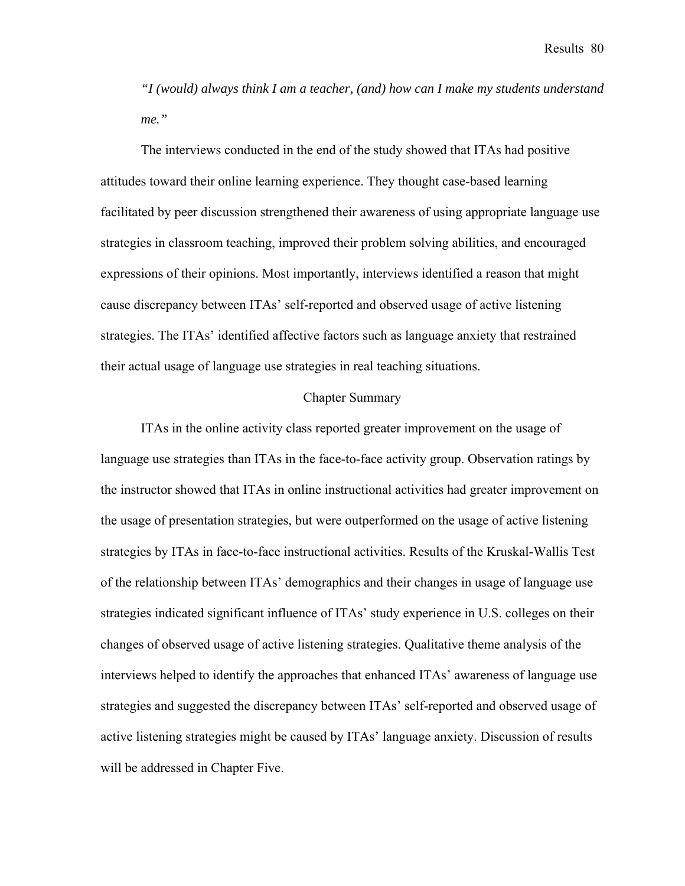Results 80

*"I (would) always think I am a teacher, (and) how can I make my students understand me."* 

The interviews conducted in the end of the study showed that ITAs had positive attitudes toward their online learning experience. They thought case-based learning facilitated by peer discussion strengthened their awareness of using appropriate language use strategies in classroom teaching, improved their problem solving abilities, and encouraged expressions of their opinions. Most importantly, interviews identified a reason that might cause discrepancy between ITAs' self-reported and observed usage of active listening strategies. The ITAs' identified affective factors such as language anxiety that restrained their actual usage of language use strategies in real teaching situations.

#### Chapter Summary

ITAs in the online activity class reported greater improvement on the usage of language use strategies than ITAs in the face-to-face activity group. Observation ratings by the instructor showed that ITAs in online instructional activities had greater improvement on the usage of presentation strategies, but were outperformed on the usage of active listening strategies by ITAs in face-to-face instructional activities. Results of the Kruskal-Wallis Test of the relationship between ITAs' demographics and their changes in usage of language use strategies indicated significant influence of ITAs' study experience in U.S. colleges on their changes of observed usage of active listening strategies. Qualitative theme analysis of the interviews helped to identify the approaches that enhanced ITAs' awareness of language use strategies and suggested the discrepancy between ITAs' self-reported and observed usage of active listening strategies might be caused by ITAs' language anxiety. Discussion of results will be addressed in Chapter Five.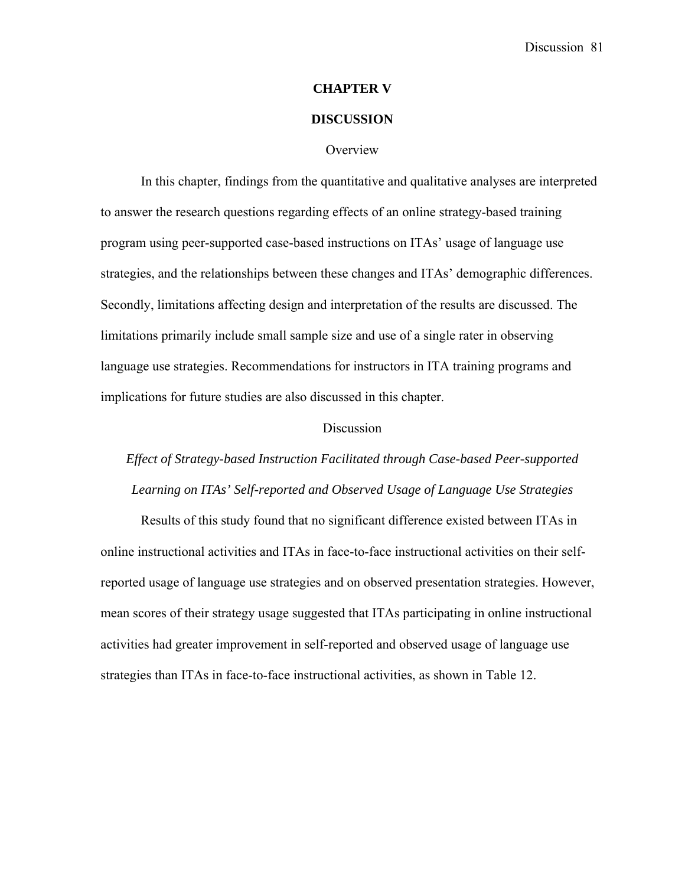#### **CHAPTER V**

#### **DISCUSSION**

#### **Overview**

In this chapter, findings from the quantitative and qualitative analyses are interpreted to answer the research questions regarding effects of an online strategy-based training program using peer-supported case-based instructions on ITAs' usage of language use strategies, and the relationships between these changes and ITAs' demographic differences. Secondly, limitations affecting design and interpretation of the results are discussed. The limitations primarily include small sample size and use of a single rater in observing language use strategies. Recommendations for instructors in ITA training programs and implications for future studies are also discussed in this chapter.

#### Discussion

*Effect of Strategy-based Instruction Facilitated through Case-based Peer-supported Learning on ITAs' Self-reported and Observed Usage of Language Use Strategies* 

Results of this study found that no significant difference existed between ITAs in online instructional activities and ITAs in face-to-face instructional activities on their selfreported usage of language use strategies and on observed presentation strategies. However, mean scores of their strategy usage suggested that ITAs participating in online instructional activities had greater improvement in self-reported and observed usage of language use strategies than ITAs in face-to-face instructional activities, as shown in Table 12.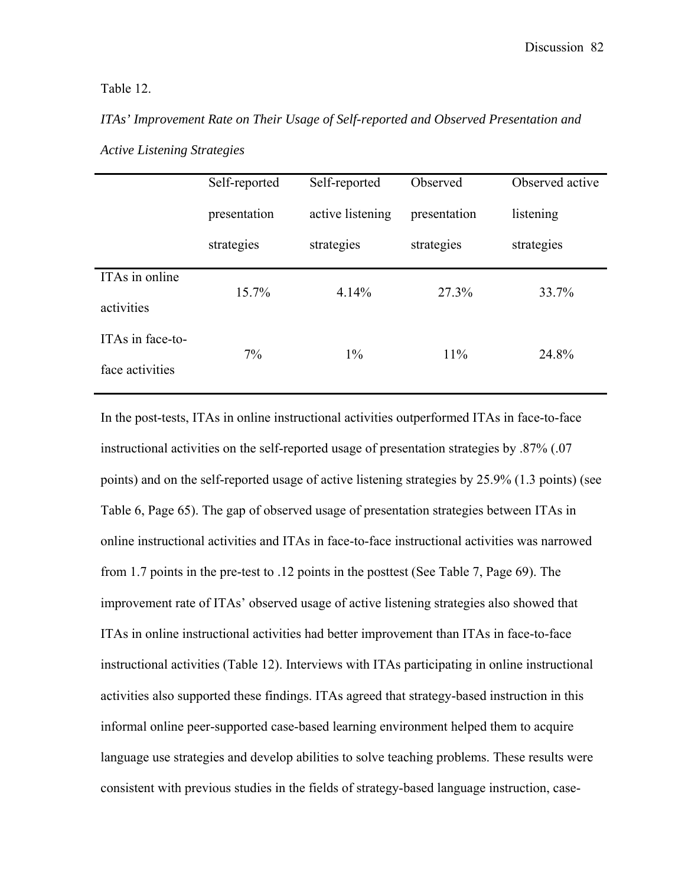Table 12.

*ITAs' Improvement Rate on Their Usage of Self-reported and Observed Presentation and Active Listening Strategies* 

|                                     | Self-reported | Self-reported    | Observed     | Observed active |
|-------------------------------------|---------------|------------------|--------------|-----------------|
|                                     | presentation  | active listening | presentation | listening       |
|                                     | strategies    | strategies       | strategies   | strategies      |
| ITAs in online<br>activities        | $15.7\%$      | 4.14%            | 27.3%        | 33.7%           |
| ITAs in face-to-<br>face activities | $7\%$         | $1\%$            | 11%          | 24.8%           |

In the post-tests, ITAs in online instructional activities outperformed ITAs in face-to-face instructional activities on the self-reported usage of presentation strategies by .87% (.07 points) and on the self-reported usage of active listening strategies by 25.9% (1.3 points) (see Table 6, Page 65). The gap of observed usage of presentation strategies between ITAs in online instructional activities and ITAs in face-to-face instructional activities was narrowed from 1.7 points in the pre-test to .12 points in the posttest (See Table 7, Page 69). The improvement rate of ITAs' observed usage of active listening strategies also showed that ITAs in online instructional activities had better improvement than ITAs in face-to-face instructional activities (Table 12). Interviews with ITAs participating in online instructional activities also supported these findings. ITAs agreed that strategy-based instruction in this informal online peer-supported case-based learning environment helped them to acquire language use strategies and develop abilities to solve teaching problems. These results were consistent with previous studies in the fields of strategy-based language instruction, case-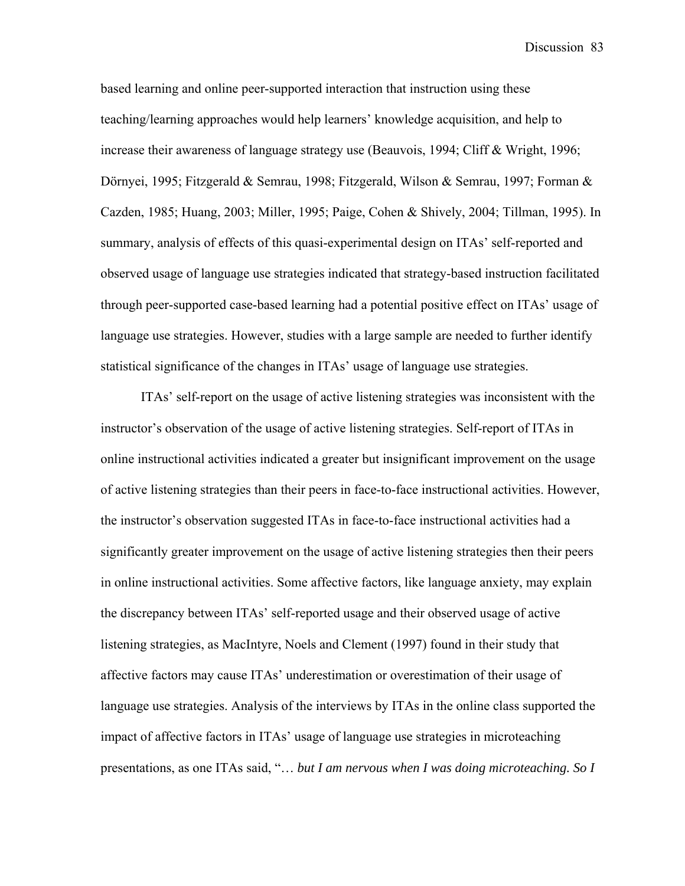based learning and online peer-supported interaction that instruction using these teaching/learning approaches would help learners' knowledge acquisition, and help to increase their awareness of language strategy use (Beauvois, 1994; Cliff & Wright, 1996; Dörnyei, 1995; Fitzgerald & Semrau, 1998; Fitzgerald, Wilson & Semrau, 1997; Forman & Cazden, 1985; Huang, 2003; Miller, 1995; Paige, Cohen & Shively, 2004; Tillman, 1995). In summary, analysis of effects of this quasi-experimental design on ITAs' self-reported and observed usage of language use strategies indicated that strategy-based instruction facilitated through peer-supported case-based learning had a potential positive effect on ITAs' usage of language use strategies. However, studies with a large sample are needed to further identify statistical significance of the changes in ITAs' usage of language use strategies.

ITAs' self-report on the usage of active listening strategies was inconsistent with the instructor's observation of the usage of active listening strategies. Self-report of ITAs in online instructional activities indicated a greater but insignificant improvement on the usage of active listening strategies than their peers in face-to-face instructional activities. However, the instructor's observation suggested ITAs in face-to-face instructional activities had a significantly greater improvement on the usage of active listening strategies then their peers in online instructional activities. Some affective factors, like language anxiety, may explain the discrepancy between ITAs' self-reported usage and their observed usage of active listening strategies, as MacIntyre, Noels and Clement (1997) found in their study that affective factors may cause ITAs' underestimation or overestimation of their usage of language use strategies. Analysis of the interviews by ITAs in the online class supported the impact of affective factors in ITAs' usage of language use strategies in microteaching presentations, as one ITAs said, "… *but I am nervous when I was doing microteaching. So I*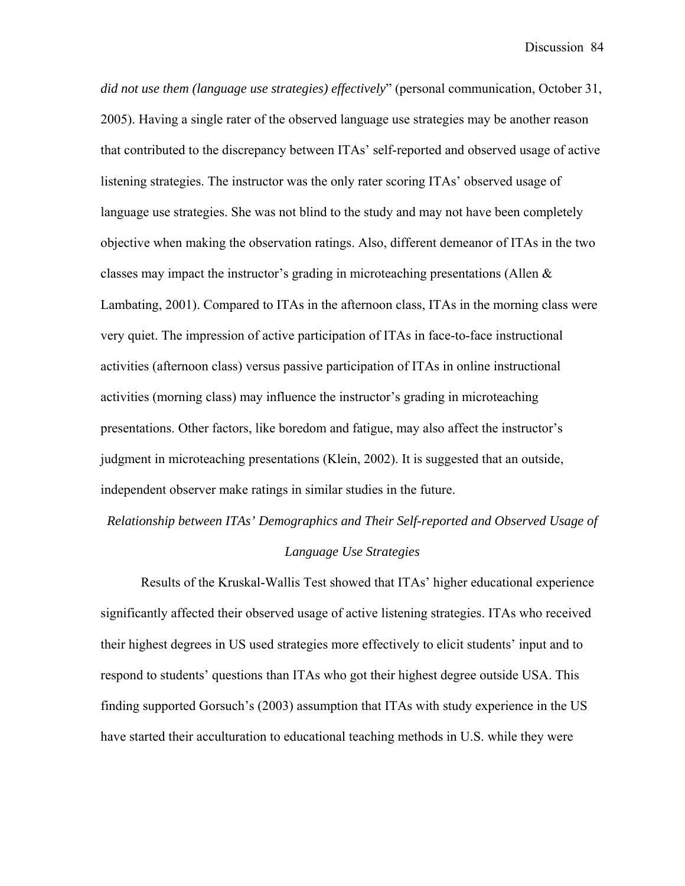*did not use them (language use strategies) effectively*" (personal communication, October 31, 2005). Having a single rater of the observed language use strategies may be another reason that contributed to the discrepancy between ITAs' self-reported and observed usage of active listening strategies. The instructor was the only rater scoring ITAs' observed usage of language use strategies. She was not blind to the study and may not have been completely objective when making the observation ratings. Also, different demeanor of ITAs in the two classes may impact the instructor's grading in microteaching presentations (Allen & Lambating, 2001). Compared to ITAs in the afternoon class, ITAs in the morning class were very quiet. The impression of active participation of ITAs in face-to-face instructional activities (afternoon class) versus passive participation of ITAs in online instructional activities (morning class) may influence the instructor's grading in microteaching presentations. Other factors, like boredom and fatigue, may also affect the instructor's judgment in microteaching presentations (Klein, 2002). It is suggested that an outside, independent observer make ratings in similar studies in the future.

# *Relationship between ITAs' Demographics and Their Self-reported and Observed Usage of Language Use Strategies*

Results of the Kruskal-Wallis Test showed that ITAs' higher educational experience significantly affected their observed usage of active listening strategies. ITAs who received their highest degrees in US used strategies more effectively to elicit students' input and to respond to students' questions than ITAs who got their highest degree outside USA. This finding supported Gorsuch's (2003) assumption that ITAs with study experience in the US have started their acculturation to educational teaching methods in U.S. while they were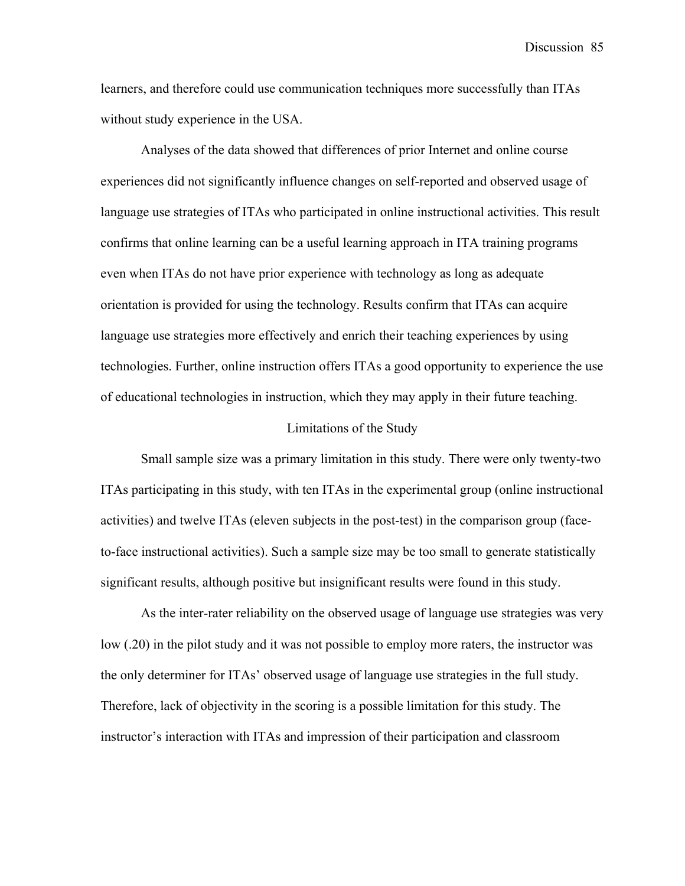learners, and therefore could use communication techniques more successfully than ITAs without study experience in the USA.

Analyses of the data showed that differences of prior Internet and online course experiences did not significantly influence changes on self-reported and observed usage of language use strategies of ITAs who participated in online instructional activities. This result confirms that online learning can be a useful learning approach in ITA training programs even when ITAs do not have prior experience with technology as long as adequate orientation is provided for using the technology. Results confirm that ITAs can acquire language use strategies more effectively and enrich their teaching experiences by using technologies. Further, online instruction offers ITAs a good opportunity to experience the use of educational technologies in instruction, which they may apply in their future teaching.

#### Limitations of the Study

Small sample size was a primary limitation in this study. There were only twenty-two ITAs participating in this study, with ten ITAs in the experimental group (online instructional activities) and twelve ITAs (eleven subjects in the post-test) in the comparison group (faceto-face instructional activities). Such a sample size may be too small to generate statistically significant results, although positive but insignificant results were found in this study.

As the inter-rater reliability on the observed usage of language use strategies was very low (.20) in the pilot study and it was not possible to employ more raters, the instructor was the only determiner for ITAs' observed usage of language use strategies in the full study. Therefore, lack of objectivity in the scoring is a possible limitation for this study. The instructor's interaction with ITAs and impression of their participation and classroom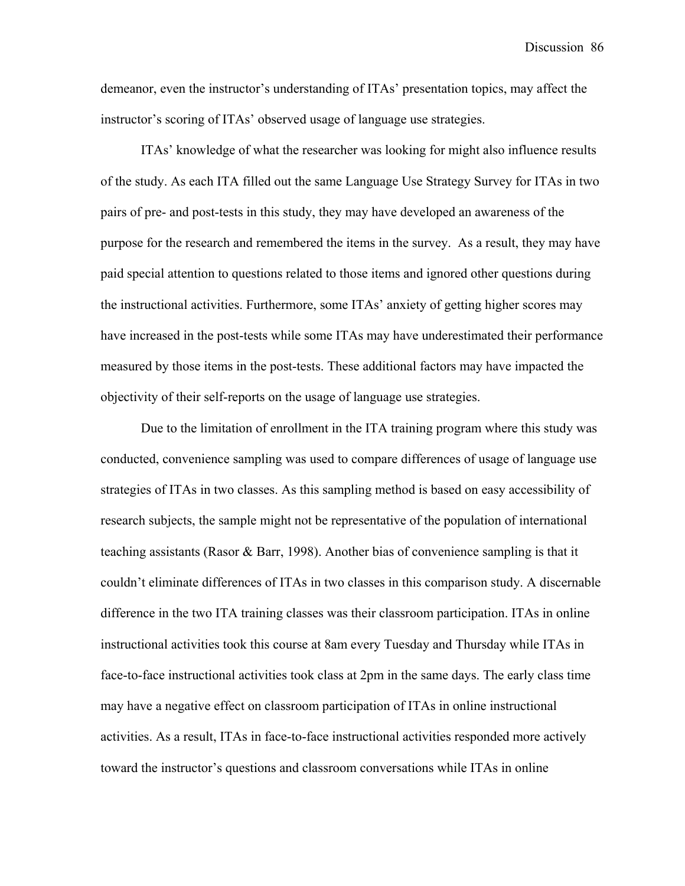demeanor, even the instructor's understanding of ITAs' presentation topics, may affect the instructor's scoring of ITAs' observed usage of language use strategies.

ITAs' knowledge of what the researcher was looking for might also influence results of the study. As each ITA filled out the same Language Use Strategy Survey for ITAs in two pairs of pre- and post-tests in this study, they may have developed an awareness of the purpose for the research and remembered the items in the survey. As a result, they may have paid special attention to questions related to those items and ignored other questions during the instructional activities. Furthermore, some ITAs' anxiety of getting higher scores may have increased in the post-tests while some ITAs may have underestimated their performance measured by those items in the post-tests. These additional factors may have impacted the objectivity of their self-reports on the usage of language use strategies.

Due to the limitation of enrollment in the ITA training program where this study was conducted, convenience sampling was used to compare differences of usage of language use strategies of ITAs in two classes. As this sampling method is based on easy accessibility of research subjects, the sample might not be representative of the population of international teaching assistants (Rasor & Barr, 1998). Another bias of convenience sampling is that it couldn't eliminate differences of ITAs in two classes in this comparison study. A discernable difference in the two ITA training classes was their classroom participation. ITAs in online instructional activities took this course at 8am every Tuesday and Thursday while ITAs in face-to-face instructional activities took class at 2pm in the same days. The early class time may have a negative effect on classroom participation of ITAs in online instructional activities. As a result, ITAs in face-to-face instructional activities responded more actively toward the instructor's questions and classroom conversations while ITAs in online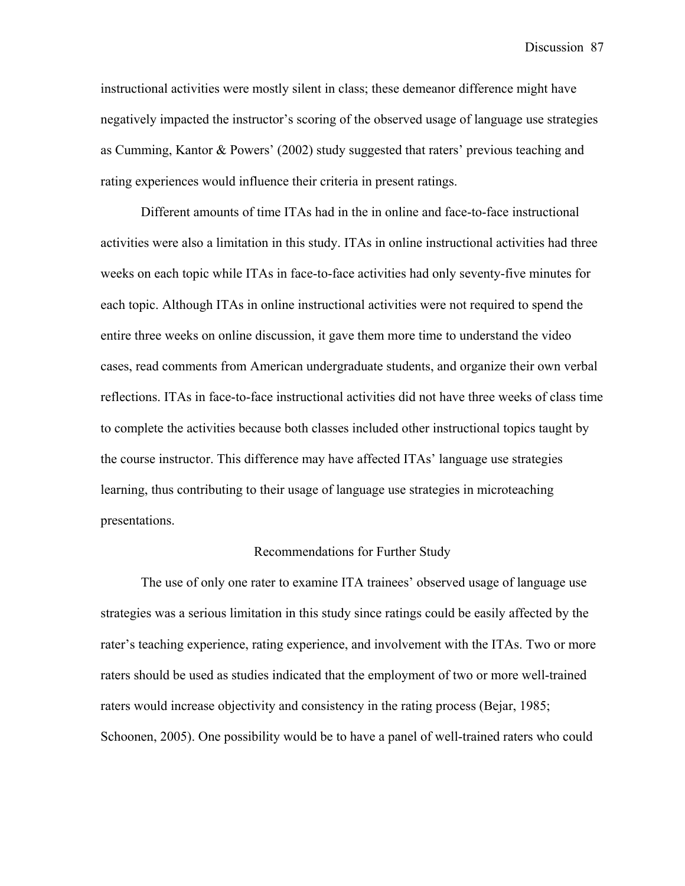instructional activities were mostly silent in class; these demeanor difference might have negatively impacted the instructor's scoring of the observed usage of language use strategies as Cumming, Kantor & Powers' (2002) study suggested that raters' previous teaching and rating experiences would influence their criteria in present ratings.

Different amounts of time ITAs had in the in online and face-to-face instructional activities were also a limitation in this study. ITAs in online instructional activities had three weeks on each topic while ITAs in face-to-face activities had only seventy-five minutes for each topic. Although ITAs in online instructional activities were not required to spend the entire three weeks on online discussion, it gave them more time to understand the video cases, read comments from American undergraduate students, and organize their own verbal reflections. ITAs in face-to-face instructional activities did not have three weeks of class time to complete the activities because both classes included other instructional topics taught by the course instructor. This difference may have affected ITAs' language use strategies learning, thus contributing to their usage of language use strategies in microteaching presentations.

#### Recommendations for Further Study

The use of only one rater to examine ITA trainees' observed usage of language use strategies was a serious limitation in this study since ratings could be easily affected by the rater's teaching experience, rating experience, and involvement with the ITAs. Two or more raters should be used as studies indicated that the employment of two or more well-trained raters would increase objectivity and consistency in the rating process (Bejar, 1985; Schoonen, 2005). One possibility would be to have a panel of well-trained raters who could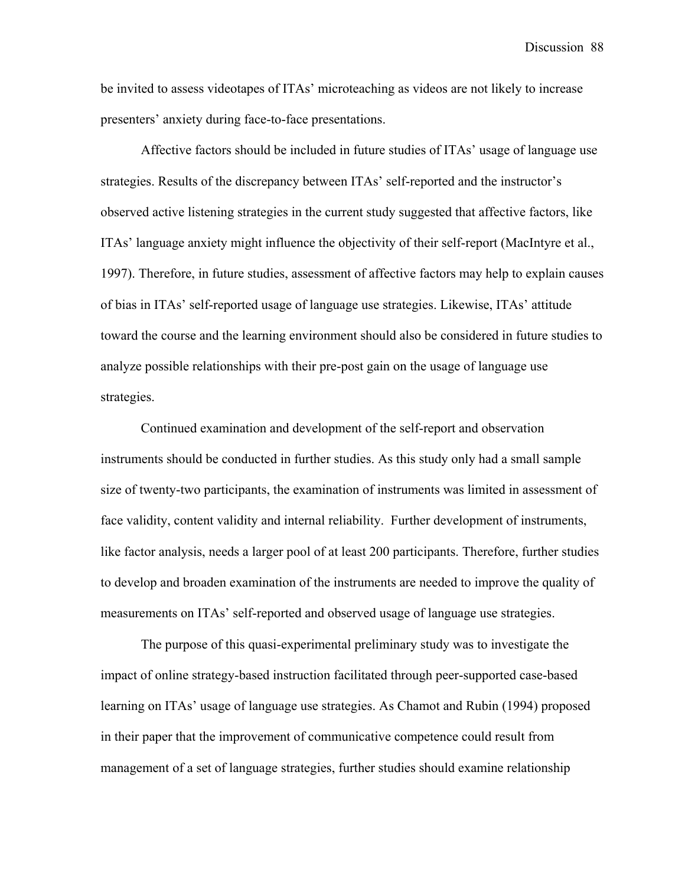be invited to assess videotapes of ITAs' microteaching as videos are not likely to increase presenters' anxiety during face-to-face presentations.

Affective factors should be included in future studies of ITAs' usage of language use strategies. Results of the discrepancy between ITAs' self-reported and the instructor's observed active listening strategies in the current study suggested that affective factors, like ITAs' language anxiety might influence the objectivity of their self-report (MacIntyre et al., 1997). Therefore, in future studies, assessment of affective factors may help to explain causes of bias in ITAs' self-reported usage of language use strategies. Likewise, ITAs' attitude toward the course and the learning environment should also be considered in future studies to analyze possible relationships with their pre-post gain on the usage of language use strategies.

Continued examination and development of the self-report and observation instruments should be conducted in further studies. As this study only had a small sample size of twenty-two participants, the examination of instruments was limited in assessment of face validity, content validity and internal reliability. Further development of instruments, like factor analysis, needs a larger pool of at least 200 participants. Therefore, further studies to develop and broaden examination of the instruments are needed to improve the quality of measurements on ITAs' self-reported and observed usage of language use strategies.

The purpose of this quasi-experimental preliminary study was to investigate the impact of online strategy-based instruction facilitated through peer-supported case-based learning on ITAs' usage of language use strategies. As Chamot and Rubin (1994) proposed in their paper that the improvement of communicative competence could result from management of a set of language strategies, further studies should examine relationship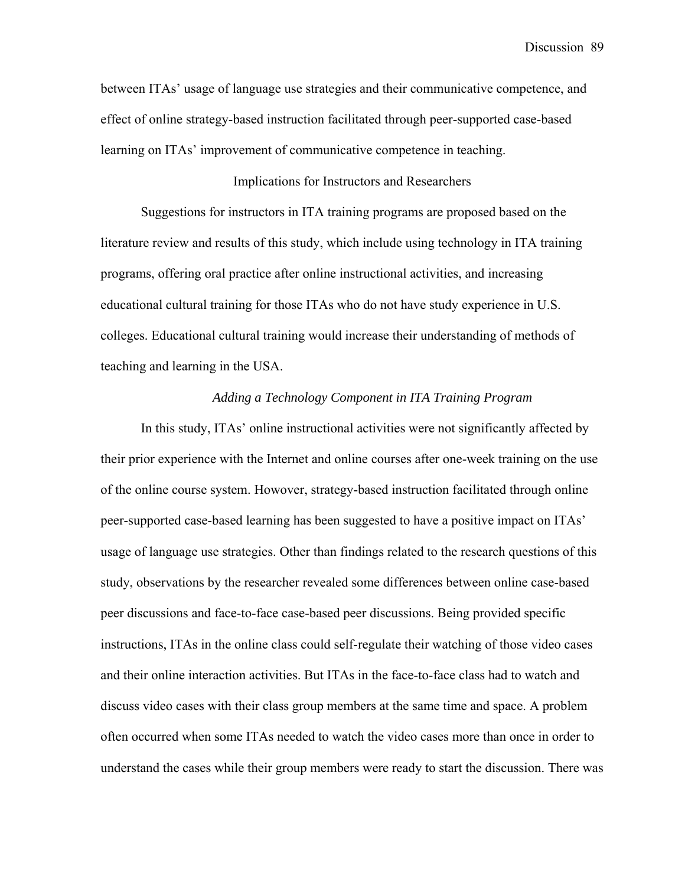between ITAs' usage of language use strategies and their communicative competence, and effect of online strategy-based instruction facilitated through peer-supported case-based learning on ITAs' improvement of communicative competence in teaching.

# Implications for Instructors and Researchers

Suggestions for instructors in ITA training programs are proposed based on the literature review and results of this study, which include using technology in ITA training programs, offering oral practice after online instructional activities, and increasing educational cultural training for those ITAs who do not have study experience in U.S. colleges. Educational cultural training would increase their understanding of methods of teaching and learning in the USA.

#### *Adding a Technology Component in ITA Training Program*

In this study, ITAs' online instructional activities were not significantly affected by their prior experience with the Internet and online courses after one-week training on the use of the online course system. Howover, strategy-based instruction facilitated through online peer-supported case-based learning has been suggested to have a positive impact on ITAs' usage of language use strategies. Other than findings related to the research questions of this study, observations by the researcher revealed some differences between online case-based peer discussions and face-to-face case-based peer discussions. Being provided specific instructions, ITAs in the online class could self-regulate their watching of those video cases and their online interaction activities. But ITAs in the face-to-face class had to watch and discuss video cases with their class group members at the same time and space. A problem often occurred when some ITAs needed to watch the video cases more than once in order to understand the cases while their group members were ready to start the discussion. There was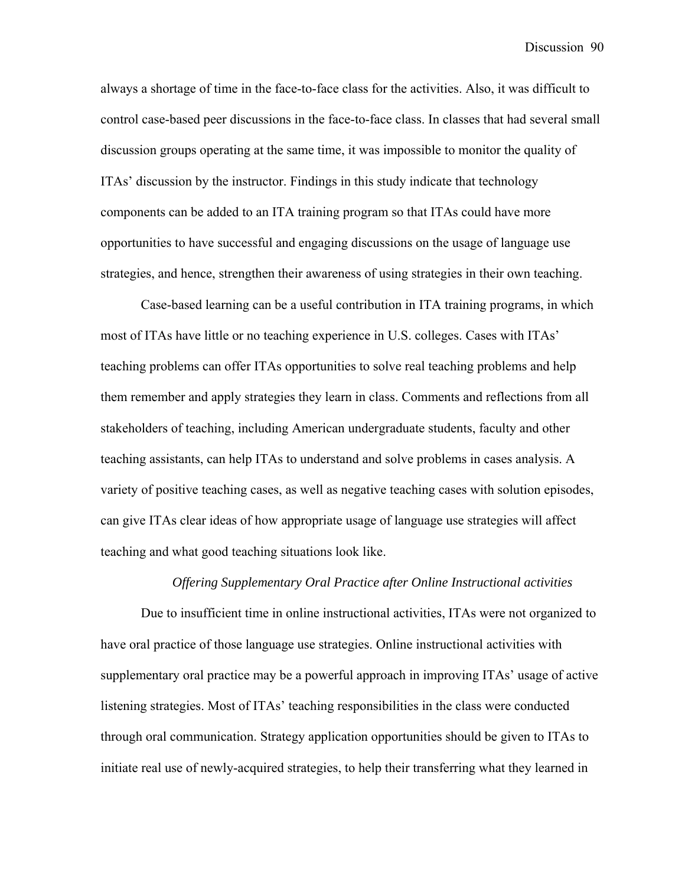always a shortage of time in the face-to-face class for the activities. Also, it was difficult to control case-based peer discussions in the face-to-face class. In classes that had several small discussion groups operating at the same time, it was impossible to monitor the quality of ITAs' discussion by the instructor. Findings in this study indicate that technology components can be added to an ITA training program so that ITAs could have more opportunities to have successful and engaging discussions on the usage of language use strategies, and hence, strengthen their awareness of using strategies in their own teaching.

Case-based learning can be a useful contribution in ITA training programs, in which most of ITAs have little or no teaching experience in U.S. colleges. Cases with ITAs' teaching problems can offer ITAs opportunities to solve real teaching problems and help them remember and apply strategies they learn in class. Comments and reflections from all stakeholders of teaching, including American undergraduate students, faculty and other teaching assistants, can help ITAs to understand and solve problems in cases analysis. A variety of positive teaching cases, as well as negative teaching cases with solution episodes, can give ITAs clear ideas of how appropriate usage of language use strategies will affect teaching and what good teaching situations look like.

#### *Offering Supplementary Oral Practice after Online Instructional activities*

Due to insufficient time in online instructional activities, ITAs were not organized to have oral practice of those language use strategies. Online instructional activities with supplementary oral practice may be a powerful approach in improving ITAs' usage of active listening strategies. Most of ITAs' teaching responsibilities in the class were conducted through oral communication. Strategy application opportunities should be given to ITAs to initiate real use of newly-acquired strategies, to help their transferring what they learned in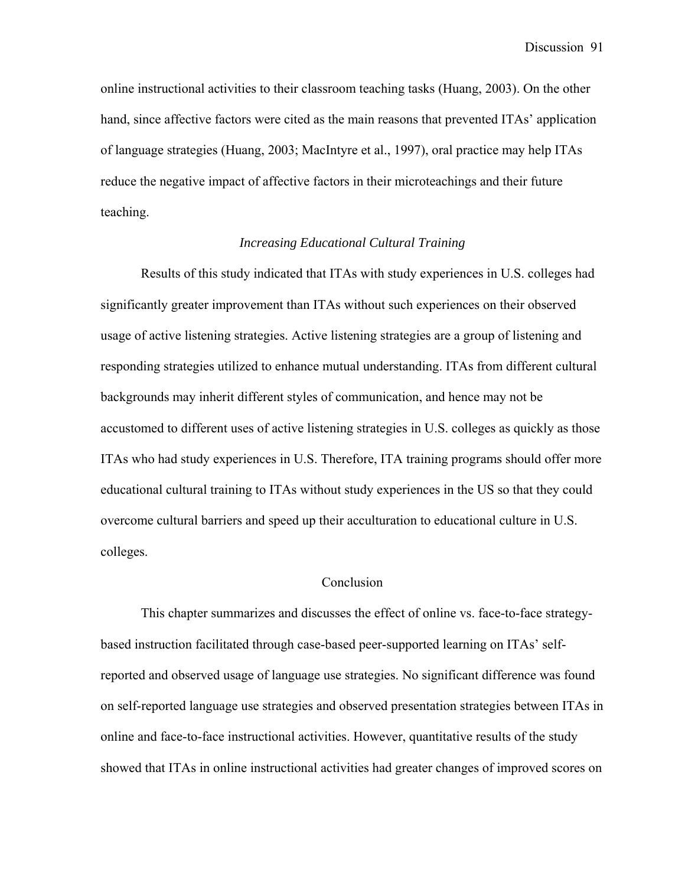online instructional activities to their classroom teaching tasks (Huang, 2003). On the other hand, since affective factors were cited as the main reasons that prevented ITAs' application of language strategies (Huang, 2003; MacIntyre et al., 1997), oral practice may help ITAs reduce the negative impact of affective factors in their microteachings and their future teaching.

#### *Increasing Educational Cultural Training*

Results of this study indicated that ITAs with study experiences in U.S. colleges had significantly greater improvement than ITAs without such experiences on their observed usage of active listening strategies. Active listening strategies are a group of listening and responding strategies utilized to enhance mutual understanding. ITAs from different cultural backgrounds may inherit different styles of communication, and hence may not be accustomed to different uses of active listening strategies in U.S. colleges as quickly as those ITAs who had study experiences in U.S. Therefore, ITA training programs should offer more educational cultural training to ITAs without study experiences in the US so that they could overcome cultural barriers and speed up their acculturation to educational culture in U.S. colleges.

#### **Conclusion**

This chapter summarizes and discusses the effect of online vs. face-to-face strategybased instruction facilitated through case-based peer-supported learning on ITAs' selfreported and observed usage of language use strategies. No significant difference was found on self-reported language use strategies and observed presentation strategies between ITAs in online and face-to-face instructional activities. However, quantitative results of the study showed that ITAs in online instructional activities had greater changes of improved scores on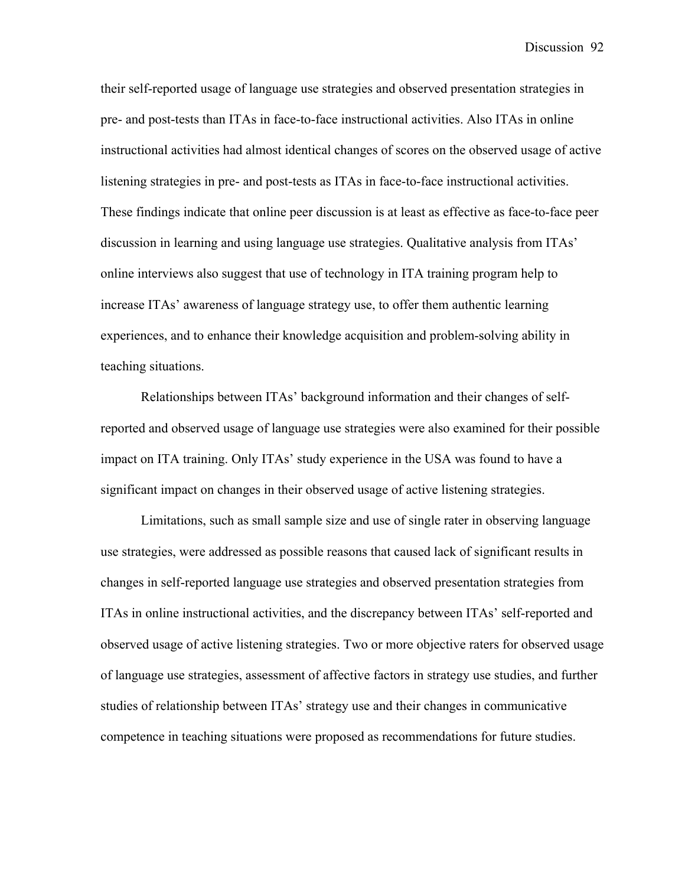their self-reported usage of language use strategies and observed presentation strategies in pre- and post-tests than ITAs in face-to-face instructional activities. Also ITAs in online instructional activities had almost identical changes of scores on the observed usage of active listening strategies in pre- and post-tests as ITAs in face-to-face instructional activities. These findings indicate that online peer discussion is at least as effective as face-to-face peer discussion in learning and using language use strategies. Qualitative analysis from ITAs' online interviews also suggest that use of technology in ITA training program help to increase ITAs' awareness of language strategy use, to offer them authentic learning experiences, and to enhance their knowledge acquisition and problem-solving ability in teaching situations.

Relationships between ITAs' background information and their changes of selfreported and observed usage of language use strategies were also examined for their possible impact on ITA training. Only ITAs' study experience in the USA was found to have a significant impact on changes in their observed usage of active listening strategies.

Limitations, such as small sample size and use of single rater in observing language use strategies, were addressed as possible reasons that caused lack of significant results in changes in self-reported language use strategies and observed presentation strategies from ITAs in online instructional activities, and the discrepancy between ITAs' self-reported and observed usage of active listening strategies. Two or more objective raters for observed usage of language use strategies, assessment of affective factors in strategy use studies, and further studies of relationship between ITAs' strategy use and their changes in communicative competence in teaching situations were proposed as recommendations for future studies.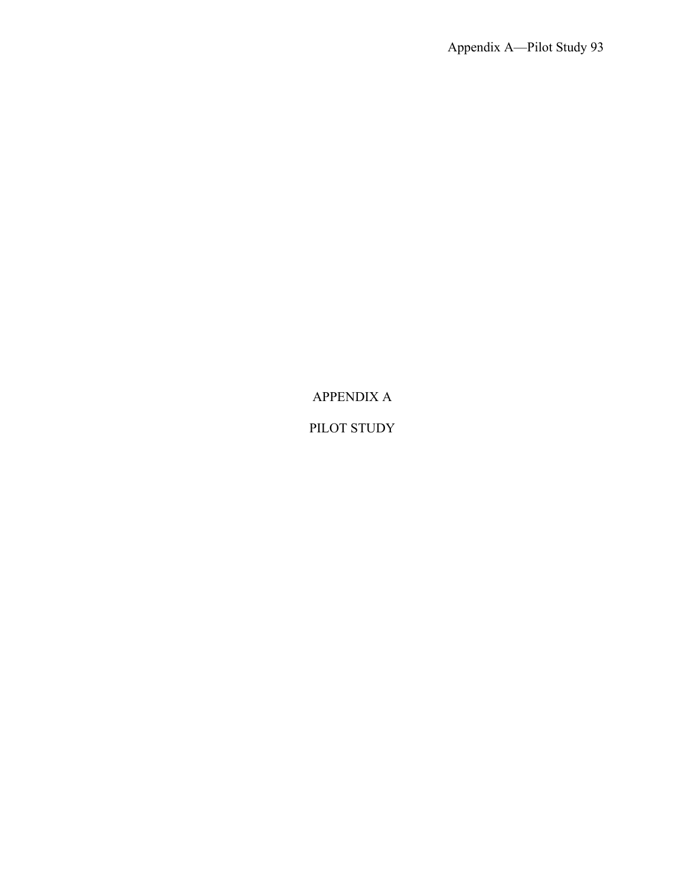APPENDIX A

PILOT STUDY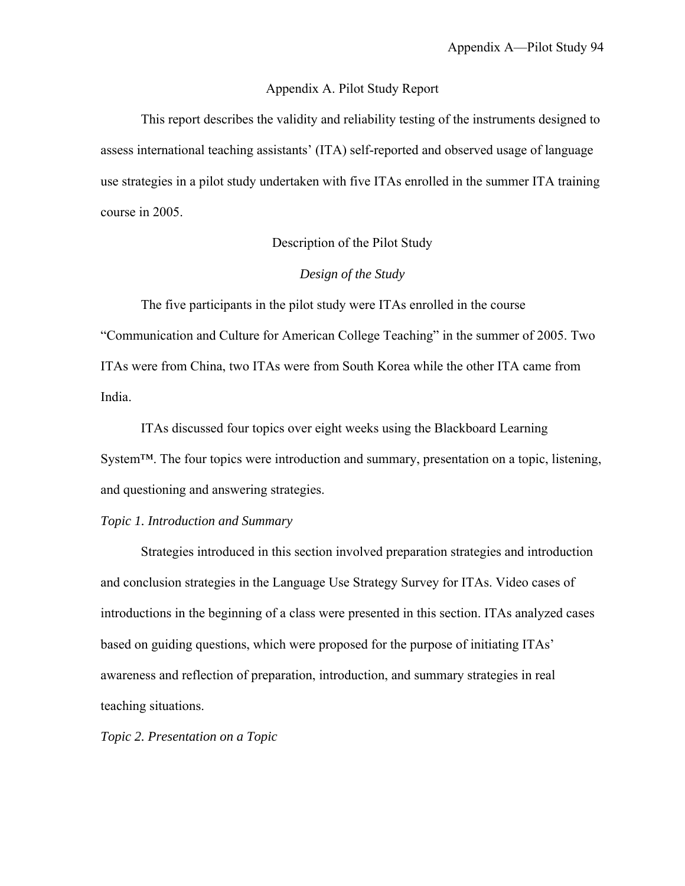#### Appendix A. Pilot Study Report

This report describes the validity and reliability testing of the instruments designed to assess international teaching assistants' (ITA) self-reported and observed usage of language use strategies in a pilot study undertaken with five ITAs enrolled in the summer ITA training course in 2005.

# Description of the Pilot Study

#### *Design of the Study*

The five participants in the pilot study were ITAs enrolled in the course "Communication and Culture for American College Teaching" in the summer of 2005. Two ITAs were from China, two ITAs were from South Korea while the other ITA came from India.

ITAs discussed four topics over eight weeks using the Blackboard Learning System™. The four topics were introduction and summary, presentation on a topic, listening, and questioning and answering strategies.

#### *Topic 1. Introduction and Summary*

Strategies introduced in this section involved preparation strategies and introduction and conclusion strategies in the Language Use Strategy Survey for ITAs. Video cases of introductions in the beginning of a class were presented in this section. ITAs analyzed cases based on guiding questions, which were proposed for the purpose of initiating ITAs' awareness and reflection of preparation, introduction, and summary strategies in real teaching situations.

*Topic 2. Presentation on a Topic*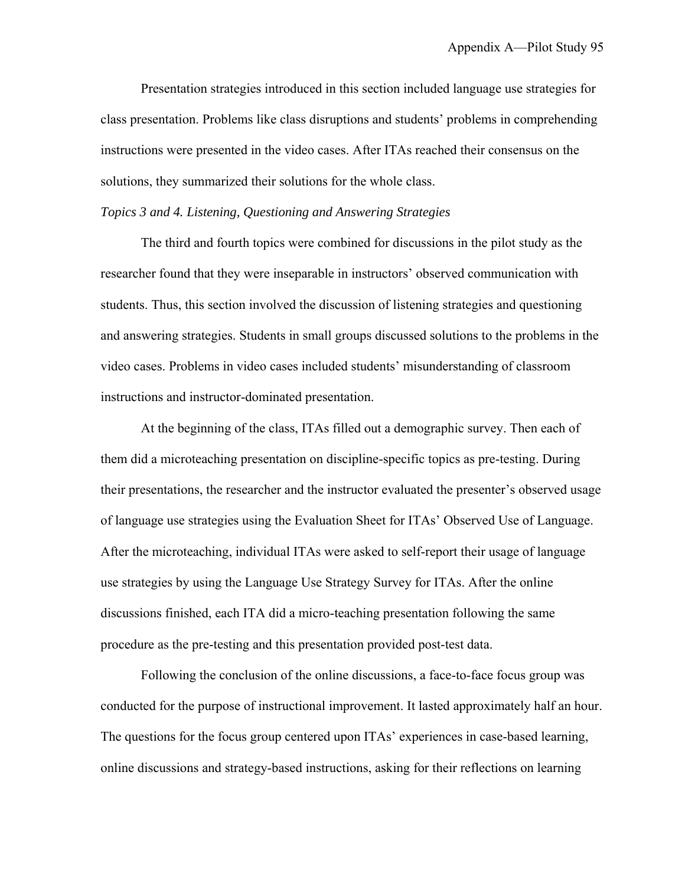Presentation strategies introduced in this section included language use strategies for class presentation. Problems like class disruptions and students' problems in comprehending instructions were presented in the video cases. After ITAs reached their consensus on the solutions, they summarized their solutions for the whole class.

#### *Topics 3 and 4. Listening, Questioning and Answering Strategies*

The third and fourth topics were combined for discussions in the pilot study as the researcher found that they were inseparable in instructors' observed communication with students. Thus, this section involved the discussion of listening strategies and questioning and answering strategies. Students in small groups discussed solutions to the problems in the video cases. Problems in video cases included students' misunderstanding of classroom instructions and instructor-dominated presentation.

At the beginning of the class, ITAs filled out a demographic survey. Then each of them did a microteaching presentation on discipline-specific topics as pre-testing. During their presentations, the researcher and the instructor evaluated the presenter's observed usage of language use strategies using the Evaluation Sheet for ITAs' Observed Use of Language. After the microteaching, individual ITAs were asked to self-report their usage of language use strategies by using the Language Use Strategy Survey for ITAs. After the online discussions finished, each ITA did a micro-teaching presentation following the same procedure as the pre-testing and this presentation provided post-test data.

Following the conclusion of the online discussions, a face-to-face focus group was conducted for the purpose of instructional improvement. It lasted approximately half an hour. The questions for the focus group centered upon ITAs' experiences in case-based learning, online discussions and strategy-based instructions, asking for their reflections on learning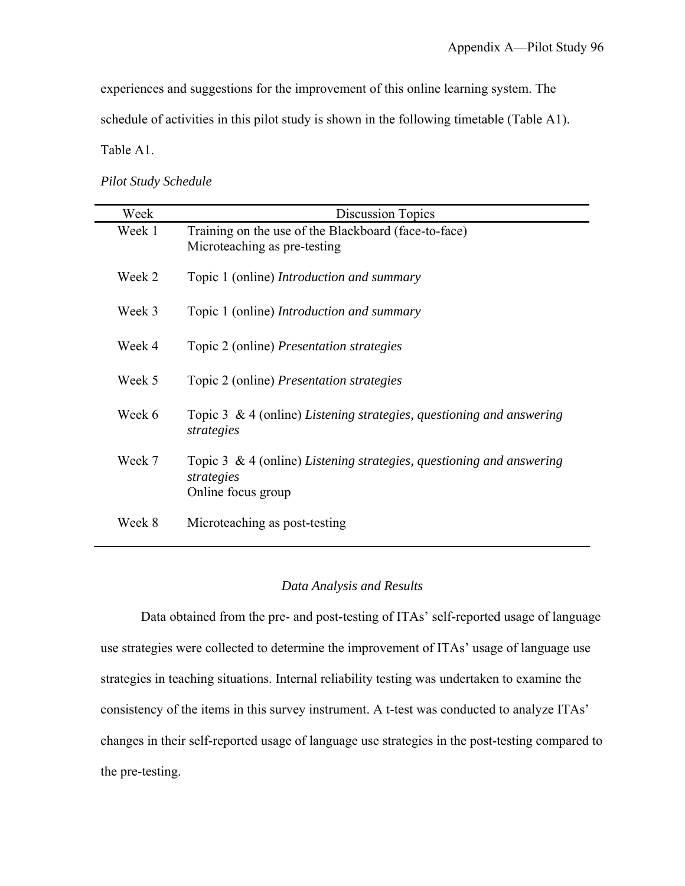experiences and suggestions for the improvement of this online learning system. The

schedule of activities in this pilot study is shown in the following timetable (Table A1).

Table A1.

| <b>Pilot Study Schedule</b> |  |  |  |
|-----------------------------|--|--|--|
|-----------------------------|--|--|--|

| Week   | <b>Discussion Topics</b>                                                                                    |
|--------|-------------------------------------------------------------------------------------------------------------|
| Week 1 | Training on the use of the Blackboard (face-to-face)<br>Microteaching as pre-testing                        |
| Week 2 | Topic 1 (online) <i>Introduction and summary</i>                                                            |
| Week 3 | Topic 1 (online) <i>Introduction and summary</i>                                                            |
| Week 4 | Topic 2 (online) <i>Presentation strategies</i>                                                             |
| Week 5 | Topic 2 (online) Presentation strategies                                                                    |
| Week 6 | Topic 3 & 4 (online) Listening strategies, questioning and answering<br>strategies                          |
| Week 7 | Topic 3 $\&$ 4 (online) Listening strategies, questioning and answering<br>strategies<br>Online focus group |
| Week 8 | Microteaching as post-testing                                                                               |

# *Data Analysis and Results*

Data obtained from the pre- and post-testing of ITAs' self-reported usage of language use strategies were collected to determine the improvement of ITAs' usage of language use strategies in teaching situations. Internal reliability testing was undertaken to examine the consistency of the items in this survey instrument. A t-test was conducted to analyze ITAs' changes in their self-reported usage of language use strategies in the post-testing compared to the pre-testing.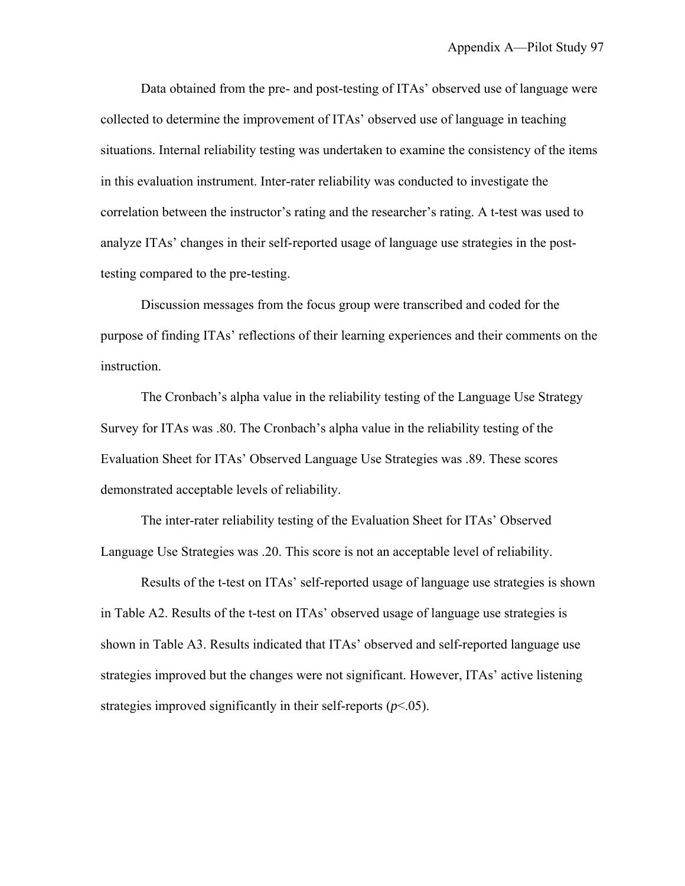Data obtained from the pre- and post-testing of ITAs' observed use of language were collected to determine the improvement of ITAs' observed use of language in teaching situations. Internal reliability testing was undertaken to examine the consistency of the items in this evaluation instrument. Inter-rater reliability was conducted to investigate the correlation between the instructor's rating and the researcher's rating. A t-test was used to analyze ITAs' changes in their self-reported usage of language use strategies in the posttesting compared to the pre-testing.

Discussion messages from the focus group were transcribed and coded for the purpose of finding ITAs' reflections of their learning experiences and their comments on the instruction.

The Cronbach's alpha value in the reliability testing of the Language Use Strategy Survey for ITAs was .80. The Cronbach's alpha value in the reliability testing of the Evaluation Sheet for ITAs' Observed Language Use Strategies was .89. These scores demonstrated acceptable levels of reliability.

The inter-rater reliability testing of the Evaluation Sheet for ITAs' Observed Language Use Strategies was .20. This score is not an acceptable level of reliability.

Results of the t-test on ITAs' self-reported usage of language use strategies is shown in Table A2. Results of the t-test on ITAs' observed usage of language use strategies is shown in Table A3. Results indicated that ITAs' observed and self-reported language use strategies improved but the changes were not significant. However, ITAs' active listening strategies improved significantly in their self-reports  $(p<.05)$ .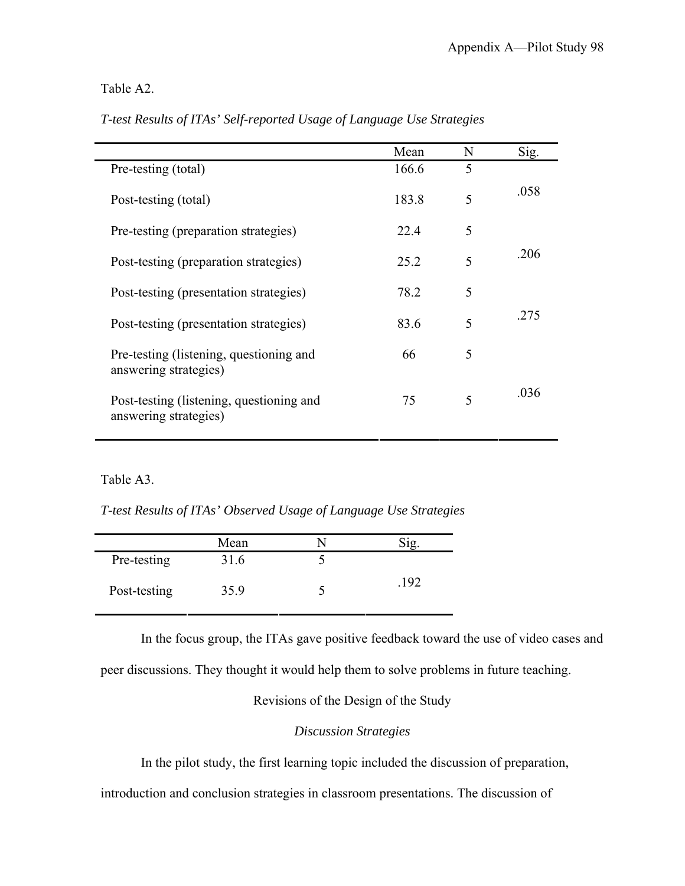# Table A2.

|                                                                   | Mean  | N | Sig. |
|-------------------------------------------------------------------|-------|---|------|
| Pre-testing (total)                                               | 166.6 | 5 |      |
| Post-testing (total)                                              | 183.8 | 5 | .058 |
| Pre-testing (preparation strategies)                              | 22.4  | 5 |      |
| Post-testing (preparation strategies)                             | 25.2  | 5 | .206 |
| Post-testing (presentation strategies)                            | 78.2  | 5 |      |
| Post-testing (presentation strategies)                            | 83.6  | 5 | .275 |
| Pre-testing (listening, questioning and<br>answering strategies)  | 66    | 5 |      |
| Post-testing (listening, questioning and<br>answering strategies) | 75    | 5 | .036 |

*T-test Results of ITAs' Self-reported Usage of Language Use Strategies* 

# Table A3.

*T-test Results of ITAs' Observed Usage of Language Use Strategies* 

|              | Mean |      |  |
|--------------|------|------|--|
| Pre-testing  | 31.6 |      |  |
| Post-testing | 35.9 | .192 |  |

In the focus group, the ITAs gave positive feedback toward the use of video cases and

peer discussions. They thought it would help them to solve problems in future teaching.

Revisions of the Design of the Study

# *Discussion Strategies*

In the pilot study, the first learning topic included the discussion of preparation,

introduction and conclusion strategies in classroom presentations. The discussion of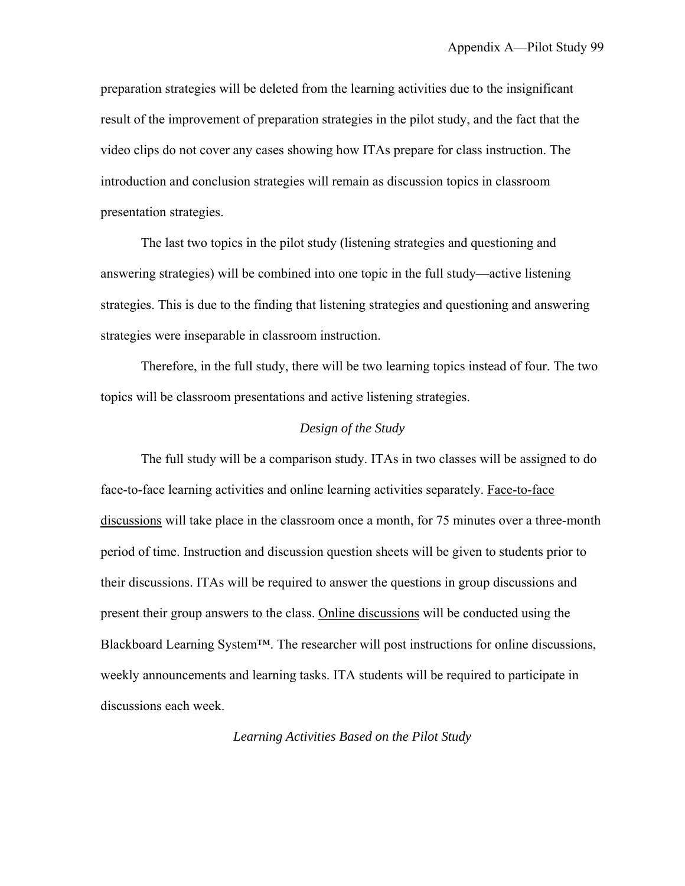preparation strategies will be deleted from the learning activities due to the insignificant result of the improvement of preparation strategies in the pilot study, and the fact that the video clips do not cover any cases showing how ITAs prepare for class instruction. The introduction and conclusion strategies will remain as discussion topics in classroom presentation strategies.

The last two topics in the pilot study (listening strategies and questioning and answering strategies) will be combined into one topic in the full study—active listening strategies. This is due to the finding that listening strategies and questioning and answering strategies were inseparable in classroom instruction.

Therefore, in the full study, there will be two learning topics instead of four. The two topics will be classroom presentations and active listening strategies.

#### *Design of the Study*

The full study will be a comparison study. ITAs in two classes will be assigned to do face-to-face learning activities and online learning activities separately. Face-to-face discussions will take place in the classroom once a month, for 75 minutes over a three-month period of time. Instruction and discussion question sheets will be given to students prior to their discussions. ITAs will be required to answer the questions in group discussions and present their group answers to the class. Online discussions will be conducted using the Blackboard Learning System™. The researcher will post instructions for online discussions, weekly announcements and learning tasks. ITA students will be required to participate in discussions each week.

*Learning Activities Based on the Pilot Study*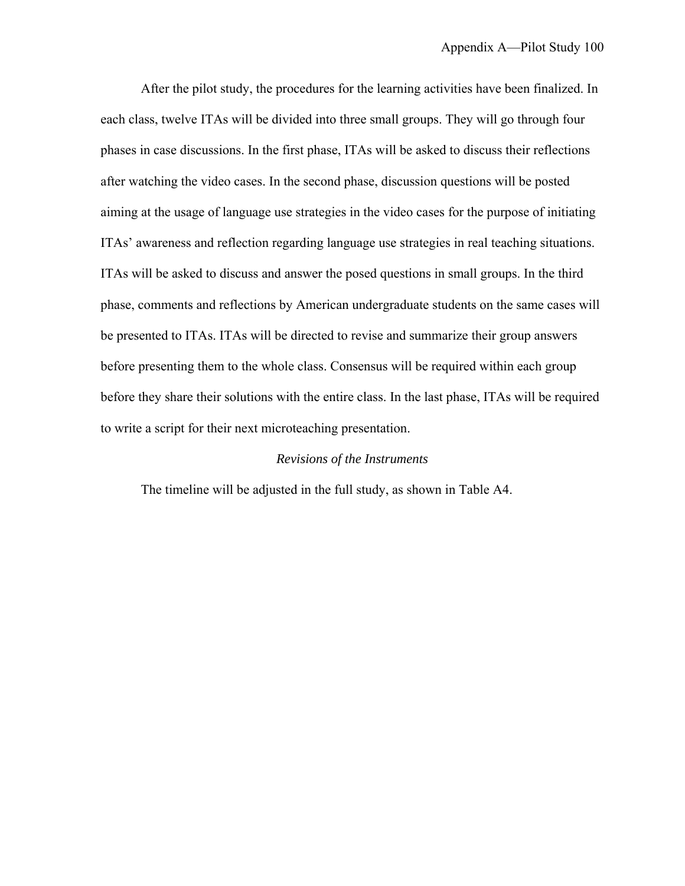After the pilot study, the procedures for the learning activities have been finalized. In each class, twelve ITAs will be divided into three small groups. They will go through four phases in case discussions. In the first phase, ITAs will be asked to discuss their reflections after watching the video cases. In the second phase, discussion questions will be posted aiming at the usage of language use strategies in the video cases for the purpose of initiating ITAs' awareness and reflection regarding language use strategies in real teaching situations. ITAs will be asked to discuss and answer the posed questions in small groups. In the third phase, comments and reflections by American undergraduate students on the same cases will be presented to ITAs. ITAs will be directed to revise and summarize their group answers before presenting them to the whole class. Consensus will be required within each group before they share their solutions with the entire class. In the last phase, ITAs will be required to write a script for their next microteaching presentation.

#### *Revisions of the Instruments*

The timeline will be adjusted in the full study, as shown in Table A4.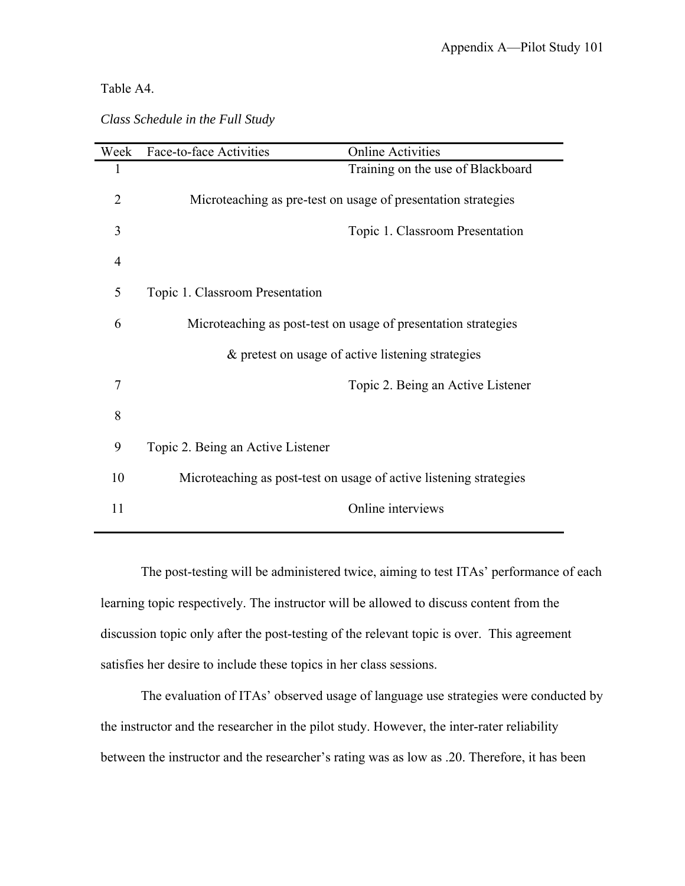### Table A4.

| Class Schedule in the Full Study |  |  |  |  |
|----------------------------------|--|--|--|--|
|----------------------------------|--|--|--|--|

| Week           | Face-to-face Activities           | <b>Online Activities</b>                                           |
|----------------|-----------------------------------|--------------------------------------------------------------------|
| 1              |                                   | Training on the use of Blackboard                                  |
| $\overline{2}$ |                                   | Microteaching as pre-test on usage of presentation strategies      |
| 3              |                                   | Topic 1. Classroom Presentation                                    |
| $\overline{4}$ |                                   |                                                                    |
| 5              | Topic 1. Classroom Presentation   |                                                                    |
| 6              |                                   | Microteaching as post-test on usage of presentation strategies     |
|                |                                   | & pretest on usage of active listening strategies                  |
| 7              |                                   | Topic 2. Being an Active Listener                                  |
| 8              |                                   |                                                                    |
| 9              | Topic 2. Being an Active Listener |                                                                    |
| 10             |                                   | Microteaching as post-test on usage of active listening strategies |
| 11             |                                   | Online interviews                                                  |
|                |                                   |                                                                    |

The post-testing will be administered twice, aiming to test ITAs' performance of each learning topic respectively. The instructor will be allowed to discuss content from the discussion topic only after the post-testing of the relevant topic is over. This agreement satisfies her desire to include these topics in her class sessions.

The evaluation of ITAs' observed usage of language use strategies were conducted by the instructor and the researcher in the pilot study. However, the inter-rater reliability between the instructor and the researcher's rating was as low as .20. Therefore, it has been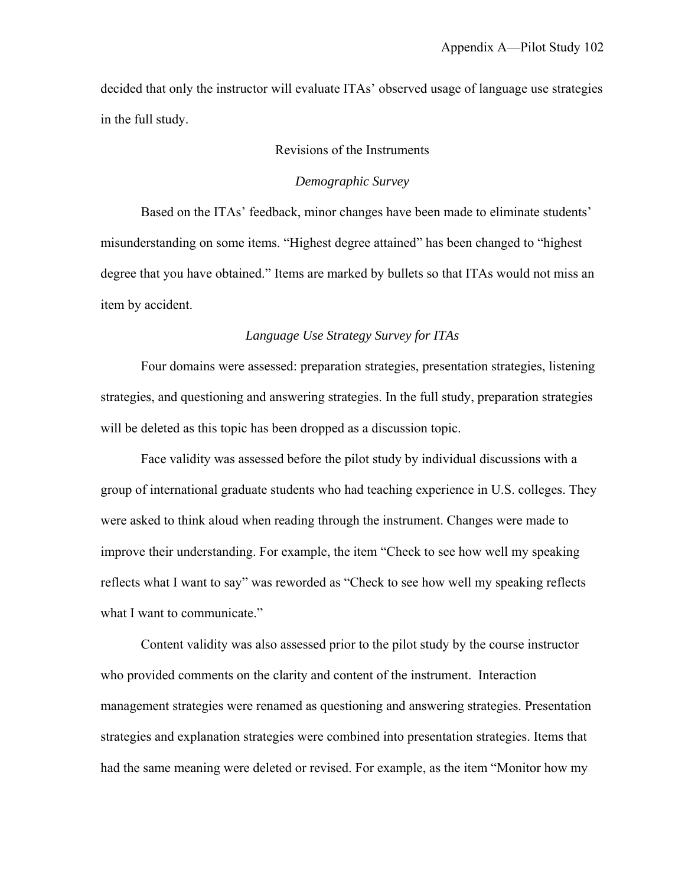decided that only the instructor will evaluate ITAs' observed usage of language use strategies in the full study.

### Revisions of the Instruments

### *Demographic Survey*

Based on the ITAs' feedback, minor changes have been made to eliminate students' misunderstanding on some items. "Highest degree attained" has been changed to "highest degree that you have obtained." Items are marked by bullets so that ITAs would not miss an item by accident.

#### *Language Use Strategy Survey for ITAs*

Four domains were assessed: preparation strategies, presentation strategies, listening strategies, and questioning and answering strategies. In the full study, preparation strategies will be deleted as this topic has been dropped as a discussion topic.

Face validity was assessed before the pilot study by individual discussions with a group of international graduate students who had teaching experience in U.S. colleges. They were asked to think aloud when reading through the instrument. Changes were made to improve their understanding. For example, the item "Check to see how well my speaking reflects what I want to say" was reworded as "Check to see how well my speaking reflects what I want to communicate."

Content validity was also assessed prior to the pilot study by the course instructor who provided comments on the clarity and content of the instrument. Interaction management strategies were renamed as questioning and answering strategies. Presentation strategies and explanation strategies were combined into presentation strategies. Items that had the same meaning were deleted or revised. For example, as the item "Monitor how my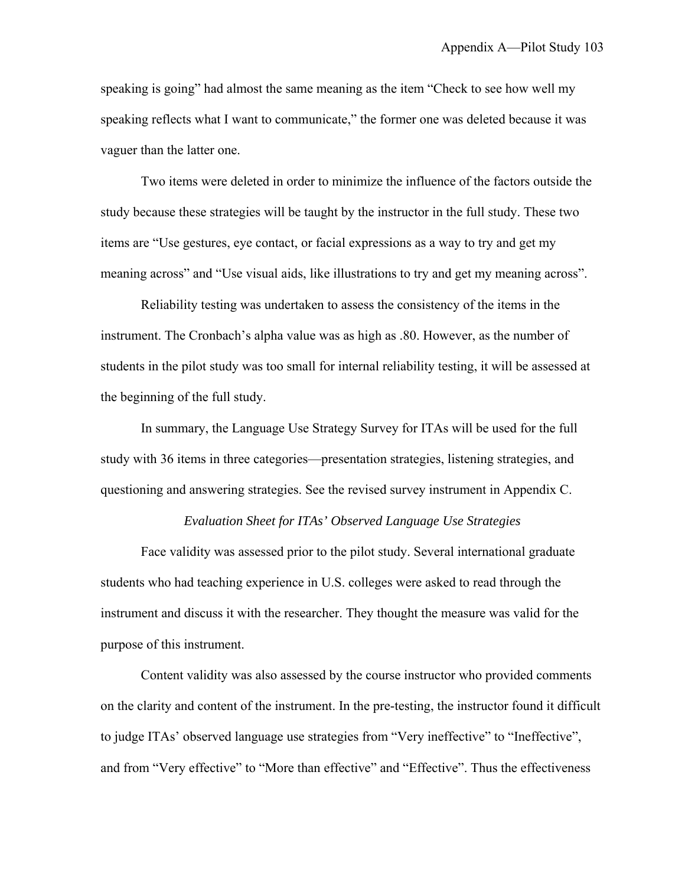speaking is going" had almost the same meaning as the item "Check to see how well my speaking reflects what I want to communicate," the former one was deleted because it was vaguer than the latter one.

Two items were deleted in order to minimize the influence of the factors outside the study because these strategies will be taught by the instructor in the full study. These two items are "Use gestures, eye contact, or facial expressions as a way to try and get my meaning across" and "Use visual aids, like illustrations to try and get my meaning across".

Reliability testing was undertaken to assess the consistency of the items in the instrument. The Cronbach's alpha value was as high as .80. However, as the number of students in the pilot study was too small for internal reliability testing, it will be assessed at the beginning of the full study.

In summary, the Language Use Strategy Survey for ITAs will be used for the full study with 36 items in three categories—presentation strategies, listening strategies, and questioning and answering strategies. See the revised survey instrument in Appendix C.

#### *Evaluation Sheet for ITAs' Observed Language Use Strategies*

Face validity was assessed prior to the pilot study. Several international graduate students who had teaching experience in U.S. colleges were asked to read through the instrument and discuss it with the researcher. They thought the measure was valid for the purpose of this instrument.

Content validity was also assessed by the course instructor who provided comments on the clarity and content of the instrument. In the pre-testing, the instructor found it difficult to judge ITAs' observed language use strategies from "Very ineffective" to "Ineffective", and from "Very effective" to "More than effective" and "Effective". Thus the effectiveness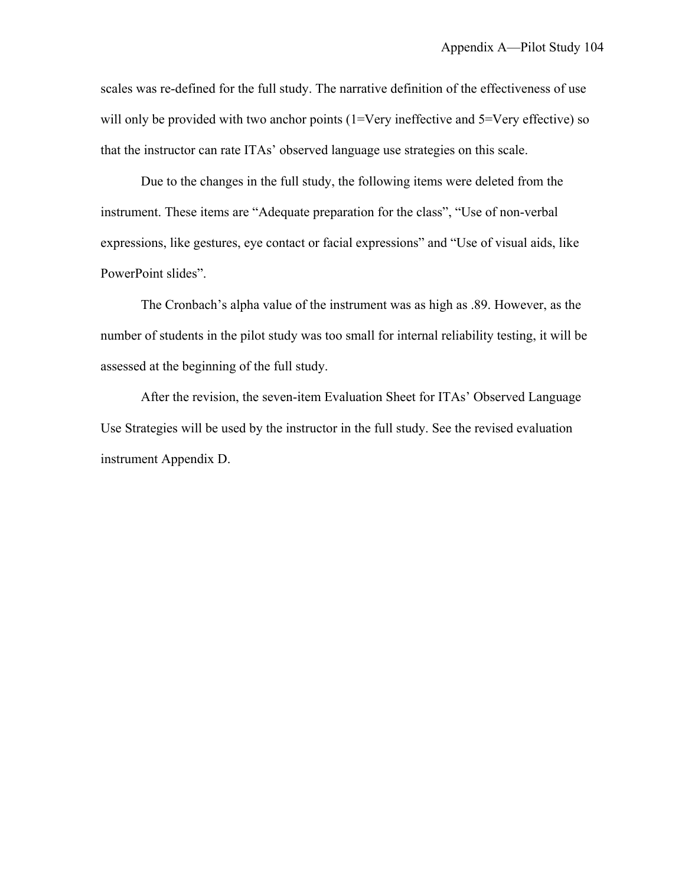scales was re-defined for the full study. The narrative definition of the effectiveness of use will only be provided with two anchor points (1=Very ineffective and 5=Very effective) so that the instructor can rate ITAs' observed language use strategies on this scale.

Due to the changes in the full study, the following items were deleted from the instrument. These items are "Adequate preparation for the class", "Use of non-verbal expressions, like gestures, eye contact or facial expressions" and "Use of visual aids, like PowerPoint slides".

The Cronbach's alpha value of the instrument was as high as .89. However, as the number of students in the pilot study was too small for internal reliability testing, it will be assessed at the beginning of the full study.

After the revision, the seven-item Evaluation Sheet for ITAs' Observed Language Use Strategies will be used by the instructor in the full study. See the revised evaluation instrument Appendix D.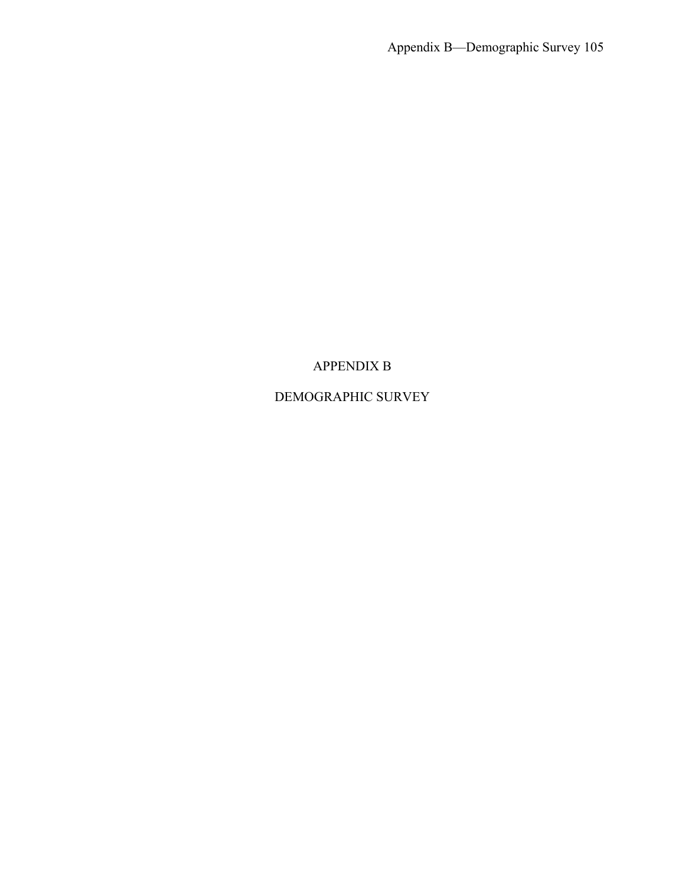## APPENDIX B

# DEMOGRAPHIC SURVEY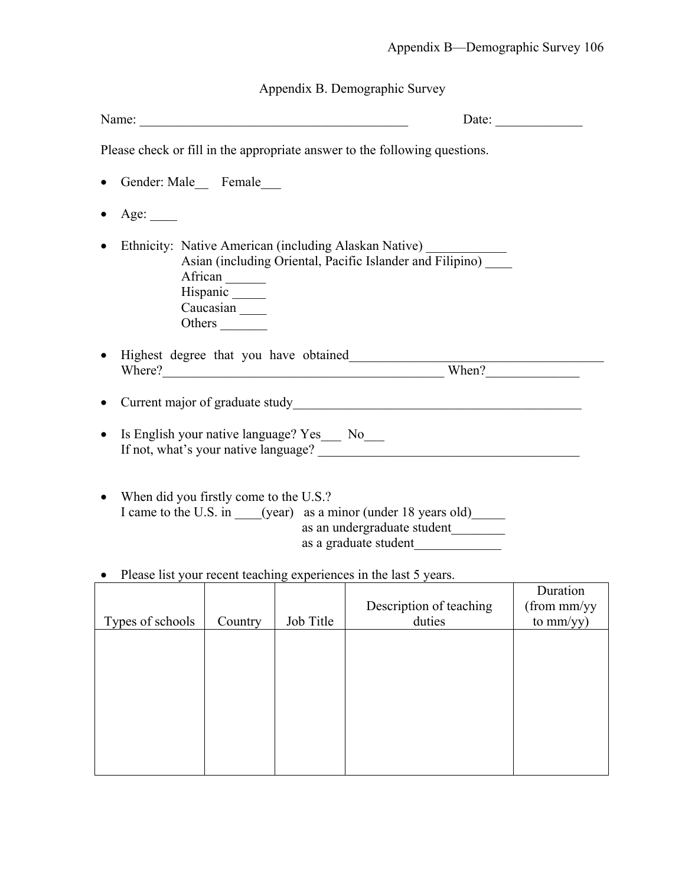Appendix B. Demographic Survey

| Name:                                                                                                                                                                                                                                                                                   |         |           |                                          | Date: $\qquad \qquad$                   |  |  |  |
|-----------------------------------------------------------------------------------------------------------------------------------------------------------------------------------------------------------------------------------------------------------------------------------------|---------|-----------|------------------------------------------|-----------------------------------------|--|--|--|
| Please check or fill in the appropriate answer to the following questions.                                                                                                                                                                                                              |         |           |                                          |                                         |  |  |  |
| Gender: Male Female                                                                                                                                                                                                                                                                     |         |           |                                          |                                         |  |  |  |
| Age: $\_\_$                                                                                                                                                                                                                                                                             |         |           |                                          |                                         |  |  |  |
| Ethnicity: Native American (including Alaskan Native) _______<br>$\bullet$<br>Asian (including Oriental, Pacific Islander and Filipino)<br>African<br>Hispanic<br>Caucasian<br>Others                                                                                                   |         |           |                                          |                                         |  |  |  |
| Highest degree that you have obtained<br>Where? When?                                                                                                                                                                                                                                   |         |           |                                          |                                         |  |  |  |
| Is English your native language? Yes__ No__<br>$\bullet$<br>When did you firstly come to the U.S.?<br>$\bullet$<br>I came to the U.S. in ____(year) as a minor (under 18 years old)<br>as an undergraduate student<br>Please list your recent teaching experiences in the last 5 years. |         |           |                                          |                                         |  |  |  |
| Types of schools                                                                                                                                                                                                                                                                        | Country | Job Title | <b>Description of teaching</b><br>duties | Duration<br>(from mm/yy)<br>to $mm/yy)$ |  |  |  |
|                                                                                                                                                                                                                                                                                         |         |           |                                          |                                         |  |  |  |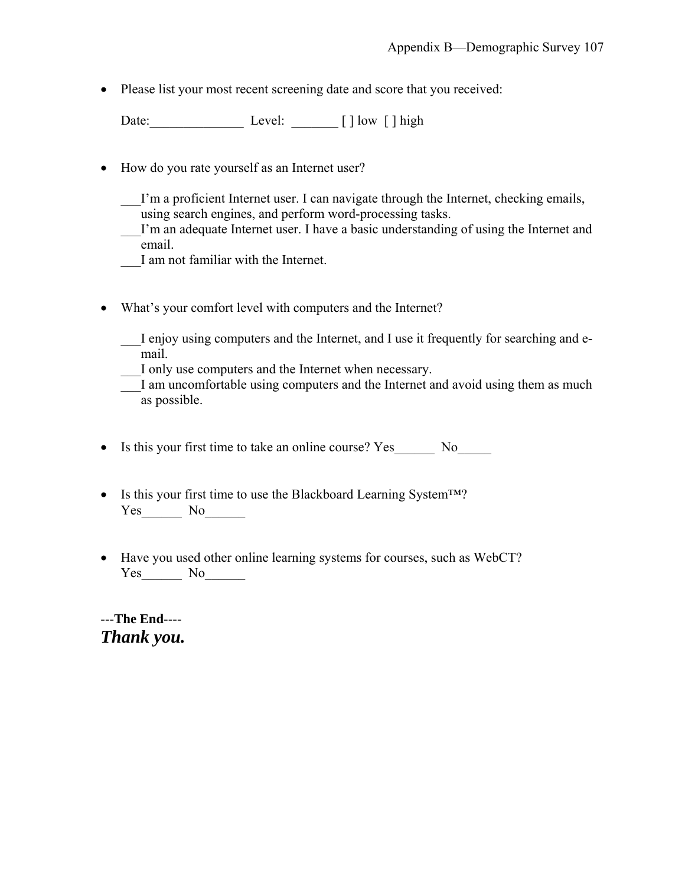• Please list your most recent screening date and score that you received:

Date:\_\_\_\_\_\_\_\_\_\_\_\_\_\_ Level: \_\_\_\_\_\_\_ [ ] low [ ] high

• How do you rate yourself as an Internet user?

I'm a proficient Internet user. I can navigate through the Internet, checking emails, using search engines, and perform word-processing tasks.

- \_\_\_I'm an adequate Internet user. I have a basic understanding of using the Internet and email.
- \_\_\_I am not familiar with the Internet.
- What's your comfort level with computers and the Internet?

\_\_\_I enjoy using computers and the Internet, and I use it frequently for searching and email.

\_\_\_I only use computers and the Internet when necessary.

I am uncomfortable using computers and the Internet and avoid using them as much as possible.

• Is this your first time to take an online course? Yes No

- Is this your first time to use the Blackboard Learning System™? Yes\_\_\_\_\_\_\_ No\_\_\_\_\_\_\_
- Have you used other online learning systems for courses, such as WebCT? Yes\_\_\_\_\_\_\_\_ No\_\_\_\_\_\_\_

---**The End**---- *Thank you.*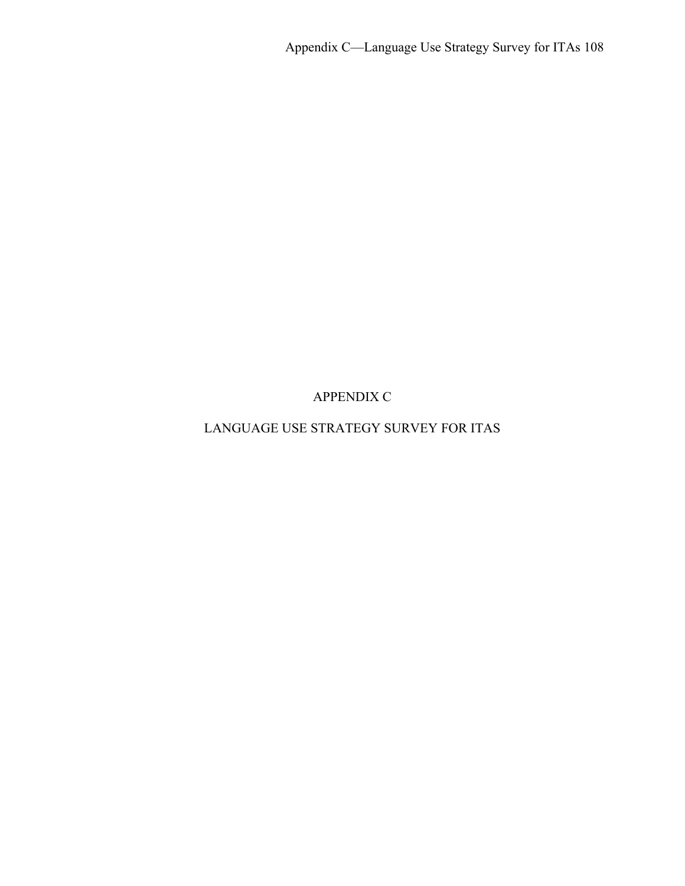APPENDIX C

# LANGUAGE USE STRATEGY SURVEY FOR ITAS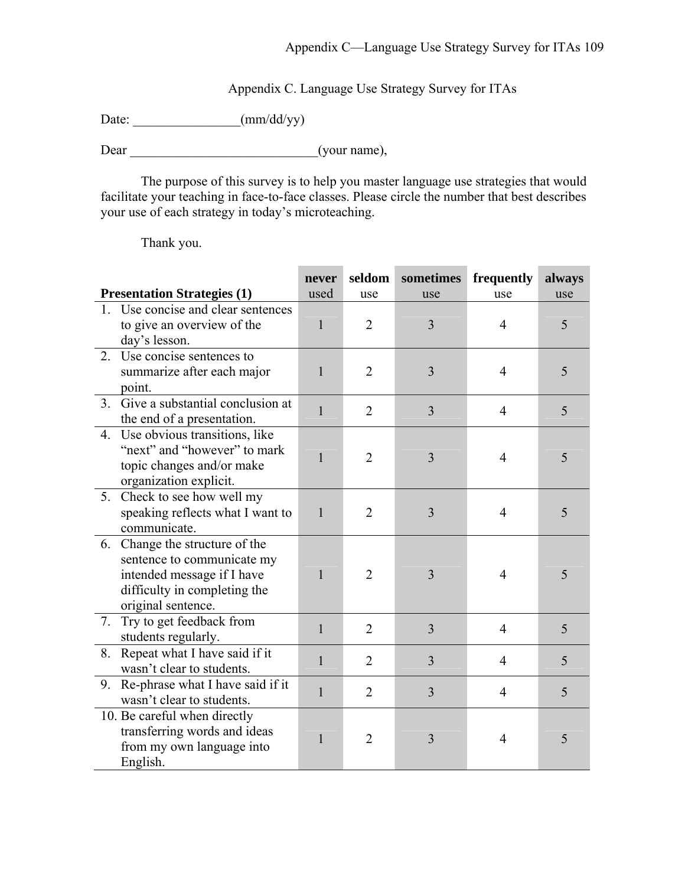Appendix C. Language Use Strategy Survey for ITAs

Date: \_\_\_\_\_\_\_\_\_\_\_\_\_\_\_\_(mm/dd/yy)

Dear (your name),

The purpose of this survey is to help you master language use strategies that would facilitate your teaching in face-to-face classes. Please circle the number that best describes your use of each strategy in today's microteaching.

Thank you.

|    |                                    | never        | seldom         | sometimes      | frequently     | always |
|----|------------------------------------|--------------|----------------|----------------|----------------|--------|
|    | <b>Presentation Strategies (1)</b> | used         | use            | use            | use            | use    |
|    | 1. Use concise and clear sentences |              |                |                |                |        |
|    | to give an overview of the         | $\mathbf{1}$ | $\overline{2}$ | 3              | 4              | 5      |
|    | day's lesson.                      |              |                |                |                |        |
| 2. | Use concise sentences to           |              |                |                |                |        |
|    | summarize after each major         | 1            | $\overline{2}$ | 3              | $\overline{4}$ | 5      |
|    | point.                             |              |                |                |                |        |
| 3. | Give a substantial conclusion at   | $\mathbf{1}$ | $\overline{2}$ | 3              | $\overline{4}$ | 5      |
|    | the end of a presentation.         |              |                |                |                |        |
| 4. | Use obvious transitions, like      |              |                |                |                |        |
|    | "next" and "however" to mark       | $\mathbf{1}$ | $\overline{2}$ | 3              | $\overline{4}$ | 5      |
|    | topic changes and/or make          |              |                |                |                |        |
|    | organization explicit.             |              |                |                |                |        |
|    | 5. Check to see how well my        |              |                |                |                |        |
|    | speaking reflects what I want to   | $\mathbf{1}$ | $\overline{2}$ | 3              | $\overline{4}$ | 5      |
|    | communicate.                       |              |                |                |                |        |
| 6. | Change the structure of the        |              |                |                |                |        |
|    | sentence to communicate my         |              |                |                |                |        |
|    | intended message if I have         | $\mathbf{1}$ | $\overline{2}$ | 3              | 4              | 5      |
|    | difficulty in completing the       |              |                |                |                |        |
|    | original sentence.                 |              |                |                |                |        |
| 7. | Try to get feedback from           | $\mathbf{1}$ | $\overline{2}$ | $\overline{3}$ | $\overline{4}$ | 5      |
|    | students regularly.                |              |                |                |                |        |
| 8. | Repeat what I have said if it      | $\mathbf{1}$ | $\overline{2}$ | $\overline{3}$ | $\overline{4}$ | 5      |
|    | wasn't clear to students.          |              |                |                |                |        |
| 9. | Re-phrase what I have said if it   | $\mathbf{1}$ | $\overline{2}$ | 3              | $\overline{4}$ | 5      |
|    | wasn't clear to students.          |              |                |                |                |        |
|    | 10. Be careful when directly       |              |                |                |                |        |
|    | transferring words and ideas       | $\mathbf{1}$ | $\overline{2}$ | 3              | 4              | 5      |
|    | from my own language into          |              |                |                |                |        |
|    | English.                           |              |                |                |                |        |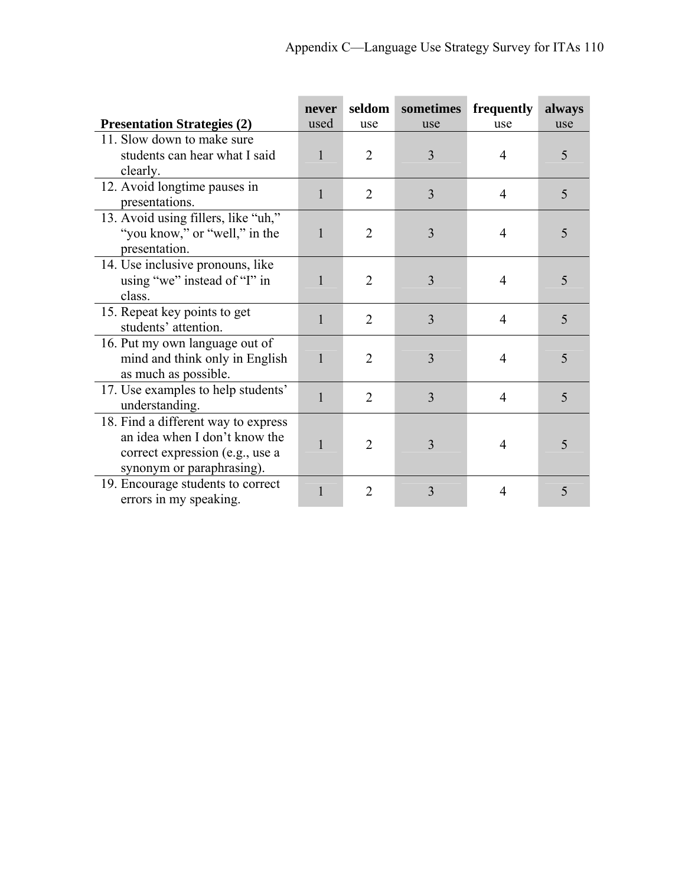|                                     | never        | seldom         | sometimes | frequently     | always |
|-------------------------------------|--------------|----------------|-----------|----------------|--------|
| <b>Presentation Strategies (2)</b>  | used         | use            | use       | use            | use    |
| 11. Slow down to make sure          |              |                |           |                |        |
| students can hear what I said       | $\mathbf{1}$ | $\overline{2}$ | 3         | 4              | 5      |
| clearly.                            |              |                |           |                |        |
| 12. Avoid longtime pauses in        | 1            | $\overline{2}$ | 3         | $\overline{4}$ | 5      |
| presentations.                      |              |                |           |                |        |
| 13. Avoid using fillers, like "uh," |              |                |           |                |        |
| "you know," or "well," in the       | 1            | $\overline{2}$ | 3         | $\overline{4}$ | 5      |
| presentation.                       |              |                |           |                |        |
| 14. Use inclusive pronouns, like    |              |                |           |                |        |
| using "we" instead of "I" in        | 1            | $\overline{2}$ | 3         | 4              | 5      |
| class.                              |              |                |           |                |        |
| 15. Repeat key points to get        | 1            | $\overline{2}$ | 3         | $\overline{4}$ | 5      |
| students' attention.                |              |                |           |                |        |
| 16. Put my own language out of      |              |                |           |                |        |
| mind and think only in English      | $\mathbf{1}$ | $\overline{2}$ | 3         | $\overline{4}$ | 5      |
| as much as possible.                |              |                |           |                |        |
| 17. Use examples to help students'  | $\mathbf{1}$ | $\overline{2}$ | 3         | $\overline{4}$ | 5      |
| understanding.                      |              |                |           |                |        |
| 18. Find a different way to express |              |                |           |                |        |
| an idea when I don't know the       | 1            | $\overline{2}$ | 3         | 4              | 5      |
| correct expression (e.g., use a     |              |                |           |                |        |
| synonym or paraphrasing).           |              |                |           |                |        |
| 19. Encourage students to correct   |              | $\overline{2}$ | 3         | $\overline{4}$ | 5      |
| errors in my speaking.              |              |                |           |                |        |